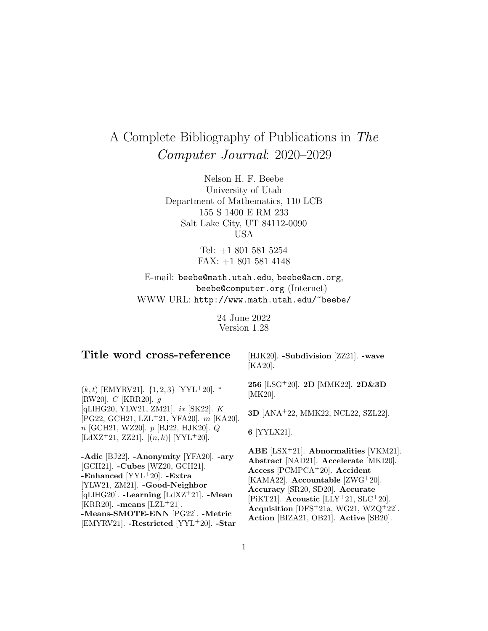# A Complete Bibliography of Publications in The Computer Journal: 2020–2029

Nelson H. F. Beebe University of Utah Department of Mathematics, 110 LCB 155 S 1400 E RM 233 Salt Lake City, UT 84112-0090 USA

> Tel: +1 801 581 5254 FAX: +1 801 581 4148

E-mail: beebe@math.utah.edu, beebe@acm.org, beebe@computer.org (Internet) WWW URL: http://www.math.utah.edu/~beebe/

> 24 June 2022 Version 1.28

# **Title word cross-reference**

[HJK20]. **-Subdivision** [ZZ21]. **-wave** [KA20].

 $(k, t)$  [EMYRV21].  $\{1, 2, 3\}$  [YYL<sup>+</sup>20].  $*$ [RW20]. C [KRR20]. g [qLlHG20, YLW21, ZM21]. i∗ [SK22]. K [PG22, GCH21, LZL<sup>+</sup>21, YFA20]. m [KA20]. n [GCH21, WZ20]. p [BJ22, HJK20]. Q [LdXZ<sup>+</sup>21, ZZ21].  $|(n, k)|$  [YYL<sup>+</sup>20].

**-Adic** [BJ22]. **-Anonymity** [YFA20]. **-ary** [GCH21]. **-Cubes** [WZ20, GCH21]. **-Enhanced** [YYL<sup>+</sup>20]. **-Extra** [YLW21, ZM21]. **-Good-Neighbor** [qLlHG20]. **-Learning** [LdXZ<sup>+</sup>21]. **-Mean** [KRR20]. **-means** [LZL<sup>+</sup>21]. **-Means-SMOTE-ENN** [PG22]. **-Metric** [EMYRV21]. **-Restricted** [YYL<sup>+</sup>20]. **-Star** **256** [LSG<sup>+</sup>20]. **2D** [MMK22]. **2D&3D** [MK20].

**3D** [ANA<sup>+</sup>22, MMK22, NCL22, SZL22].

**6** [YYLX21].

**ABE** [LSX<sup>+</sup>21]. **Abnormalities** [VKM21]. **Abstract** [NAD21]. **Accelerate** [MKI20]. **Access** [PCMPCA<sup>+</sup>20]. **Accident** [KAMA22]. **Accountable** [ZWG<sup>+</sup>20]. **Accuracy** [SR20, SD20]. **Accurate** [PiKT21]. **Acoustic** [LLY<sup>+</sup>21, SLC<sup>+</sup>20]. **Acquisition** [DFS<sup>+</sup>21a, WG21, WZQ<sup>+</sup>22]. **Action** [BIZA21, OB21]. **Active** [SB20].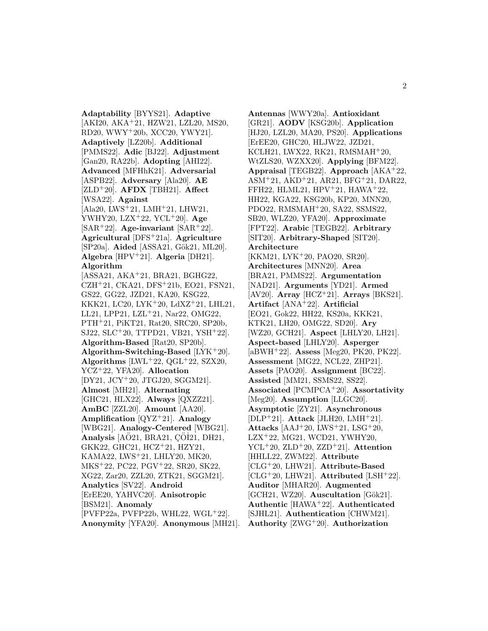**Adaptability** [BYYS21]. **Adaptive** [AKI20, AKA<sup>+</sup>21, HZW21, LZL20, MS20, RD20, WWY<sup>+</sup>20b, XCC20, YWY21]. **Adaptively** [LZ20b]. **Additional** [PMMS22]. **Adic** [BJ22]. **Adjustment** [Gan20, RA22b]. **Adopting** [AHI22]. **Advanced** [MFHhK21]. **Adversarial** [ASPB22]. **Adversary** [Ala20]. **AE** [ZLD<sup>+</sup>20]. **AFDX** [TBH21]. **Affect** [WSA22]. **Against** [Ala20, LWS<sup>+</sup>21, LMH<sup>+</sup>21, LHW21, YWHY20, LZX<sup>+</sup>22, YCL<sup>+</sup>20]. **Age** [SAR<sup>+</sup>22]. **Age-invariant** [SAR<sup>+</sup>22]. **Agricultural** [DFS<sup>+</sup>21a]. **Agriculture** [SP20a]. **Aided** [ASSA21, Gök21, ML20]. **Algebra** [HPV<sup>+</sup>21]. **Algeria** [DH21]. **Algorithm** [ASSA21, AKA<sup>+</sup>21, BRA21, BGHG22, CZH<sup>+</sup>21, CKA21, DFS<sup>+</sup>21b, EO21, FSN21, GS22, GG22, JZD21, KA20, KSG22, KKK21, LC20, LYK<sup>+</sup>20, LdXZ<sup>+</sup>21, LHL21, LL21, LPP21, LZL<sup>+</sup>21, Nar22, OMG22, PTH<sup>+</sup>21, PiKT21, Rat20, SRC20, SP20b, SJ22, SLC<sup>+</sup>20, TTPD21, VB21, YSH<sup>+</sup>22]. **Algorithm-Based** [Rat20, SP20b]. **Algorithm-Switching-Based** [LYK<sup>+</sup>20]. Algorithms  $[LWL+22, QGL+22, SZX20,$ YCZ<sup>+</sup>22, YFA20]. **Allocation** [DY21, JCY<sup>+</sup>20, JTGJ20, SGGM21]. **Almost** [MH21]. **Alternating** [GHC21, HLX22]. **Always** [QXZZ21]. **AmBC** [ZZL20]. **Amount** [AA20]. **Amplification** [QYZ<sup>+</sup>21]. **Analogy** [WBG21]. **Analogy-Centered** [WBG21]. **Analysis** [AÖ21, BRA21, ÇÖİ21, DH21, GKK22, GHC21, HCZ<sup>+</sup>21, HZY21, KAMA22, LWS<sup>+</sup>21, LHLY20, MK20, MKS<sup>+</sup>22, PC22, PGV<sup>+</sup>22, SR20, SK22, XG22, Zar20, ZZL20, ZTK21, SGGM21]. **Analytics** [SV22]. **Android** [ErEE20, YAHVC20]. **Anisotropic** [BSM21]. **Anomaly** [PVFP22a, PVFP22b, WHL22, WGL<sup>+</sup>22]. **Anonymity** [YFA20]. **Anonymous** [MH21].

**Antennas** [WWY20a]. **Antioxidant** [GR21]. **AODV** [KSG20b]. **Application** [HJ20, LZL20, MA20, PS20]. **Applications** [ErEE20, GHC20, HLJW22, JZD21, KCLH21, LWX22, RK21, RMSMAH<sup>+</sup>20, WtZLS20, WZXX20]. **Applying** [BFM22]. **Appraisal** [TEGB22]. **Approach** [AKA<sup>+</sup>22, ASM<sup>+</sup>21, AKD<sup>+</sup>21, AR21, BFG<sup>+</sup>21, DAR22, FFH22, HLML21, HPV<sup>+</sup>21, HAWA<sup>+</sup>22, HH22, KGA22, KSG20b, KP20, MNN20, PDO22, RMSMAH<sup>+</sup>20, SA22, SSMS22, SB20, WLZ20, YFA20]. **Approximate** [FPT22]. **Arabic** [TEGB22]. **Arbitrary** [SIT20]. **Arbitrary-Shaped** [SIT20]. **Architecture** [KKM21, LYK<sup>+</sup>20, PAO20, SR20]. **Architectures** [MNN20]. **Area** [BRA21, PMMS22]. **Argumentation** [NAD21]. **Arguments** [YD21]. **Armed** [AV20]. **Array** [HCZ<sup>+</sup>21]. **Arrays** [BKS21]. **Artifact** [ANA<sup>+</sup>22]. **Artificial** [EO21, Gok22, HH22, KS20a, KKK21, KTK21, LH20, OMG22, SD20]. **Ary** [WZ20, GCH21]. **Aspect** [LHLY20, LH21]. **Aspect-based** [LHLY20]. **Asperger** [aBWH<sup>+</sup>22]. **Assess** [Meg20, PK20, PK22]. **Assessment** [MG22, NCL22, ZHP21]. **Assets** [PAO20]. **Assignment** [BC22]. **Assisted** [MM21, SSMS22, SS22]. **Associated** [PCMPCA<sup>+</sup>20]. **Assortativity** [Meg20]. **Assumption** [LLGC20]. **Asymptotic** [ZY21]. **Asynchronous** [DLP<sup>+</sup>21]. **Attack** [JLH20, LMH<sup>+</sup>21]. **Attacks** [AAJ<sup>+</sup>20, LWS<sup>+</sup>21, LSG<sup>+</sup>20, LZX<sup>+</sup>22, MG21, WCD21, YWHY20, YCL<sup>+</sup>20, ZLD<sup>+</sup>20, ZZD<sup>+</sup>21]. **Attention** [HHLL22, ZWM22]. **Attribute** [CLG<sup>+</sup>20, LHW21]. **Attribute-Based** [CLG<sup>+</sup>20, LHW21]. **Attributed** [LSH<sup>+</sup>22]. **Auditor** [MHAR20]. **Augmented** [GCH21, WZ20]. **Auscultation** [Gök21]. **Authentic** [HAWA<sup>+</sup>22]. **Authenticated** [SJHL21]. **Authentication** [CHWM21]. **Authority** [ZWG<sup>+</sup>20]. **Authorization**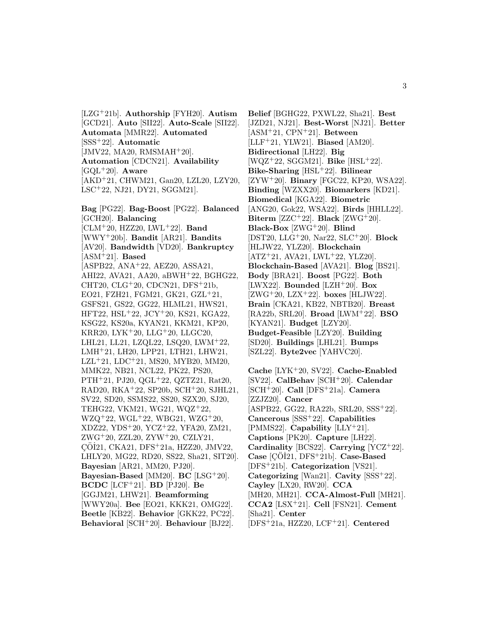[LZG<sup>+</sup>21b]. **Authorship** [FYH20]. **Autism** [GCD21]. **Auto** [SII22]. **Auto-Scale** [SII22]. **Automata** [MMR22]. **Automated** [SSS<sup>+</sup>22]. **Automatic**  $[JMV22, MA20, RMSMAH<sup>+</sup>20].$ **Automation** [CDCN21]. **Availability** [GQL<sup>+</sup>20]. **Aware** [AKD<sup>+</sup>21, CHWM21, Gan20, LZL20, LZY20, LSC<sup>+</sup>22, NJ21, DY21, SGGM21].

**Bag** [PG22]. **Bag-Boost** [PG22]. **Balanced** [GCH20]. **Balancing** [CLM<sup>+</sup>20, HZZ20, LWL<sup>+</sup>22]. **Band** [WWY<sup>+</sup>20b]. **Bandit** [AR21]. **Bandits** [AV20]. **Bandwidth** [VD20]. **Bankruptcy** [ASM<sup>+</sup>21]. **Based** [ASPB22, ANA<sup>+</sup>22, AEZ20, ASSA21, AHI22, AVA21, AA20, aBWH<sup>+</sup>22, BGHG22, CHT20, CLG<sup>+</sup>20, CDCN21, DFS<sup>+</sup>21b, EO21, FZH21, FGM21, GK21, GZL<sup>+</sup>21, GSFS21, GS22, GG22, HLML21, HWS21, HFT22, HSL<sup>+</sup>22, JCY<sup>+</sup>20, KS21, KGA22, KSG22, KS20a, KYAN21, KKM21, KP20, KRR20, LYK<sup>+</sup>20, LLG<sup>+</sup>20, LLGC20, LHL21, LL21, LZQL22, LSQ20, LWM<sup>+</sup>22, LMH<sup>+</sup>21, LH20, LPP21, LTH21, LHW21, LZL<sup>+</sup>21, LDC<sup>+</sup>21, MS20, MYB20, MM20, MMK22, NB21, NCL22, PK22, PS20, PTH<sup>+</sup>21, PJ20, QGL<sup>+</sup>22, QZTZ21, Rat20, RAD20, RKA<sup>+</sup>22, SP20b, SCH<sup>+</sup>20, SJHL21, SV22, SD20, SSMS22, SS20, SZX20, SJ20, TEHG22, VKM21, WG21, WQZ<sup>+</sup>22, WZQ<sup>+</sup>22, WGL<sup>+</sup>22, WBG21, WZG<sup>+</sup>20, XDZ22, YDS<sup>+</sup>20, YCZ<sup>+</sup>22, YFA20, ZM21, ZWG<sup>+</sup>20, ZZL20, ZYW<sup>+</sup>20, CZLY21, ÇÖİ21, CKA21, DFS<sup>+</sup>21a, HZZ20, JMV22, LHLY20, MG22, RD20, SS22, Sha21, SIT20]. **Bayesian** [AR21, MM20, PJ20]. **Bayesian-Based** [MM20]. **BC** [LSG<sup>+</sup>20]. **BCDC** [LCF<sup>+</sup>21]. **BD** [PJ20]. **Be** [GGJM21, LHW21]. **Beamforming** [WWY20a]. **Bee** [EO21, KKK21, OMG22]. **Beetle** [KB22]. **Behavior** [GKK22, PC22]. **Behavioral** [SCH<sup>+</sup>20]. **Behaviour** [BJ22].

**Belief** [BGHG22, PXWL22, Sha21]. **Best** [JZD21, NJ21]. **Best-Worst** [NJ21]. **Better** [ASM<sup>+</sup>21, CPN<sup>+</sup>21]. **Between** [LLF<sup>+</sup>21, YLW21]. **Biased** [AM20]. **Bidirectional** [LH22]. **Big** [WQZ<sup>+</sup>22, SGGM21]. **Bike** [HSL<sup>+</sup>22]. **Bike-Sharing** [HSL<sup>+</sup>22]. **Bilinear** [ZYW<sup>+</sup>20]. **Binary** [FGC22, KP20, WSA22]. **Binding** [WZXX20]. **Biomarkers** [KD21]. **Biomedical** [KGA22]. **Biometric** [ANG20, Gok22, WSA22]. **Birds** [HHLL22]. **Biterm** [ZZC<sup>+</sup>22]. **Black** [ZWG<sup>+</sup>20]. **Black-Box** [ZWG<sup>+</sup>20]. **Blind** [DST20, LLG<sup>+</sup>20, Nar22, SLC<sup>+</sup>20]. **Block** [HLJW22, YLZ20]. **Blockchain**  $[ATZ+21, AVA21, LWL+22, YLZ20].$ **Blockchain-Based** [AVA21]. **Blog** [BS21]. **Body** [BRA21]. **Boost** [PG22]. **Both** [LWX22]. **Bounded** [LZH<sup>+</sup>20]. **Box** [ZWG<sup>+</sup>20, LZX<sup>+</sup>22]. **boxes** [HLJW22]. **Brain** [CKA21, KB22, NBTB20]. **Breast** [RA22b, SRL20]. **Broad** [LWM<sup>+</sup>22]. **BSO** [KYAN21]. **Budget** [LZY20]. **Budget-Feasible** [LZY20]. **Building** [SD20]. **Buildings** [LHL21]. **Bumps** [SZL22]. **Byte2vec** [YAHVC20].

**Cache** [LYK<sup>+</sup>20, SV22]. **Cache-Enabled** [SV22]. **CalBehav** [SCH<sup>+</sup>20]. **Calendar** [SCH<sup>+</sup>20]. **Call** [DFS<sup>+</sup>21a]. **Camera** [ZZJZ20]. **Cancer** [ASPB22, GG22, RA22b, SRL20, SSS<sup>+</sup>22]. **Cancerous** [SSS<sup>+</sup>22]. **Capabilities** [PMMS22]. **Capability** [LLY<sup>+</sup>21]. **Captions** [PK20]. **Capture** [LH22]. **Cardinality** [BCS22]. **Carrying** [YCZ<sup>+</sup>22].  $Case [C\ddot{O}121, DFS+21b]$ . **Case-Based** [DFS<sup>+</sup>21b]. **Categorization** [VS21]. **Categorizing** [Wan21]. **Cavity** [SSS<sup>+</sup>22]. **Cayley** [LX20, RW20]. **CCA** [MH20, MH21]. **CCA-Almost-Full** [MH21]. **CCA2** [LSX<sup>+</sup>21]. **Cell** [FSN21]. **Cement** [Sha21]. **Center** [DFS<sup>+</sup>21a, HZZ20, LCF<sup>+</sup>21]. **Centered**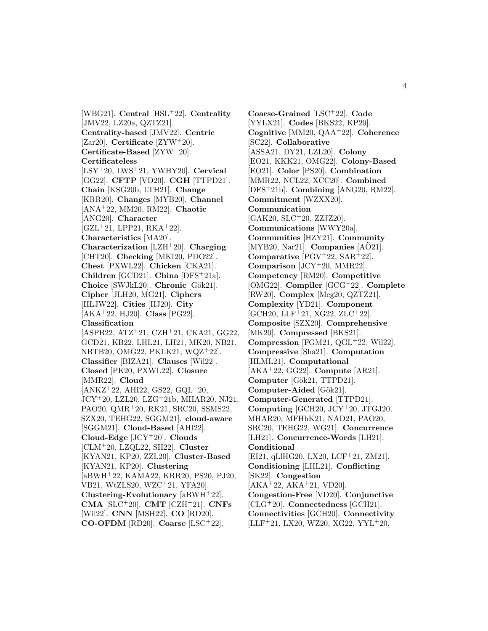[WBG21]. **Central** [HSL<sup>+</sup>22]. **Centrality** [JMV22, LZ20a, QZTZ21]. **Centrality-based** [JMV22]. **Centric** [Zar20]. **Certificate** [ZYW<sup>+</sup>20]. **Certificate-Based** [ZYW<sup>+</sup>20]. **Certificateless** [LSY<sup>+</sup>20, LWS<sup>+</sup>21, YWHY20]. **Cervical** [GG22]. **CFTP** [VD20]. **CGH** [TTPD21]. **Chain** [KSG20b, LTH21]. **Change** [KRR20]. **Changes** [MYB20]. **Channel** [ANA<sup>+</sup>22, MM20, RM22]. **Chaotic** [ANG20]. **Character**  $[GZL+21, LPP21, RKA+22].$ **Characteristics** [MA20]. **Characterization** [LZH<sup>+</sup>20]. **Charging** [CHT20]. **Checking** [MKI20, PDO22]. **Chest** [PXWL22]. **Chicken** [CKA21]. **Children** [GCD21]. **China** [DFS<sup>+</sup>21a]. **Choice** [SWJkL20]. **Chronic** [Gök21]. **Cipher** [JLH20, MG21]. **Ciphers** [HLJW22]. **Cities** [HJ20]. **City** [AKA<sup>+</sup>22, HJ20]. **Class** [PG22]. **Classification** [ASPB22, ATZ<sup>+</sup>21, CZH<sup>+</sup>21, CKA21, GG22, GCD21, KB22, LHL21, LH21, MK20, NB21, NBTB20, OMG22, PKLK21, WQZ<sup>+</sup>22]. **Classifier** [BIZA21]. **Clauses** [Wil22]. **Closed** [PK20, PXWL22]. **Closure** [MMR22]. **Cloud**  $[ANKZ+22, AHI22, GS22, GQL+20,$ JCY<sup>+</sup>20, LZL20, LZG<sup>+</sup>21b, MHAR20, NJ21, PAO20, QMR<sup>+</sup>20, RK21, SRC20, SSMS22, SZX20, TEHG22, SGGM21]. **cloud-aware** [SGGM21]. **Cloud-Based** [AHI22]. **Cloud-Edge** [JCY<sup>+</sup>20]. **Clouds** [CLM<sup>+</sup>20, LZQL22, SII22]. **Cluster** [KYAN21, KP20, ZZL20]. **Cluster-Based** [KYAN21, KP20]. **Clustering** [aBWH<sup>+</sup>22, KAMA22, KRR20, PS20, PJ20, VB21, WtZLS20, WZC<sup>+</sup>21, YFA20]. **Clustering-Evolutionary** [aBWH<sup>+</sup>22]. **CMA** [SLC<sup>+</sup>20]. **CMT** [CZH<sup>+</sup>21]. **CNFs** [Wil22]. **CNN** [MSH22]. **CO** [RD20]. **CO-OFDM** [RD20]. **Coarse** [LSC<sup>+</sup>22].

**Coarse-Grained** [LSC<sup>+</sup>22]. **Code** [YYLX21]. **Codes** [BKS22, KP20]. **Cognitive** [MM20, QAA<sup>+</sup>22]. **Coherence** [SC22]. **Collaborative** [ASSA21, DY21, LZL20]. **Colony** [EO21, KKK21, OMG22]. **Colony-Based** [EO21]. **Color** [PS20]. **Combination** [MMR22, NCL22, XCC20]. **Combined** [DFS<sup>+</sup>21b]. **Combining** [ANG20, RM22]. **Commitment** [WZXX20]. **Communication** [GAK20, SLC<sup>+</sup>20, ZZJZ20]. **Communications** [WWY20a]. **Communities** [HZY21]. **Community**  $[MYB20, Nar21]$ . **Companies**  $[A\ddot{O}21]$ . **Comparative** [PGV<sup>+</sup>22, SAR<sup>+</sup>22]. **Comparison** [JCY<sup>+</sup>20, MMR22]. **Competency** [RM20]. **Competitive** [OMG22]. **Compiler** [GCG<sup>+</sup>22]. **Complete** [RW20]. **Complex** [Meg20, QZTZ21]. **Complexity** [YD21]. **Component**  $[GCH20, LLF+21, XG22, ZLC+22].$ **Composite** [SZX20]. **Comprehensive** [MK20]. **Compressed** [BKS21]. **Compression** [FGM21, QGL<sup>+</sup>22, Wil22]. **Compressive** [Sha21]. **Computation** [HLML21]. **Computational** [AKA<sup>+</sup>22, GG22]. **Compute** [AR21]. **Computer** [Gök21, TTPD21]. **Computer-Aided** [Gök21]. **Computer-Generated** [TTPD21]. **Computing** [GCH20, JCY<sup>+</sup>20, JTGJ20, MHAR20, MFHhK21, NAD21, PAO20, SRC20, TEHG22, WG21]. **Concurrence** [LH21]. **Concurrence-Words** [LH21]. **Conditional** [EI21, qLlHG20, LX20, LCF<sup>+</sup>21, ZM21]. **Conditioning** [LHL21]. **Conflicting** [SK22]. **Congestion**  $[AKA+22, AKA+21, VD20].$ **Congestion-Free** [VD20]. **Conjunctive** [CLG<sup>+</sup>20]. **Connectedness** [GCH21]. **Connectivities** [GCH20]. **Connectivity** [LLF<sup>+</sup>21, LX20, WZ20, XG22, YYL<sup>+</sup>20,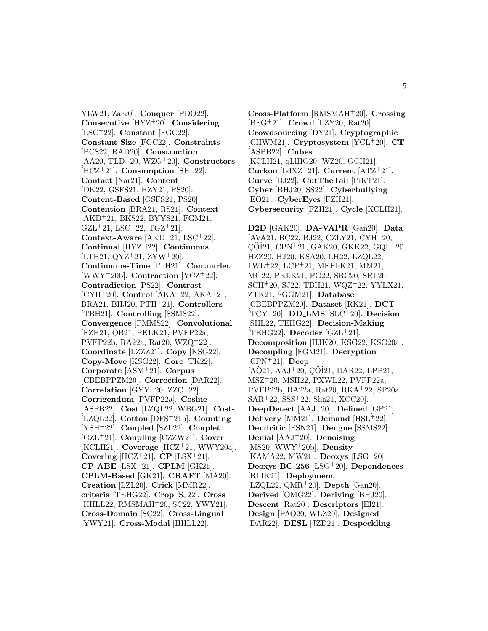YLW21, Zar20]. **Conquer** [PDO22]. **Consecutive** [HYZ<sup>+</sup>20]. **Considering** [LSC<sup>+</sup>22]. **Constant** [FGC22]. **Constant-Size** [FGC22]. **Constraints** [BCS22, RAD20]. **Construction** [AA20, TLD<sup>+</sup>20, WZG<sup>+</sup>20]. **Constructors** [HCZ<sup>+</sup>21]. **Consumption** [SHL22]. **Contact** [Nar21]. **Content** [DK22, GSFS21, HZY21, PS20]. **Content-Based** [GSFS21, PS20]. **Contention** [BRA21, RS21]. **Context** [AKD<sup>+</sup>21, BKS22, BYYS21, FGM21,  $GZL+21$ ,  $LSC+22$ ,  $TGZ+21$ ]. **Context-Aware** [AKD<sup>+</sup>21, LSC<sup>+</sup>22]. **Continual** [HYZH22]. **Continuous**  $[LTH21, QYZ<sup>+</sup>21, ZYW<sup>+</sup>20].$ **Continuous-Time** [LTH21]. **Contourlet** [WWY<sup>+</sup>20b]. **Contraction** [YCZ<sup>+</sup>22]. **Contradiction** [PS22]. **Contrast** [CYH<sup>+</sup>20]. **Control** [AKA<sup>+</sup>22, AKA<sup>+</sup>21, BRA21, BHJ20, PTH<sup>+</sup>21]. **Controllers** [TBH21]. **Controlling** [SSMS22]. **Convergence** [PMMS22]. **Convolutional** [FZH21, OB21, PKLK21, PVFP22a, PVFP22b, RA22a, Rat20, WZQ<sup>+</sup>22]. **Coordinate** [LZZZ21]. **Copy** [KSG22]. **Copy-Move** [KSG22]. **Core** [TK22]. **Corporate** [ASM<sup>+</sup>21]. **Corpus** [CBEBPPZM20]. **Correction** [DAR22]. **Correlation** [GYY<sup>+</sup>20, ZZC<sup>+</sup>22]. **Corrigendum** [PVFP22a]. **Cosine** [ASPB22]. **Cost** [LZQL22, WBG21]. **Cost-** [LZQL22]. **Cotton** [DFS<sup>+</sup>21b]. **Counting** [YSH<sup>+</sup>22]. **Coupled** [SZL22]. **Couplet** [GZL<sup>+</sup>21]. **Coupling** [CZZW21]. **Cover** [KCLH21]. **Coverage** [HCZ<sup>+</sup>21, WWY20a]. **Covering**  $[HCZ+21]$ . **CP**  $[LSX+21]$ . **CP-ABE** [LSX<sup>+</sup>21]. **CPLM** [GK21]. **CPLM-Based** [GK21]. **CRAFT** [MA20]. **Creation** [LZL20]. **Crick** [MMR22]. **criteria** [TEHG22]. **Crop** [SJ22]. **Cross** [HHLL22, RMSMAH<sup>+</sup>20, SC22, YWY21]. **Cross-Domain** [SC22]. **Cross-Lingual** [YWY21]. **Cross-Modal** [HHLL22].

**Cross-Platform** [RMSMAH<sup>+</sup>20]. **Crossing** [BFG<sup>+</sup>21]. **Crowd** [LZY20, Rat20]. **Crowdsourcing** [DY21]. **Cryptographic** [CHWM21]. **Cryptosystem** [YCL<sup>+</sup>20]. **CT** [ASPB22]. **Cubes** [KCLH21, qLlHG20, WZ20, GCH21]. **Cuckoo** [LdXZ<sup>+</sup>21]. **Current** [ATZ<sup>+</sup>21]. **Curve** [BJ22]. **CutTheTail** [PiKT21]. **Cyber** [BHJ20, SS22]. **Cyberbullying** [EO21]. **CyberEyes** [FZH21]. **Cybersecurity** [FZH21]. **Cycle** [KCLH21].

**D2D** [GAK20]. **DA-VAPR** [Gan20]. **Data** [AVA21, BC22, BJ22, CZLY21, CYH<sup>+</sup>20,  $\rm QO$  $i$ 21, CPN<sup>+</sup>21, GAK20, GKK22, GQL<sup>+</sup>20, HZZ20, HJ20, KSA20, LH22, LZQL22, LWL<sup>+</sup>22, LCF<sup>+</sup>21, MFHhK21, MM21, MG22, PKLK21, PG22, SRC20, SRL20, SCH<sup>+</sup>20, SJ22, TBH21, WQZ<sup>+</sup>22, YYLX21, ZTK21, SGGM21]. **Database** [CBEBPPZM20]. **Dataset** [RK21]. **DCT** [TCY<sup>+</sup>20]. **DD LMS** [SLC<sup>+</sup>20]. **Decision** [SHL22, TEHG22]. **Decision-Making** [TEHG22]. **Decoder** [GZL<sup>+</sup>21]. **Decomposition** [HJK20, KSG22, KSG20a]. **Decoupling** [FGM21]. **Decryption** [CPN<sup>+</sup>21]. **Deep** [AÖ21, AAJ+20, ÇÖİ21, DAR22, LPP21, MSZ<sup>+</sup>20, MSH22, PXWL22, PVFP22a, PVFP22b, RA22a, Rat20, RKA<sup>+</sup>22, SP20a,  $SAR+22$ ,  $SSS+22$ ,  $Sha21$ ,  $XCC20$ . **DeepDetect** [AAJ<sup>+</sup>20]. **Defined** [GP21]. **Delivery** [MM21]. **Demand** [HSL<sup>+</sup>22]. **Dendritic** [FSN21]. **Dengue** [SSMS22]. **Denial** [AAJ<sup>+</sup>20]. **Denoising** [MS20, WWY<sup>+</sup>20b]. **Density** [KAMA22, MW21]. **Deoxys** [LSG<sup>+</sup>20]. **Deoxys-BC-256** [LSG<sup>+</sup>20]. **Dependences** [RLIK21]. **Deployment** [LZQL22, QMR<sup>+</sup>20]. **Depth** [Gan20]. **Derived** [OMG22]. **Deriving** [BHJ20]. **Descent** [Rat20]. **Descriptors** [EI21]. **Design** [PAO20, WLZ20]. **Designed** [DAR22]. **DESL** [JZD21]. **Despeckling**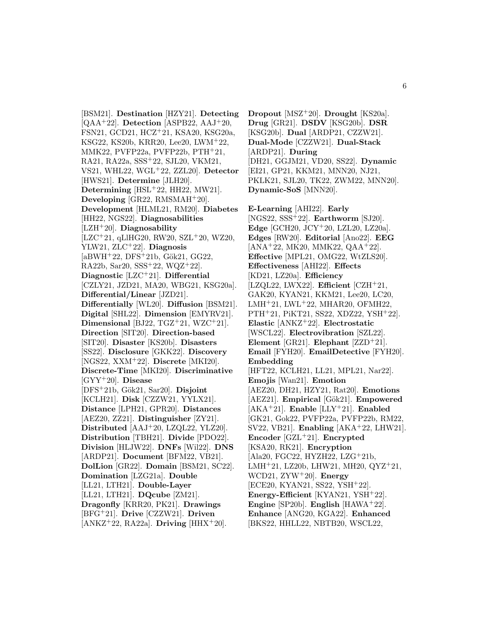[BSM21]. **Destination** [HZY21]. **Detecting** [QAA<sup>+</sup>22]. **Detection** [ASPB22, AAJ<sup>+</sup>20, FSN21, GCD21, HCZ<sup>+</sup>21, KSA20, KSG20a, KSG22, KS20b, KRR20, Lee20, LWM<sup>+</sup>22, MMK22, PVFP22a, PVFP22b, PTH<sup>+</sup>21, RA21, RA22a, SSS<sup>+</sup>22, SJL20, VKM21, VS21, WHL22, WGL<sup>+</sup>22, ZZL20]. **Detector** [HWS21]. **Determine** [JLH20]. **Determining** [HSL<sup>+</sup>22, HH22, MW21]. **Developing** [GR22, RMSMAH<sup>+</sup>20]. **Development** [HLML21, RM20]. **Diabetes** [HH22, NGS22]. **Diagnosabilities** [LZH<sup>+</sup>20]. **Diagnosability**  $[LLC+21, qL]HG20, RW20, SZL+20, WZ20,$ YLW21, ZLC<sup>+</sup>22]. **Diagnosis**  $[aBWH<sup>+</sup>22, DFS<sup>+</sup>21b, Gök21, GG22,$ RA22b, Sar20, SSS<sup>+</sup>22, WQZ<sup>+</sup>22]. **Diagnostic** [LZC<sup>+</sup>21]. **Differential** [CZLY21, JZD21, MA20, WBG21, KSG20a]. **Differential/Linear** [JZD21]. **Differentially** [WL20]. **Diffusion** [BSM21]. **Digital** [SHL22]. **Dimension** [EMYRV21]. **Dimensional** [BJ22, TGZ<sup>+</sup>21, WZC<sup>+</sup>21]. **Direction** [SIT20]. **Direction-based** [SIT20]. **Disaster** [KS20b]. **Disasters** [SS22]. **Disclosure** [GKK22]. **Discovery** [NGS22, XXM<sup>+</sup>22]. **Discrete** [MKI20]. **Discrete-Time** [MKI20]. **Discriminative** [GYY<sup>+</sup>20]. **Disease** [DFS<sup>+</sup>21b, Gök21, Sar20]. Disjoint [KCLH21]. **Disk** [CZZW21, YYLX21]. **Distance** [LPH21, GPR20]. **Distances** [AEZ20, ZZ21]. **Distinguisher** [ZY21]. **Distributed** [AAJ<sup>+</sup>20, LZQL22, YLZ20]. **Distribution** [TBH21]. **Divide** [PDO22]. **Division** [HLJW22]. **DNFs** [Wil22]. **DNS** [ARDP21]. **Document** [BFM22, VB21]. **DolLion** [GR22]. **Domain** [BSM21, SC22]. **Domination** [LZG21a]. **Double** [LL21, LTH21]. **Double-Layer** [LL21, LTH21]. **DQcube** [ZM21]. **Dragonfly** [KRR20, PK21]. **Drawings** [BFG<sup>+</sup>21]. **Drive** [CZZW21]. **Driven** [ANKZ<sup>+</sup>22, RA22a]. **Driving** [HHX<sup>+</sup>20].

**Dropout** [MSZ<sup>+</sup>20]. **Drought** [KS20a]. **Drug** [GR21]. **DSDV** [KSG20b]. **DSR** [KSG20b]. **Dual** [ARDP21, CZZW21]. **Dual-Mode** [CZZW21]. **Dual-Stack** [ARDP21]. **During** [DH21, GGJM21, VD20, SS22]. **Dynamic** [EI21, GP21, KKM21, MNN20, NJ21, PKLK21, SJL20, TK22, ZWM22, MNN20]. **Dynamic-SoS** [MNN20].

**E-Learning** [AHI22]. **Early** [NGS22, SSS<sup>+</sup>22]. **Earthworm** [SJ20]. **Edge** [GCH20, JCY<sup>+</sup>20, LZL20, LZ20a]. **Edges** [RW20]. **Editorial** [Ano22]. **EEG**  $[ANA+22, MK20, MMK22, QAA+22].$ **Effective** [MPL21, OMG22, WtZLS20]. **Effectiveness** [AHI22]. **Effects** [KD21, LZ20a]. **Efficiency** [LZQL22, LWX22]. **Efficient** [CZH<sup>+</sup>21, GAK20, KYAN21, KKM21, Lee20, LC20, LMH<sup>+</sup>21, LWL<sup>+</sup>22, MHAR20, OFMH22, PTH<sup>+</sup>21, PiKT21, SS22, XDZ22, YSH<sup>+</sup>22]. **Elastic** [ANKZ<sup>+</sup>22]. **Electrostatic** [WSCL22]. **Electrovibration** [SZL22]. **Element** [GR21]. **Elephant** [ZZD<sup>+</sup>21]. **Email** [FYH20]. **EmailDetective** [FYH20]. **Embedding** [HFT22, KCLH21, LL21, MPL21, Nar22]. **Emojis** [Wan21]. **Emotion** [AEZ20, DH21, HZY21, Rat20]. **Emotions** [AEZ21]. **Empirical** [Gök21]. **Empowered** [AKA<sup>+</sup>21]. **Enable** [LLY<sup>+</sup>21]. **Enabled** [GK21, Gok22, PVFP22a, PVFP22b, RM22, SV22, VB21]. **Enabling** [AKA<sup>+</sup>22, LHW21]. **Encoder** [GZL<sup>+</sup>21]. **Encrypted** [KSA20, RK21]. **Encryption** [Ala20, FGC22, HYZH22, LZG<sup>+</sup>21b, LMH<sup>+</sup>21, LZ20b, LHW21, MH20, QYZ<sup>+</sup>21, WCD21, ZYW<sup>+</sup>20]. **Energy** [ECE20, KYAN21, SS22, YSH<sup>+</sup>22]. **Energy-Efficient** [KYAN21, YSH<sup>+</sup>22]. **Engine** [SP20b]. **English** [HAWA<sup>+</sup>22]. **Enhance** [ANG20, KGA22]. **Enhanced** [BKS22, HHLL22, NBTB20, WSCL22,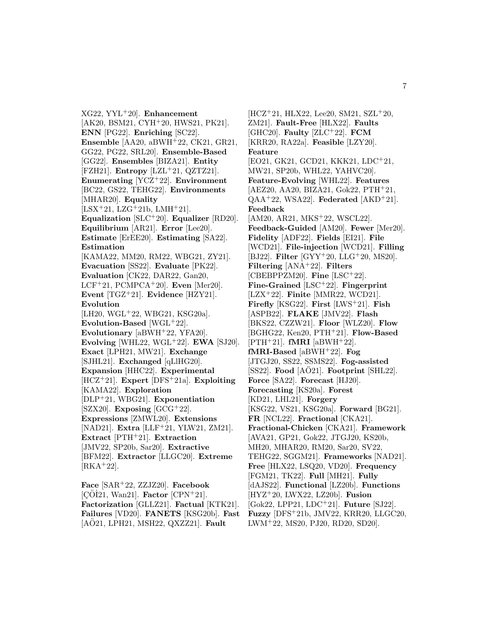XG22, YYL<sup>+</sup>20]. **Enhancement** [AK20, BSM21, CYH<sup>+</sup>20, HWS21, PK21]. **ENN** [PG22]. **Enriching** [SC22]. **Ensemble** [AA20, aBWH<sup>+</sup>22, CK21, GR21, GG22, PG22, SRL20]. **Ensemble-Based** [GG22]. **Ensembles** [BIZA21]. **Entity** [FZH21]. **Entropy** [LZL<sup>+</sup>21, QZTZ21]. **Enumerating** [YCZ<sup>+</sup>22]. **Environment** [BC22, GS22, TEHG22]. **Environments** [MHAR20]. **Equality**  $[LSX+21, LZG+21b, LMH+21].$ **Equalization** [SLC<sup>+</sup>20]. **Equalizer** [RD20]. **Equilibrium** [AR21]. **Error** [Lee20]. **Estimate** [ErEE20]. **Estimating** [SA22]. **Estimation** [KAMA22, MM20, RM22, WBG21, ZY21]. **Evacuation** [SS22]. **Evaluate** [PK22]. **Evaluation** [CK22, DAR22, Gan20, LCF<sup>+</sup>21, PCMPCA<sup>+</sup>20]. **Even** [Mer20]. **Event** [TGZ<sup>+</sup>21]. **Evidence** [HZY21]. **Evolution** [LH20, WGL<sup>+</sup>22, WBG21, KSG20a]. **Evolution-Based** [WGL<sup>+</sup>22]. **Evolutionary** [aBWH<sup>+</sup>22, YFA20]. **Evolving** [WHL22, WGL<sup>+</sup>22]. **EWA** [SJ20]. **Exact** [LPH21, MW21]. **Exchange** [SJHL21]. **Exchanged** [qLlHG20]. **Expansion** [HHC22]. **Experimental** [HCZ<sup>+</sup>21]. **Expert** [DFS<sup>+</sup>21a]. **Exploiting** [KAMA22]. **Exploration** [DLP<sup>+</sup>21, WBG21]. **Exponentiation**  $[SZX20]$ . **Exposing**  $[GCG+22]$ . **Expressions** [ZMWL20]. **Extensions** [NAD21]. **Extra** [LLF<sup>+</sup>21, YLW21, ZM21]. **Extract** [PTH<sup>+</sup>21]. **Extraction** [JMV22, SP20b, Sar20]. **Extractive** [BFM22]. **Extractor** [LLGC20]. **Extreme**  $|RKA+22|.$ 

**Face** [SAR<sup>+</sup>22, ZZJZ20]. **Facebook** [ $CÖI21$ , Wan21]. **Factor** [CPN+21]. **Factorization** [GLLZ21]. **Factual** [KTK21]. **Failures** [VD20]. **FANETS** [KSG20b]. **Fast**  $[A\ddot{O}21, LPH21, MSH22, QXZZ21]$ . **Fault** 

 $[HCZ+21, HLX22, Lee20, SM21, SZL+20,$ ZM21]. **Fault-Free** [HLX22]. **Faults** [GHC20]. **Faulty** [ZLC<sup>+</sup>22]. **FCM** [KRR20, RA22a]. **Feasible** [LZY20]. **Feature** [EO21, GK21, GCD21, KKK21, LDC<sup>+</sup>21, MW21, SP20b, WHL22, YAHVC20]. **Feature-Evolving** [WHL22]. **Features** [AEZ20, AA20, BIZA21, Gok22, PTH<sup>+</sup>21, QAA<sup>+</sup>22, WSA22]. **Federated** [AKD<sup>+</sup>21]. **Feedback** [AM20, AR21, MKS<sup>+</sup>22, WSCL22]. **Feedback-Guided** [AM20]. **Fewer** [Mer20]. **Fidelity** [ADF22]. **Fields** [EI21]. **File** [WCD21]. **File-injection** [WCD21]. **Filling** [BJ22]. **Filter** [GYY<sup>+</sup>20, LLG<sup>+</sup>20, MS20]. **Filtering** [ANA<sup>+</sup>22]. **Filters** [CBEBPPZM20]. **Fine** [LSC<sup>+</sup>22]. **Fine-Grained** [LSC<sup>+</sup>22]. **Fingerprint** [LZX<sup>+</sup>22]. **Finite** [MMR22, WCD21]. **Firefly** [KSG22]. **First** [LWS<sup>+</sup>21]. **Fish** [ASPB22]. **FLAKE** [JMV22]. **Flash** [BKS22, CZZW21]. **Floor** [WLZ20]. **Flow** [BGHG22, Ken20, PTH<sup>+</sup>21]. **Flow-Based** [PTH<sup>+</sup>21]. **fMRI** [aBWH<sup>+</sup>22]. **fMRI-Based** [aBWH<sup>+</sup>22]. **Fog** [JTGJ20, SS22, SSMS22]. **Fog-assisted**  $[SS22]$ . **Food**  $[AO21]$ . **Footprint**  $[SHL22]$ . **Force** [SA22]. **Forecast** [HJ20]. **Forecasting** [KS20a]. **Forest** [KD21, LHL21]. **Forgery** [KSG22, VS21, KSG20a]. **Forward** [BG21]. **FR** [NCL22]. **Fractional** [CKA21]. **Fractional-Chicken** [CKA21]. **Framework** [AVA21, GP21, Gok22, JTGJ20, KS20b, MH20, MHAR20, RM20, Sar20, SV22, TEHG22, SGGM21]. **Frameworks** [NAD21]. **Free** [HLX22, LSQ20, VD20]. **Frequency** [FGM21, TK22]. **Full** [MH21]. **Fully** [dAJS22]. **Functional** [LZ20b]. **Functions** [HYZ<sup>+</sup>20, LWX22, LZ20b]. **Fusion** [Gok22, LPP21, LDC<sup>+</sup>21]. **Future** [SJ22]. **Fuzzy** [DFS<sup>+</sup>21b, JMV22, KRR20, LLGC20, LWM<sup>+</sup>22, MS20, PJ20, RD20, SD20].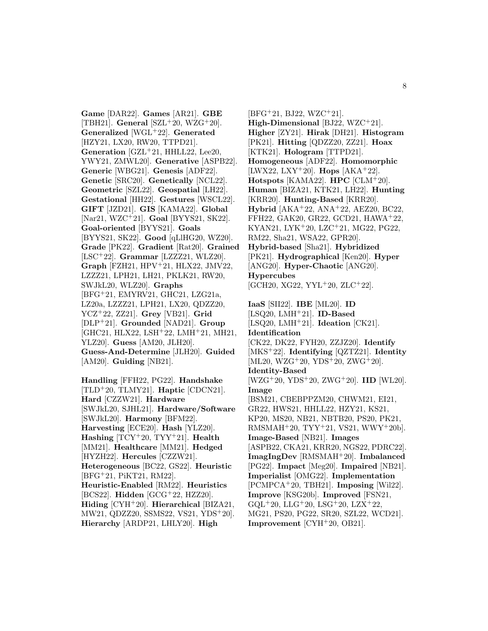**Game** [DAR22]. **Games** [AR21]. **GBE** [TBH21]. **General** [SZL<sup>+</sup>20, WZG<sup>+</sup>20]. **Generalized** [WGL<sup>+</sup>22]. **Generated** [HZY21, LX20, RW20, TTPD21]. Generation<sup>[GZL+21, HHLL22, Lee20,</sup> YWY21, ZMWL20]. **Generative** [ASPB22]. **Generic** [WBG21]. **Genesis** [ADF22]. **Genetic** [SRC20]. **Genetically** [NCL22]. **Geometric** [SZL22]. **Geospatial** [LH22]. **Gestational** [HH22]. **Gestures** [WSCL22]. **GIFT** [JZD21]. **GIS** [KAMA22]. **Global** [Nar21, WZC<sup>+</sup>21]. **Goal** [BYYS21, SK22]. **Goal-oriented** [BYYS21]. **Goals** [BYYS21, SK22]. **Good** [qLlHG20, WZ20]. **Grade** [PK22]. **Gradient** [Rat20]. **Grained** [LSC<sup>+</sup>22]. **Grammar** [LZZZ21, WLZ20]. **Graph** [FZH21, HPV<sup>+</sup>21, HLX22, JMV22, LZZZ21, LPH21, LH21, PKLK21, RW20, SWJkL20, WLZ20]. **Graphs** [BFG<sup>+</sup>21, EMYRV21, GHC21, LZG21a, LZ20a, LZZZ21, LPH21, LX20, QDZZ20, YCZ<sup>+</sup>22, ZZ21]. **Grey** [VB21]. **Grid** [DLP<sup>+</sup>21]. **Grounded** [NAD21]. **Group** [GHC21, HLX22, LSH<sup>+</sup>22, LMH<sup>+</sup>21, MH21, YLZ20]. **Guess** [AM20, JLH20]. **Guess-And-Determine** [JLH20]. **Guided** [AM20]. **Guiding** [NB21].

**Handling** [FFH22, PG22]. **Handshake** [TLD<sup>+</sup>20, TLMY21]. **Haptic** [CDCN21]. **Hard** [CZZW21]. **Hardware** [SWJkL20, SJHL21]. **Hardware/Software** [SWJkL20]. **Harmony** [BFM22]. **Harvesting** [ECE20]. **Hash** [YLZ20]. **Hashing** [TCY<sup>+</sup>20, TYY<sup>+</sup>21]. **Health** [MM21]. **Healthcare** [MM21]. **Hedged** [HYZH22]. **Hercules** [CZZW21]. **Heterogeneous** [BC22, GS22]. **Heuristic** [BFG<sup>+</sup>21, PiKT21, RM22]. **Heuristic-Enabled** [RM22]. **Heuristics** [BCS22]. **Hidden** [GCG<sup>+</sup>22, HZZ20]. **Hiding** [CYH<sup>+</sup>20]. **Hierarchical** [BIZA21, MW21, QDZZ20, SSMS22, VS21, YDS<sup>+</sup>20]. **Hierarchy** [ARDP21, LHLY20]. **High**

 $[BFG+21, BJ22, WZC+21].$ **High-Dimensional** [BJ22, WZC<sup>+</sup>21]. **Higher** [ZY21]. **Hirak** [DH21]. **Histogram** [PK21]. **Hitting** [QDZZ20, ZZ21]. **Hoax** [KTK21]. **Hologram** [TTPD21]. **Homogeneous** [ADF22]. **Homomorphic** [LWX22, LXY<sup>+</sup>20]. **Hops** [AKA<sup>+</sup>22]. **Hotspots** [KAMA22]. **HPC** [CLM<sup>+</sup>20]. **Human** [BIZA21, KTK21, LH22]. **Hunting** [KRR20]. **Hunting-Based** [KRR20]. **Hybrid** [AKA<sup>+</sup>22, ANA<sup>+</sup>22, AEZ20, BC22, FFH22, GAK20, GR22, GCD21, HAWA<sup>+</sup>22, KYAN21, LYK<sup>+</sup>20, LZC<sup>+</sup>21, MG22, PG22, RM22, Sha21, WSA22, GPR20]. **Hybrid-based** [Sha21]. **Hybridized** [PK21]. **Hydrographical** [Ken20]. **Hyper** [ANG20]. **Hyper-Chaotic** [ANG20]. **Hypercubes**  $[GCH20, XG22, YYL<sup>+</sup>20, ZLC<sup>+</sup>22].$ **IaaS** [SII22]. **IBE** [ML20]. **ID** [LSQ20, LMH<sup>+</sup>21]. **ID-Based** [LSQ20, LMH<sup>+</sup>21]. **Ideation** [CK21]. **Identification** [CK22, DK22, FYH20, ZZJZ20]. **Identify** [MKS<sup>+</sup>22]. **Identifying** [QZTZ21]. **Identity** [ML20, WZG<sup>+</sup>20, YDS<sup>+</sup>20, ZWG<sup>+</sup>20]. **Identity-Based** [WZG<sup>+</sup>20, YDS<sup>+</sup>20, ZWG<sup>+</sup>20]. **IID** [WL20]. **Image** [BSM21, CBEBPPZM20, CHWM21, EI21, GR22, HWS21, HHLL22, HZY21, KS21, KP20, MS20, NB21, NBTB20, PS20, PK21, RMSMAH<sup>+</sup>20, TYY<sup>+</sup>21, VS21, WWY<sup>+</sup>20b]. **Image-Based** [NB21]. **Images** [ASPB22, CKA21, KRR20, NGS22, PDRC22]. **ImagIngDev** [RMSMAH<sup>+</sup>20]. **Imbalanced** [PG22]. **Impact** [Meg20]. **Impaired** [NB21]. **Imperialist** [OMG22]. **Implementation** [PCMPCA<sup>+</sup>20, TBH21]. **Imposing** [Wil22]. **Improve** [KSG20b]. **Improved** [FSN21,  $GQL+20$ ,  $LLG+20$ ,  $LSG+20$ ,  $LZX+22$ , MG21, PS20, PG22, SR20, SZL22, WCD21]. **Improvement** [CYH<sup>+</sup>20, OB21].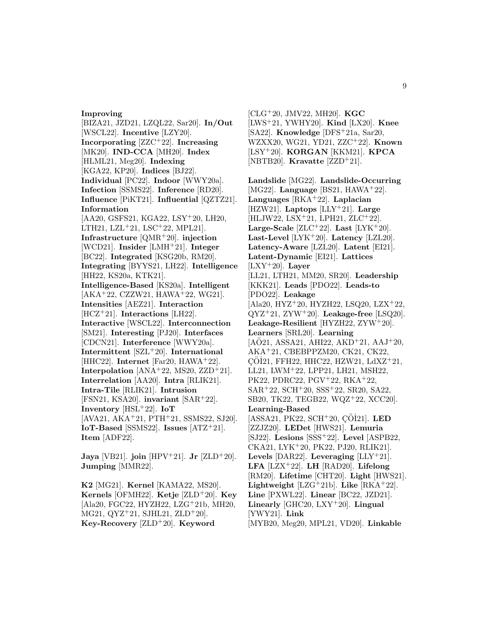#### **Improving**

[BIZA21, JZD21, LZQL22, Sar20]. **In/Out** [WSCL22]. **Incentive** [LZY20]. **Incorporating** [ZZC<sup>+</sup>22]. **Increasing** [MK20]. **IND-CCA** [MH20]. **Index** [HLML21, Meg20]. **Indexing** [KGA22, KP20]. **Indices** [BJ22]. **Individual** [PC22]. **Indoor** [WWY20a]. **Infection** [SSMS22]. **Inference** [RD20]. **Influence** [PiKT21]. **Influential** [QZTZ21]. **Information** [AA20, GSFS21, KGA22, LSY<sup>+</sup>20, LH20, LTH21, LZL<sup>+</sup>21, LSC<sup>+</sup>22, MPL21]. **Infrastructure** [QMR<sup>+</sup>20]. **injection** [WCD21]. **Insider** [LMH<sup>+</sup>21]. **Integer** [BC22]. **Integrated** [KSG20b, RM20]. **Integrating** [BYYS21, LH22]. **Intelligence** [HH22, KS20a, KTK21]. **Intelligence-Based** [KS20a]. **Intelligent** [AKA<sup>+</sup>22, CZZW21, HAWA<sup>+</sup>22, WG21]. **Intensities** [AEZ21]. **Interaction** [HCZ<sup>+</sup>21]. **Interactions** [LH22]. **Interactive** [WSCL22]. **Interconnection** [SM21]. **Interesting** [PJ20]. **Interfaces** [CDCN21]. **Interference** [WWY20a]. **Intermittent** [SZL<sup>+</sup>20]. **International** [HHC22]. **Internet** [Far20, HAWA<sup>+</sup>22]. **Interpolation**  $[ANA+22, MS20, ZZD+21]$ . **Interrelation** [AA20]. **Intra** [RLIK21]. **Intra-Tile** [RLIK21]. **Intrusion** [FSN21, KSA20]. **invariant** [SAR<sup>+</sup>22]. **Inventory** [ $HSL+22$ ]. **IoT**  $[AVA21, AKA+21, PTH+21, SSMS22, SJ20].$ **IoT-Based** [SSMS22]. **Issues** [ATZ<sup>+</sup>21]. **Item** [ADF22].

**Jaya** [VB21]. **join** [HPV<sup>+</sup>21]. **Jr** [ZLD<sup>+</sup>20]. **Jumping** [MMR22].

**K2** [MG21]. **Kernel** [KAMA22, MS20]. **Kernels** [OFMH22]. **Ketje** [ZLD<sup>+</sup>20]. **Key** [Ala20, FGC22, HYZH22, LZG<sup>+</sup>21b, MH20,  $MG21, QYZ+21, SJHL21, ZLD+20$ . **Key-Recovery** [ZLD<sup>+</sup>20]. **Keyword**

[CLG<sup>+</sup>20, JMV22, MH20]. **KGC** [LWS<sup>+</sup>21, YWHY20]. **Kind** [LX20]. **Knee** [SA22]. **Knowledge** [DFS<sup>+</sup>21a, Sar20, WZXX20, WG21, YD21, ZZC<sup>+</sup>22]. **Known** [LSY<sup>+</sup>20]. **KORGAN** [KKM21]. **KPCA** [NBTB20]. **Kravatte** [ZZD<sup>+</sup>21].

**Landslide** [MG22]. **Landslide-Occurring** [MG22]. **Language** [BS21, HAWA<sup>+</sup>22]. **Languages** [RKA<sup>+</sup>22]. **Laplacian** [HZW21]. **Laptops** [LLY<sup>+</sup>21]. **Large** [HLJW22, LSX<sup>+</sup>21, LPH21, ZLC<sup>+</sup>22]. **Large-Scale**  $[ZLC+22]$ . **Last**  $[LYK+20]$ . **Last-Level** [LYK<sup>+</sup>20]. **Latency** [LZL20]. **Latency-Aware** [LZL20]. **Latent** [EI21]. **Latent-Dynamic** [EI21]. **Lattices**  $[{\rm LXY}^+20]$ . **Layer** [LL21, LTH21, MM20, SR20]. **Leadership** [KKK21]. **Leads** [PDO22]. **Leads-to** [PDO22]. **Leakage** [Ala20, HYZ<sup>+</sup>20, HYZH22, LSQ20, LZX<sup>+</sup>22, QYZ<sup>+</sup>21, ZYW<sup>+</sup>20]. **Leakage-free** [LSQ20]. **Leakage-Resilient** [HYZH22, ZYW<sup>+</sup>20]. **Learners** [SRL20]. **Learning**  $[A\ddot{O}21, ASSA21, AHI22, AKD+21, AAJ+20,$ AKA<sup>+</sup>21, CBEBPPZM20, CK21, CK22, ÇÖİ21, FFH22, HHC22, HZW21, LdXZ<sup>+</sup>21, LL21, LWM<sup>+</sup>22, LPP21, LH21, MSH22, PK22, PDRC22, PGV<sup>+</sup>22, RKA<sup>+</sup>22, SAR<sup>+</sup>22, SCH<sup>+</sup>20, SSS<sup>+</sup>22, SR20, SA22, SB20, TK22, TEGB22, WQZ<sup>+</sup>22, XCC20]. **Learning-Based** [ASSA21, PK22, SCH<sup>+</sup>20, ÇÖİ21]. LED [ZZJZ20]. **LEDet** [HWS21]. **Lemuria** [SJ22]. **Lesions** [SSS<sup>+</sup>22]. **Level** [ASPB22, CKA21, LYK<sup>+</sup>20, PK22, PJ20, RLIK21]. **Levels** [DAR22]. **Leveraging** [LLY<sup>+</sup>21]. **LFA** [LZX<sup>+</sup>22]. **LH** [RAD20]. **Lifelong** [RM20]. **Lifetime** [CHT20]. **Light** [HWS21]. **Lightweight** [LZG<sup>+</sup>21b]. **Like** [RKA<sup>+</sup>22]. **Line** [PXWL22]. **Linear** [BC22, JZD21]. **Linearly** [GHC20, LXY<sup>+</sup>20]. **Lingual** [YWY21]. **Link** [MYB20, Meg20, MPL21, VD20]. **Linkable**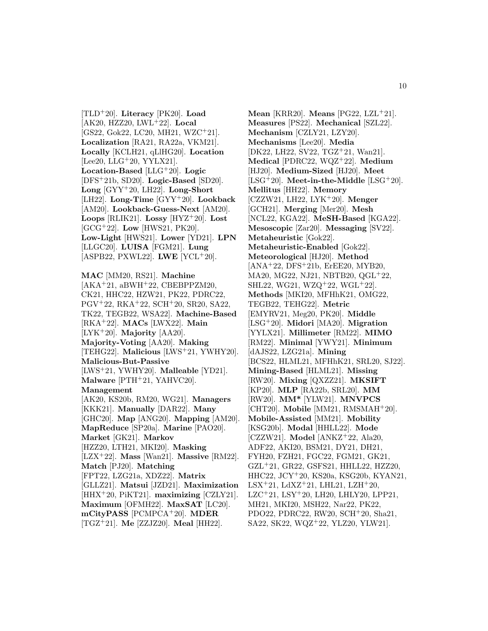[TLD<sup>+</sup>20]. **Literacy** [PK20]. **Load** [AK20, HZZ20, LWL<sup>+</sup>22]. **Local** [GS22, Gok22, LC20, MH21, WZC<sup>+</sup>21]. **Localization** [RA21, RA22a, VKM21]. **Locally** [KCLH21, qLlHG20]. **Location** [Lee20, LLG<sup>+</sup>20, YYLX21]. **Location-Based** [LLG<sup>+</sup>20]. **Logic** [DFS<sup>+</sup>21b, SD20]. **Logic-Based** [SD20]. **Long** [GYY<sup>+</sup>20, LH22]. **Long-Short** [LH22]. **Long-Time** [GYY<sup>+</sup>20]. **Lookback** [AM20]. **Lookback-Guess-Next** [AM20]. **Loops** [RLIK21]. **Lossy** [HYZ<sup>+</sup>20]. **Lost** [GCG<sup>+</sup>22]. **Low** [HWS21, PK20]. **Low-Light** [HWS21]. **Lower** [YD21]. **LPN** [LLGC20]. **LUISA** [FGM21]. **Lung** [ASPB22, PXWL22]. **LWE** [YCL<sup>+</sup>20].

**MAC** [MM20, RS21]. **Machine**  $[AKA+21, aBWH+22, CBEBPPZM20,$ CK21, HHC22, HZW21, PK22, PDRC22, PGV<sup>+</sup>22, RKA<sup>+</sup>22, SCH<sup>+</sup>20, SR20, SA22, TK22, TEGB22, WSA22]. **Machine-Based** [RKA<sup>+</sup>22]. **MACs** [LWX22]. **Main** [LYK<sup>+</sup>20]. **Majority** [AA20]. **Majority-Voting** [AA20]. **Making** [TEHG22]. **Malicious** [LWS<sup>+</sup>21, YWHY20]. **Malicious-But-Passive** [LWS<sup>+</sup>21, YWHY20]. **Malleable** [YD21]. **Malware** [PTH<sup>+</sup>21, YAHVC20]. **Management** [AK20, KS20b, RM20, WG21]. **Managers** [KKK21]. **Manually** [DAR22]. **Many** [GHC20]. **Map** [ANG20]. **Mapping** [AM20]. **MapReduce** [SP20a]. **Marine** [PAO20]. **Market** [GK21]. **Markov** [HZZ20, LTH21, MKI20]. **Masking** [LZX<sup>+</sup>22]. **Mass** [Wan21]. **Massive** [RM22]. **Match** [PJ20]. **Matching** [FPT22, LZG21a, XDZ22]. **Matrix** [GLLZ21]. **Matsui** [JZD21]. **Maximization** [HHX<sup>+</sup>20, PiKT21]. **maximizing** [CZLY21]. **Maximum** [OFMH22]. **MaxSAT** [LC20]. **mCityPASS** [PCMPCA<sup>+</sup>20]. **MDER** [TGZ<sup>+</sup>21]. **Me** [ZZJZ20]. **Meal** [HH22].

**Mean** [KRR20]. **Means** [PG22, LZL<sup>+</sup>21]. **Measures** [PS22]. **Mechanical** [SZL22]. **Mechanism** [CZLY21, LZY20]. **Mechanisms** [Lee20]. **Media** [DK22, LH22, SV22, TGZ<sup>+</sup>21, Wan21]. **Medical** [PDRC22, WQZ<sup>+</sup>22]. **Medium** [HJ20]. **Medium-Sized** [HJ20]. **Meet** [LSG<sup>+</sup>20]. **Meet-in-the-Middle** [LSG<sup>+</sup>20]. **Mellitus** [HH22]. **Memory** [CZZW21, LH22, LYK<sup>+</sup>20]. **Menger** [GCH21]. **Merging** [Mer20]. **Mesh** [NCL22, KGA22]. **MeSH-Based** [KGA22]. **Mesoscopic** [Zar20]. **Messaging** [SV22]. **Metaheuristic** [Gok22]. **Metaheuristic-Enabled** [Gok22]. **Meteorological** [HJ20]. **Method** [ANA<sup>+</sup>22, DFS<sup>+</sup>21b, ErEE20, MYB20, MA20, MG22, NJ21, NBTB20, QGL<sup>+</sup>22, SHL22, WG21, WZQ<sup>+</sup>22, WGL<sup>+</sup>22. **Methods** [MKI20, MFHhK21, OMG22, TEGB22, TEHG22]. **Metric** [EMYRV21, Meg20, PK20]. **Middle** [LSG<sup>+</sup>20]. **Midori** [MA20]. **Migration** [YYLX21]. **Millimeter** [RM22]. **MIMO** [RM22]. **Minimal** [YWY21]. **Minimum** [dAJS22, LZG21a]. **Mining** [BCS22, HLML21, MFHhK21, SRL20, SJ22]. **Mining-Based** [HLML21]. **Missing** [RW20]. **Mixing** [QXZZ21]. **MKSIFT** [KP20]. **MLP** [RA22b, SRL20]. **MM** [RW20]. **MM\*** [YLW21]. **MNVPCS** [CHT20]. **Mobile** [MM21, RMSMAH<sup>+</sup>20]. **Mobile-Assisted** [MM21]. **Mobility** [KSG20b]. **Modal** [HHLL22]. **Mode** [CZZW21]. **Model** [ANKZ<sup>+</sup>22, Ala20, ADF22, AKI20, BSM21, DY21, DH21, FYH20, FZH21, FGC22, FGM21, GK21, GZL<sup>+</sup>21, GR22, GSFS21, HHLL22, HZZ20, HHC22, JCY<sup>+</sup>20, KS20a, KSG20b, KYAN21, LSX<sup>+</sup>21, LdXZ<sup>+</sup>21, LHL21, LZH<sup>+</sup>20, LZC<sup>+</sup>21, LSY<sup>+</sup>20, LH20, LHLY20, LPP21, MH21, MKI20, MSH22, Nar22, PK22, PDO22, PDRC22, RW20, SCH<sup>+</sup>20, Sha21, SA22, SK22, WQZ<sup>+</sup>22, YLZ20, YLW21].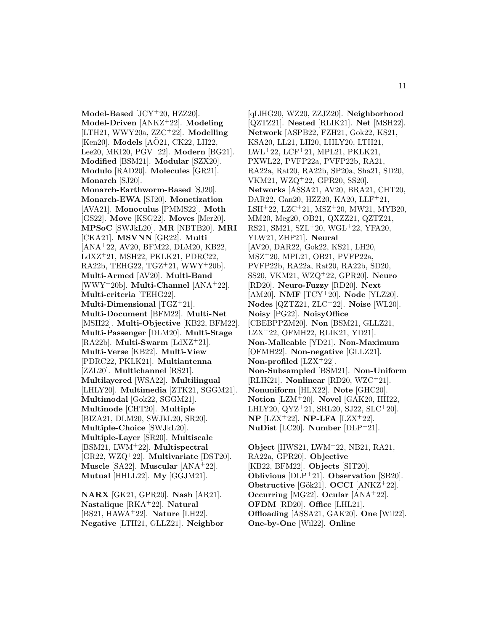**Model-Based** [JCY<sup>+</sup>20, HZZ20]. **Model-Driven** [ANKZ<sup>+</sup>22]. **Modeling** [LTH21, WWY20a, ZZC<sup>+</sup>22]. **Modelling** [Ken20]. **Models** [AÖ21, CK22, LH22, Lee20, MKI20, PGV<sup>+</sup>22]. **Modern** [BG21]. **Modified** [BSM21]. **Modular** [SZX20]. **Modulo** [RAD20]. **Molecules** [GR21]. **Monarch** [SJ20]. **Monarch-Earthworm-Based** [SJ20]. **Monarch-EWA** [SJ20]. **Monetization** [AVA21]. **Monoculus** [PMMS22]. **Moth** [GS22]. **Move** [KSG22]. **Moves** [Mer20]. **MPSoC** [SWJkL20]. **MR** [NBTB20]. **MRI** [CKA21]. **MSVNN** [GR22]. **Multi** [ANA<sup>+</sup>22, AV20, BFM22, DLM20, KB22, LdXZ<sup>+</sup>21, MSH22, PKLK21, PDRC22, RA22b, TEHG22, TGZ<sup>+</sup>21, WWY<sup>+</sup>20b]. **Multi-Armed** [AV20]. **Multi-Band** [WWY<sup>+</sup>20b]. **Multi-Channel** [ANA<sup>+</sup>22]. **Multi-criteria** [TEHG22]. **Multi-Dimensional** [TGZ<sup>+</sup>21]. **Multi-Document** [BFM22]. **Multi-Net** [MSH22]. **Multi-Objective** [KB22, BFM22]. **Multi-Passenger** [DLM20]. **Multi-Stage** [RA22b]. **Multi-Swarm** [LdXZ<sup>+</sup>21]. **Multi-Verse** [KB22]. **Multi-View** [PDRC22, PKLK21]. **Multiantenna** [ZZL20]. **Multichannel** [RS21]. **Multilayered** [WSA22]. **Multilingual** [LHLY20]. **Multimedia** [ZTK21, SGGM21]. **Multimodal** [Gok22, SGGM21]. **Multinode** [CHT20]. **Multiple** [BIZA21, DLM20, SWJkL20, SR20]. **Multiple-Choice** [SWJkL20]. **Multiple-Layer** [SR20]. **Multiscale** [BSM21, LWM<sup>+</sup>22]. **Multispectral** [GR22, WZQ<sup>+</sup>22]. **Multivariate** [DST20]. **Muscle** [SA22]. **Muscular** [ANA<sup>+</sup>22]. **Mutual** [HHLL22]. **My** [GGJM21].

**NARX** [GK21, GPR20]. **Nash** [AR21]. **Nastalique** [RKA<sup>+</sup>22]. **Natural** [BS21, HAWA<sup>+</sup>22]. **Nature** [LH22]. **Negative** [LTH21, GLLZ21]. **Neighbor**

[qLlHG20, WZ20, ZZJZ20]. **Neighborhood** [QZTZ21]. **Nested** [RLIK21]. **Net** [MSH22]. **Network** [ASPB22, FZH21, Gok22, KS21, KSA20, LL21, LH20, LHLY20, LTH21, LWL<sup>+</sup>22, LCF<sup>+</sup>21, MPL21, PKLK21, PXWL22, PVFP22a, PVFP22b, RA21, RA22a, Rat20, RA22b, SP20a, Sha21, SD20, VKM21, WZQ<sup>+</sup>22, GPR20, SS20]. **Networks** [ASSA21, AV20, BRA21, CHT20, DAR22, Gan20, HZZ20, KA20, LLF<sup>+</sup>21, LSH<sup>+</sup>22, LZC<sup>+</sup>21, MSZ<sup>+</sup>20, MW21, MYB20, MM20, Meg20, OB21, QXZZ21, QZTZ21, RS21, SM21, SZL<sup>+</sup>20, WGL<sup>+</sup>22, YFA20, YLW21, ZHP21]. **Neural** [AV20, DAR22, Gok22, KS21, LH20, MSZ<sup>+</sup>20, MPL21, OB21, PVFP22a, PVFP22b, RA22a, Rat20, RA22b, SD20, SS20, VKM21, WZQ<sup>+</sup>22, GPR20]. **Neuro** [RD20]. **Neuro-Fuzzy** [RD20]. **Next** [AM20]. **NMF** [TCY<sup>+</sup>20]. **Node** [YLZ20]. **Nodes** [QZTZ21, ZLC<sup>+</sup>22]. **Noise** [WL20]. **Noisy** [PG22]. **NoisyOffice** [CBEBPPZM20]. **Non** [BSM21, GLLZ21, LZX<sup>+</sup>22, OFMH22, RLIK21, YD21]. **Non-Malleable** [YD21]. **Non-Maximum** [OFMH22]. **Non-negative** [GLLZ21]. **Non-profiled** [LZX<sup>+</sup>22]. **Non-Subsampled** [BSM21]. **Non-Uniform** [RLIK21]. **Nonlinear** [RD20, WZC<sup>+</sup>21]. **Nonuniform** [HLX22]. **Note** [GHC20]. **Notion** [LZM<sup>+</sup>20]. **Novel** [GAK20, HH22, LHLY20,  $QYZ^+21$ , SRL20, SJ22, SLC<sup>+</sup>20]. **NP** [LZX<sup>+</sup>22]. **NP-LFA** [LZX<sup>+</sup>22]. **NuDist** [LC20]. **Number** [DLP<sup>+</sup>21].

**Object** [HWS21, LWM<sup>+</sup>22, NB21, RA21, RA22a, GPR20]. **Objective** [KB22, BFM22]. **Objects** [SIT20]. **Oblivious** [DLP<sup>+</sup>21]. **Observation** [SB20]. **Obstructive** [Gök21]. **OCCI** [ANKZ<sup>+</sup>22]. **Occurring** [MG22]. **Ocular** [ANA<sup>+</sup>22]. **OFDM** [RD20]. **Office** [LHL21]. **Offloading** [ASSA21, GAK20]. **One** [Wil22]. **One-by-One** [Wil22]. **Online**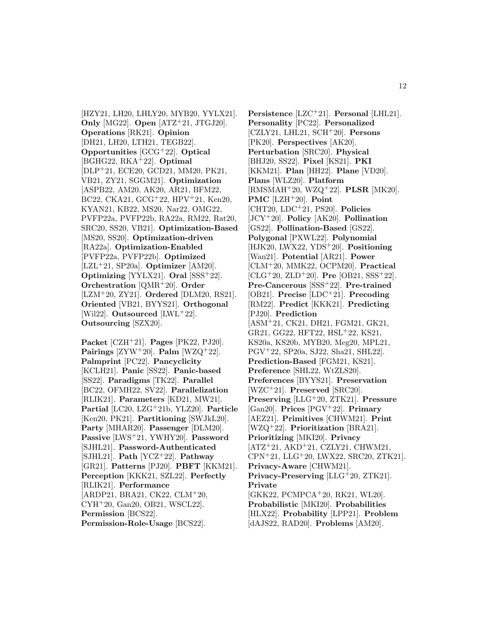[HZY21, LH20, LHLY20, MYB20, YYLX21]. **Only** [MG22]. **Open** [ATZ<sup>+</sup>21, JTGJ20]. **Operations** [RK21]. **Opinion** [DH21, LH20, LTH21, TEGB22]. **Opportunities** [GCG<sup>+</sup>22]. **Optical** [BGHG22, RKA<sup>+</sup>22]. **Optimal** [DLP<sup>+</sup>21, ECE20, GCD21, MM20, PK21, VB21, ZY21, SGGM21]. **Optimization** [ASPB22, AM20, AK20, AR21, BFM22, BC22, CKA21, GCG<sup>+</sup>22, HPV<sup>+</sup>21, Ken20, KYAN21, KB22, MS20, Nar22, OMG22, PVFP22a, PVFP22b, RA22a, RM22, Rat20, SRC20, SS20, VB21]. **Optimization-Based** [MS20, SS20]. **Optimization-driven** [RA22a]. **Optimization-Enabled** [PVFP22a, PVFP22b]. **Optimized** [LZL<sup>+</sup>21, SP20a]. **Optimizer** [AM20]. **Optimizing** [YYLX21]. **Oral** [SSS<sup>+</sup>22]. **Orchestration** [QMR<sup>+</sup>20]. **Order** [LZM<sup>+</sup>20, ZY21]. **Ordered** [DLM20, RS21]. **Oriented** [VB21, BYYS21]. **Orthogonal** [Wil22]. **Outsourced** [LWL<sup>+</sup>22]. **Outsourcing** [SZX20].

**Packet** [CZH<sup>+</sup>21]. **Pages** [PK22, PJ20]. **Pairings**  $[ZYW^+20]$ . **Palm**  $[WZQ^+22]$ . **Palmprint** [PC22]. **Pancyclicity** [KCLH21]. **Panic** [SS22]. **Panic-based** [SS22]. **Paradigms** [TK22]. **Parallel** [BC22, OFMH22, SV22]. **Parallelization** [RLIK21]. **Parameters** [KD21, MW21]. **Partial** [LC20, LZG<sup>+</sup>21b, YLZ20]. **Particle** [Ken20, PK21]. **Partitioning** [SWJkL20]. **Party** [MHAR20]. **Passenger** [DLM20]. **Passive** [LWS<sup>+</sup>21, YWHY20]. **Password** [SJHL21]. **Password-Authenticated** [SJHL21]. **Path** [YCZ<sup>+</sup>22]. **Pathway** [GR21]. **Patterns** [PJ20]. **PBFT** [KKM21]. **Perception** [KKK21, SZL22]. **Perfectly** [RLIK21]. **Performance** [ARDP21, BRA21, CK22, CLM<sup>+</sup>20, CYH<sup>+</sup>20, Gan20, OB21, WSCL22]. **Permission** [BCS22]. **Permission-Role-Usage** [BCS22].

**Persistence** [LZC<sup>+</sup>21]. **Personal** [LHL21]. **Personality** [PC22]. **Personalized** [CZLY21, LHL21, SCH<sup>+</sup>20]. **Persons** [PK20]. **Perspectives** [AK20]. **Perturbation** [SRC20]. **Physical** [BHJ20, SS22]. **Pixel** [KS21]. **PKI** [KKM21]. **Plan** [HH22]. **Plane** [VD20]. **Plans** [WLZ20]. **Platform** [RMSMAH<sup>+</sup>20, WZQ<sup>+</sup>22]. **PLSR** [MK20]. **PMC** [LZH<sup>+</sup>20]. **Point** [CHT20, LDC<sup>+</sup>21, PS20]. **Policies** [JCY<sup>+</sup>20]. **Policy** [AK20]. **Pollination** [GS22]. **Pollination-Based** [GS22]. **Polygonal** [PXWL22]. **Polynomial** [HJK20, LWX22, YDS<sup>+</sup>20]. **Positioning** [Wan21]. **Potential** [AR21]. **Power** [CLM<sup>+</sup>20, MMK22, OCPM20]. **Practical** [CLG<sup>+</sup>20, ZLD<sup>+</sup>20]. **Pre** [OB21, SSS<sup>+</sup>22]. **Pre-Cancerous** [SSS<sup>+</sup>22]. **Pre-trained** [OB21]. **Precise** [LDC<sup>+</sup>21]. **Precoding** [RM22]. **Predict** [KKK21]. **Predicting** [PJ20]. **Prediction** [ASM<sup>+</sup>21, CK21, DH21, FGM21, GK21, GR21, GG22, HFT22, HSL<sup>+</sup>22, KS21, KS20a, KS20b, MYB20, Meg20, MPL21, PGV<sup>+</sup>22, SP20a, SJ22, Sha21, SHL22]. **Prediction-Based** [FGM21, KS21]. **Preference** [SHL22, WtZLS20]. **Preferences** [BYYS21]. **Preservation** [WZC<sup>+</sup>21]. **Preserved** [SRC20]. **Preserving** [LLG<sup>+</sup>20, ZTK21]. **Pressure** [Gan20]. **Prices** [PGV<sup>+</sup>22]. **Primary** [AEZ21]. **Primitives** [CHWM21]. **Print** [WZQ<sup>+</sup>22]. **Prioritization** [BRA21]. **Prioritizing** [MKI20]. **Privacy** [ATZ<sup>+</sup>21, AKD<sup>+</sup>21, CZLY21, CHWM21, CPN<sup>+</sup>21, LLG<sup>+</sup>20, LWX22, SRC20, ZTK21]. **Privacy-Aware** [CHWM21]. **Privacy-Preserving** [LLG<sup>+</sup>20, ZTK21]. **Private** [GKK22, PCMPCA<sup>+</sup>20, RK21, WL20]. **Probabilistic** [MKI20]. **Probabilities** [HLX22]. **Probability** [LPP21]. **Problem** [dAJS22, RAD20]. **Problems** [AM20].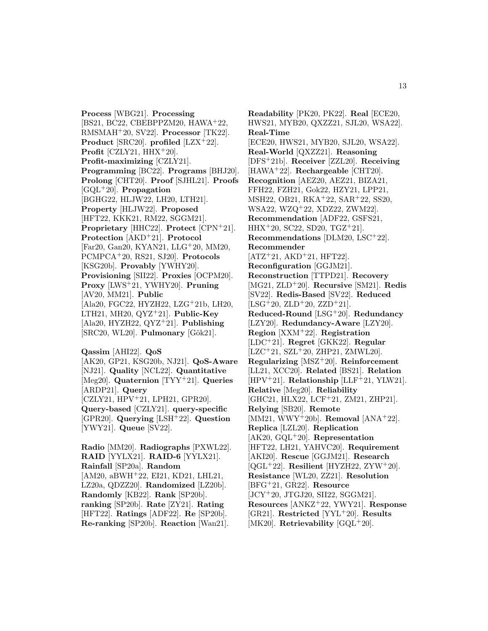**Process** [WBG21]. **Processing** [BS21, BC22, CBEBPPZM20, HAWA<sup>+</sup>22, RMSMAH<sup>+</sup>20, SV22]. **Processor** [TK22]. **Product** [SRC20]. **profiled** [LZX<sup>+</sup>22]. **Profit**  $\left[{\rm CZLY21}, {\rm HHX^+20}\right]$ . **Profit-maximizing** [CZLY21]. **Programming** [BC22]. **Programs** [BHJ20]. **Prolong** [CHT20]. **Proof** [SJHL21]. **Proofs** [GQL<sup>+</sup>20]. **Propagation** [BGHG22, HLJW22, LH20, LTH21]. **Property** [HLJW22]. **Proposed** [HFT22, KKK21, RM22, SGGM21]. **Proprietary** [HHC22]. **Protect** [CPN<sup>+</sup>21]. **Protection** [AKD<sup>+</sup>21]. **Protocol** [Far20, Gan20, KYAN21, LLG<sup>+</sup>20, MM20, PCMPCA<sup>+</sup>20, RS21, SJ20]. **Protocols** [KSG20b]. **Provably** [YWHY20]. **Provisioning** [SII22]. **Proxies** [OCPM20]. **Proxy** [LWS<sup>+</sup>21, YWHY20]. **Pruning** [AV20, MM21]. **Public** [Ala20, FGC22, HYZH22, LZG<sup>+</sup>21b, LH20, LTH21, MH20, QYZ<sup>+</sup>21]. **Public-Key** [Ala20, HYZH22, QYZ<sup>+</sup>21]. **Publishing** [SRC20, WL20]. **Pulmonary** [Gök21]. **Qassim** [AHI22]. **QoS** [AK20, GP21, KSG20b, NJ21]. **QoS-Aware** [NJ21]. **Quality** [NCL22]. **Quantitative**

[Meg20]. **Quaternion** [TYY<sup>+</sup>21]. **Queries** [ARDP21]. **Query** [CZLY21, HPV<sup>+</sup>21, LPH21, GPR20]. **Query-based** [CZLY21]. **query-specific** [GPR20]. **Querying** [LSH<sup>+</sup>22]. **Question** [YWY21]. **Queue** [SV22].

**Radio** [MM20]. **Radiographs** [PXWL22]. **RAID** [YYLX21]. **RAID-6** [YYLX21]. **Rainfall** [SP20a]. **Random** [AM20, aBWH<sup>+</sup>22, EI21, KD21, LHL21, LZ20a, QDZZ20]. **Randomized** [LZ20b]. **Randomly** [KB22]. **Rank** [SP20b]. **ranking** [SP20b]. **Rate** [ZY21]. **Rating** [HFT22]. **Ratings** [ADF22]. **Re** [SP20b]. **Re-ranking** [SP20b]. **Reaction** [Wan21].

**Readability** [PK20, PK22]. **Real** [ECE20, HWS21, MYB20, QXZZ21, SJL20, WSA22]. **Real-Time** [ECE20, HWS21, MYB20, SJL20, WSA22]. **Real-World** [QXZZ21]. **Reasoning** [DFS<sup>+</sup>21b]. **Receiver** [ZZL20]. **Receiving** [HAWA<sup>+</sup>22]. **Rechargeable** [CHT20]. **Recognition** [AEZ20, AEZ21, BIZA21, FFH22, FZH21, Gok22, HZY21, LPP21, MSH22, OB21, RKA<sup>+</sup>22, SAR<sup>+</sup>22, SS20, WSA22, WZQ<sup>+</sup>22, XDZ22, ZWM22]. **Recommendation** [ADF22, GSFS21, HHX<sup>+</sup>20, SC22, SD20, TGZ<sup>+</sup>21]. **Recommendations** [DLM20, LSC<sup>+</sup>22]. **Recommender**  $[ATZ+21, AKD+21, HFT22].$ **Reconfiguration** [GGJM21]. **Reconstruction** [TTPD21]. **Recovery** [MG21, ZLD<sup>+</sup>20]. **Recursive** [SM21]. **Redis** [SV22]. **Redis-Based** [SV22]. **Reduced**  $[LSG+20, ZLD+20, ZZD+21].$ **Reduced-Round** [LSG<sup>+</sup>20]. **Redundancy** [LZY20]. **Redundancy-Aware** [LZY20]. **Region** [XXM<sup>+</sup>22]. **Registration** [LDC<sup>+</sup>21]. **Regret** [GKK22]. **Regular**  $[LZC+21, SZL+20, ZHP21, ZMWL20].$ **Regularizing** [MSZ<sup>+</sup>20]. **Reinforcement** [LL21, XCC20]. **Related** [BS21]. **Relation** [HPV<sup>+</sup>21]. **Relationship** [LLF<sup>+</sup>21, YLW21]. **Relative** [Meg20]. **Reliability** [GHC21, HLX22, LCF<sup>+</sup>21, ZM21, ZHP21]. **Relying** [SB20]. **Remote** [MM21, WWY<sup>+</sup>20b]. **Removal** [ANA<sup>+</sup>22]. **Replica** [LZL20]. **Replication** [AK20, GQL<sup>+</sup>20]. **Representation** [HFT22, LH21, YAHVC20]. **Requirement** [AKI20]. **Rescue** [GGJM21]. **Research** [QGL<sup>+</sup>22]. **Resilient** [HYZH22, ZYW<sup>+</sup>20]. **Resistance** [WL20, ZZ21]. **Resolution** [BFG<sup>+</sup>21, GR22]. **Resource** [JCY<sup>+</sup>20, JTGJ20, SII22, SGGM21]. **Resources** [ANKZ<sup>+</sup>22, YWY21]. **Response** [GR21]. **Restricted** [YYL<sup>+</sup>20]. **Results** [MK20]. **Retrievability** [GQL<sup>+</sup>20].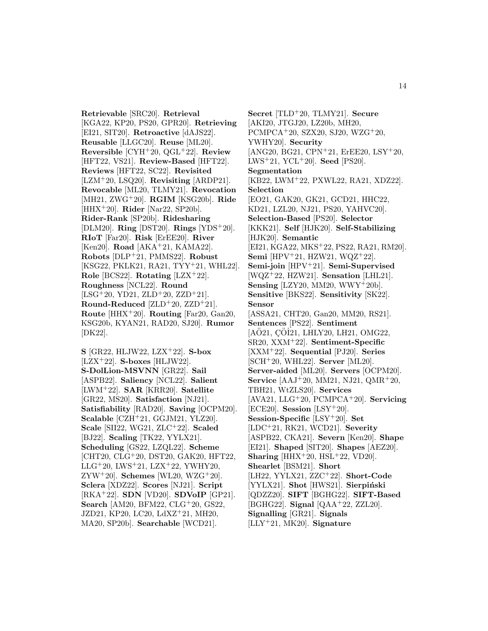**Retrievable** [SRC20]. **Retrieval** [KGA22, KP20, PS20, GPR20]. **Retrieving** [EI21, SIT20]. **Retroactive** [dAJS22]. **Reusable** [LLGC20]. **Reuse** [ML20]. **Reversible** [CYH<sup>+</sup>20, QGL<sup>+</sup>22]. **Review** [HFT22, VS21]. **Review-Based** [HFT22]. **Reviews** [HFT22, SC22]. **Revisited** [LZM<sup>+</sup>20, LSQ20]. **Revisiting** [ARDP21]. **Revocable** [ML20, TLMY21]. **Revocation** [MH21, ZWG<sup>+</sup>20]. **RGIM** [KSG20b]. **Ride** [HHX<sup>+</sup>20]. **Rider** [Nar22, SP20b]. **Rider-Rank** [SP20b]. **Ridesharing** [DLM20]. **Ring** [DST20]. **Rings** [YDS<sup>+</sup>20]. **RIoT** [Far20]. **Risk** [ErEE20]. **River** [Ken20]. **Road** [AKA<sup>+</sup>21, KAMA22]. **Robots** [DLP<sup>+</sup>21, PMMS22]. **Robust** [KSG22, PKLK21, RA21, TYY<sup>+</sup>21, WHL22]. **Role** [BCS22]. **Rotating** [LZX<sup>+</sup>22]. **Roughness** [NCL22]. **Round**  $[LSG+20, YD21, ZLD+20, ZZD+21].$ **Round-Reduced** [ZLD<sup>+</sup>20, ZZD<sup>+</sup>21]. **Route** [HHX<sup>+</sup>20]. **Routing** [Far20, Gan20, KSG20b, KYAN21, RAD20, SJ20]. **Rumor** [DK22].

**S** [GR22, HLJW22, LZX<sup>+</sup>22]. **S-box** [LZX<sup>+</sup>22]. **S-boxes** [HLJW22]. **S-DolLion-MSVNN** [GR22]. **Sail** [ASPB22]. **Saliency** [NCL22]. **Salient** [LWM<sup>+</sup>22]. **SAR** [KRR20]. **Satellite** [GR22, MS20]. **Satisfaction** [NJ21]. **Satisfiability** [RAD20]. **Saving** [OCPM20]. **Scalable** [CZH<sup>+</sup>21, GGJM21, YLZ20]. **Scale** [SII22, WG21, ZLC<sup>+</sup>22]. **Scaled** [BJ22]. **Scaling** [TK22, YYLX21]. **Scheduling** [GS22, LZQL22]. **Scheme** [CHT20, CLG<sup>+</sup>20, DST20, GAK20, HFT22, LLG<sup>+</sup>20, LWS<sup>+</sup>21, LZX<sup>+</sup>22, YWHY20, ZYW<sup>+</sup>20]. **Schemes** [WL20, WZG<sup>+</sup>20]. **Sclera** [XDZ22]. **Scores** [NJ21]. **Script** [RKA<sup>+</sup>22]. **SDN** [VD20]. **SDVoIP** [GP21]. **Search** [AM20, BFM22, CLG<sup>+</sup>20, GS22, JZD21, KP20, LC20, LdXZ<sup>+</sup>21, MH20, MA20, SP20b]. **Searchable** [WCD21].

**Secret** [TLD<sup>+</sup>20, TLMY21]. **Secure** [AKI20, JTGJ20, LZ20b, MH20, PCMPCA $+20$ , SZX20, SJ20, WZG $+20$ , YWHY20]. **Security**  $[ANG20, BG21, CPN<sup>+</sup>21, EFE20, LSY<sup>+</sup>20,$ LWS<sup>+</sup>21, YCL<sup>+</sup>20]. **Seed** [PS20]. **Segmentation** [KB22, LWM<sup>+</sup>22, PXWL22, RA21, XDZ22]. **Selection** [EO21, GAK20, GK21, GCD21, HHC22, KD21, LZL20, NJ21, PS20, YAHVC20]. **Selection-Based** [PS20]. **Selector** [KKK21]. **Self** [HJK20]. **Self-Stabilizing** [HJK20]. **Semantic** [EI21, KGA22, MKS<sup>+</sup>22, PS22, RA21, RM20]. **Semi** [HPV<sup>+</sup>21, HZW21, WQZ<sup>+</sup>22]. **Semi-join** [HPV<sup>+</sup>21]. **Semi-Supervised** [WQZ<sup>+</sup>22, HZW21]. **Sensation** [LHL21]. **Sensing** [LZY20, MM20, WWY<sup>+</sup>20b]. **Sensitive** [BKS22]. **Sensitivity** [SK22]. **Sensor** [ASSA21, CHT20, Gan20, MM20, RS21]. **Sentences** [PS22]. **Sentiment** [AÖ21, ÇÖİ21, LHLY20, LH21, OMG22, SR20, XXM<sup>+</sup>22]. **Sentiment-Specific** [XXM<sup>+</sup>22]. **Sequential** [PJ20]. **Series** [SCH<sup>+</sup>20, WHL22]. **Server** [ML20]. **Server-aided** [ML20]. **Servers** [OCPM20]. **Service** [AAJ<sup>+</sup>20, MM21, NJ21, QMR<sup>+</sup>20, TBH21, WtZLS20]. **Services** [AVA21, LLG<sup>+</sup>20, PCMPCA<sup>+</sup>20]. **Servicing** [ECE20]. **Session** [LSY<sup>+</sup>20]. **Session-Specific** [LSY<sup>+</sup>20]. **Set** [LDC<sup>+</sup>21, RK21, WCD21]. **Severity** [ASPB22, CKA21]. **Severn** [Ken20]. **Shape** [EI21]. **Shaped** [SIT20]. **Shapes** [AEZ20]. **Sharing** [HHX<sup>+</sup>20, HSL<sup>+</sup>22, VD20]. **Shearlet** [BSM21]. **Short** [LH22, YYLX21, ZZC<sup>+</sup>22]. **Short-Code** [YYLX21]. **Shot** [HWS21]. **Sierpiński** [QDZZ20]. **SIFT** [BGHG22]. **SIFT-Based** [BGHG22]. **Signal** [QAA<sup>+</sup>22, ZZL20]. **Signalling** [GR21]. **Signals** [LLY<sup>+</sup>21, MK20]. **Signature**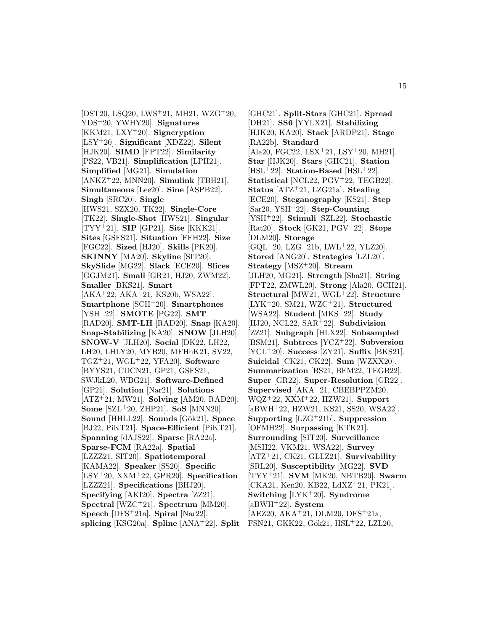[DST20, LSQ20, LWS<sup>+</sup>21, MH21, WZG<sup>+</sup>20, YDS<sup>+</sup>20, YWHY20]. **Signatures** [KKM21, LXY<sup>+</sup>20]. **Signcryption** [LSY<sup>+</sup>20]. **Significant** [XDZ22]. **Silent** [HJK20]. **SIMD** [FPT22]. **Similarity** [PS22, VB21]. **Simplification** [LPH21]. **Simplified** [MG21]. **Simulation** [ANKZ<sup>+</sup>22, MNN20]. **Simulink** [TBH21]. **Simultaneous** [Lee20]. **Sine** [ASPB22]. **Singh** [SRC20]. **Single** [HWS21, SZX20, TK22]. **Single-Core** [TK22]. **Single-Shot** [HWS21]. **Singular** [TYY<sup>+</sup>21]. **SIP** [GP21]. **Site** [KKK21]. **Sites** [GSFS21]. **Situation** [FFH22]. **Size** [FGC22]. **Sized** [HJ20]. **Skills** [PK20]. **SKINNY** [MA20]. **Skyline** [SIT20]. **SkySlide** [MG22]. **Slack** [ECE20]. **Slices** [GGJM21]. **Small** [GR21, HJ20, ZWM22]. **Smaller** [BKS21]. **Smart** [AKA<sup>+</sup>22, AKA<sup>+</sup>21, KS20b, WSA22]. **Smartphone** [SCH<sup>+</sup>20]. **Smartphones** [YSH<sup>+</sup>22]. **SMOTE** [PG22]. **SMT** [RAD20]. **SMT-LH** [RAD20]. **Snap** [KA20]. **Snap-Stabilizing** [KA20]. **SNOW** [JLH20]. **SNOW-V** [JLH20]. **Social** [DK22, LH22, LH20, LHLY20, MYB20, MFHhK21, SV22, TGZ<sup>+</sup>21, WGL<sup>+</sup>22, YFA20]. **Software** [BYYS21, CDCN21, GP21, GSFS21, SWJkL20, WBG21]. **Software-Defined** [GP21]. **Solution** [Nar21]. **Solutions** [ATZ<sup>+</sup>21, MW21]. **Solving** [AM20, RAD20]. **Some** [SZL<sup>+</sup>20, ZHP21]. **SoS** [MNN20]. **Sound** [HHLL22]. **Sounds** [G¨ok21]. **Space** [BJ22, PiKT21]. **Space-Efficient** [PiKT21]. **Spanning** [dAJS22]. **Sparse** [RA22a]. **Sparse-FCM** [RA22a]. **Spatial** [LZZZ21, SIT20]. **Spatiotemporal** [KAMA22]. **Speaker** [SS20]. **Specific** [LSY<sup>+</sup>20, XXM<sup>+</sup>22, GPR20]. **Specification** [LZZZ21]. **Specifications** [BHJ20]. **Specifying** [AKI20]. **Spectra** [ZZ21]. **Spectral** [WZC<sup>+</sup>21]. **Spectrum** [MM20]. **Speech** [DFS<sup>+</sup>21a]. **Spiral** [Nar22]. **splicing** [KSG20a]. **Spline** [ANA<sup>+</sup>22]. **Split** FSN21, GKK22, G¨ok21, HSL<sup>+</sup>22, LZL20,

[GHC21]. **Split-Stars** [GHC21]. **Spread** [DH21]. **SS6** [YYLX21]. **Stabilizing** [HJK20, KA20]. **Stack** [ARDP21]. **Stage** [RA22b]. **Standard** [Ala20, FGC22, LSX<sup>+</sup>21, LSY<sup>+</sup>20, MH21]. **Star** [HJK20]. **Stars** [GHC21]. **Station** [HSL<sup>+</sup>22]. **Station-Based** [HSL<sup>+</sup>22]. **Statistical** [NCL22, PGV<sup>+</sup>22, TEGB22]. **Status** [ATZ<sup>+</sup>21, LZG21a]. **Stealing** [ECE20]. **Steganography** [KS21]. **Step** [Sar20, YSH<sup>+</sup>22]. **Step-Counting** [YSH<sup>+</sup>22]. **Stimuli** [SZL22]. **Stochastic** [Rat20]. **Stock** [GK21, PGV<sup>+</sup>22]. **Stops** [DLM20]. **Storage**  $[GQL+20, LZG+21b, LWL+22, YLZ20].$ **Stored** [ANG20]. **Strategies** [LZL20]. **Strategy** [MSZ<sup>+</sup>20]. **Stream** [JLH20, MG21]. **Strength** [Sha21]. **String** [FPT22, ZMWL20]. **Strong** [Ala20, GCH21]. **Structural** [MW21, WGL<sup>+</sup>22]. **Structure** [LYK<sup>+</sup>20, SM21, WZC<sup>+</sup>21]. **Structured** [WSA22]. **Student** [MKS<sup>+</sup>22]. **Study** [HJ20, NCL22, SAR<sup>+</sup>22]. **Subdivision** [ZZ21]. **Subgraph** [HLX22]. **Subsampled** [BSM21]. **Subtrees** [YCZ<sup>+</sup>22]. **Subversion** [YCL<sup>+</sup>20]. **Success** [ZY21]. **Suffix** [BKS21]. **Suicidal** [CK21, CK22]. **Sum** [WZXX20]. **Summarization** [BS21, BFM22, TEGB22]. **Super** [GR22]. **Super-Resolution** [GR22]. **Supervised** [AKA<sup>+</sup>21, CBEBPPZM20, WQZ<sup>+</sup>22, XXM<sup>+</sup>22, HZW21]. **Support** [aBWH<sup>+</sup>22, HZW21, KS21, SS20, WSA22]. **Supporting** [LZG<sup>+</sup>21b]. **Suppression** [OFMH22]. **Surpassing** [KTK21]. **Surrounding** [SIT20]. **Surveillance** [MSH22, VKM21, WSA22]. **Survey** [ATZ<sup>+</sup>21, CK21, GLLZ21]. **Survivability** [SRL20]. **Susceptibility** [MG22]. **SVD** [TYY<sup>+</sup>21]. **SVM** [MK20, NBTB20]. **Swarm** [CKA21, Ken20, KB22, LdXZ<sup>+</sup>21, PK21]. **Switching** [LYK<sup>+</sup>20]. **Syndrome** [aBWH<sup>+</sup>22]. **System**  $[AEZ20, AKA+21, DLM20, DFS+21a,$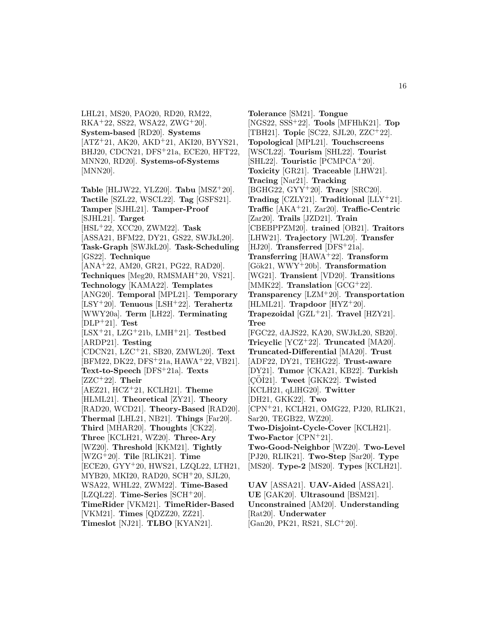LHL21, MS20, PAO20, RD20, RM22,  $RKA+22$ , SS22, WSA22, ZWG+20]. **System-based** [RD20]. **Systems** [ATZ<sup>+</sup>21, AK20, AKD<sup>+</sup>21, AKI20, BYYS21, BHJ20, CDCN21, DFS<sup>+</sup>21a, ECE20, HFT22, MNN20, RD20]. **Systems-of-Systems** [MNN20].

**Table** [HLJW22, YLZ20]. **Tabu** [MSZ<sup>+</sup>20]. **Tactile** [SZL22, WSCL22]. **Tag** [GSFS21]. **Tamper** [SJHL21]. **Tamper-Proof** [SJHL21]. **Target** [HSL<sup>+</sup>22, XCC20, ZWM22]. **Task** [ASSA21, BFM22, DY21, GS22, SWJkL20]. **Task-Graph** [SWJkL20]. **Task-Scheduling** [GS22]. **Technique** [ANA<sup>+</sup>22, AM20, GR21, PG22, RAD20]. **Techniques** [Meg20, RMSMAH<sup>+</sup>20, VS21]. **Technology** [KAMA22]. **Templates** [ANG20]. **Temporal** [MPL21]. **Temporary** [LSY<sup>+</sup>20]. **Tenuous** [LSH<sup>+</sup>22]. **Terahertz** [WWY20a]. **Term** [LH22]. **Terminating** [DLP<sup>+</sup>21]. **Test** [LSX<sup>+</sup>21, LZG<sup>+</sup>21b, LMH<sup>+</sup>21]. **Testbed** [ARDP21]. **Testing** [CDCN21, LZC<sup>+</sup>21, SB20, ZMWL20]. **Text** [BFM22, DK22, DFS<sup>+</sup>21a, HAWA<sup>+</sup>22, VB21]. **Text-to-Speech** [DFS<sup>+</sup>21a]. **Texts** [ZZC<sup>+</sup>22]. **Their** [AEZ21, HCZ<sup>+</sup>21, KCLH21]. **Theme** [HLML21]. **Theoretical** [ZY21]. **Theory** [RAD20, WCD21]. **Theory-Based** [RAD20]. **Thermal** [LHL21, NB21]. **Things** [Far20]. **Third** [MHAR20]. **Thoughts** [CK22]. **Three** [KCLH21, WZ20]. **Three-Ary** [WZ20]. **Threshold** [KKM21]. **Tightly** [WZG<sup>+</sup>20]. **Tile** [RLIK21]. **Time** [ECE20, GYY<sup>+</sup>20, HWS21, LZQL22, LTH21, MYB20, MKI20, RAD20, SCH<sup>+</sup>20, SJL20, WSA22, WHL22, ZWM22]. **Time-Based** [LZQL22]. **Time-Series** [SCH<sup>+</sup>20]. **TimeRider** [VKM21]. **TimeRider-Based** [VKM21]. **Times** [QDZZ20, ZZ21]. **Timeslot** [NJ21]. **TLBO** [KYAN21].

**Tolerance** [SM21]. **Tongue** [NGS22, SSS<sup>+</sup>22]. **Tools** [MFHhK21]. **Top** [TBH21]. **Topic** [SC22, SJL20, ZZC<sup>+</sup>22]. **Topological** [MPL21]. **Touchscreens** [WSCL22]. **Tourism** [SHL22]. **Tourist** [SHL22]. **Touristic** [PCMPCA<sup>+</sup>20]. **Toxicity** [GR21]. **Traceable** [LHW21]. **Tracing** [Nar21]. **Tracking** [BGHG22, GYY<sup>+</sup>20]. **Tracy** [SRC20]. **Trading** [CZLY21]. **Traditional** [LLY<sup>+</sup>21]. **Traffic** [AKA<sup>+</sup>21, Zar20]. **Traffic-Centric** [Zar20]. **Trails** [JZD21]. **Train** [CBEBPPZM20]. **trained** [OB21]. **Traitors** [LHW21]. **Trajectory** [WL20]. **Transfer** [HJ20]. **Transferred** [DFS<sup>+</sup>21a]. **Transferring** [HAWA<sup>+</sup>22]. **Transform** [Gök21, WWY<sup>+</sup>20b]. **Transformation** [WG21]. **Transient** [VD20]. **Transitions** [MMK22]. **Translation** [GCG<sup>+</sup>22]. **Transparency** [LZM<sup>+</sup>20]. **Transportation** [HLML21]. **Trapdoor** [HYZ<sup>+</sup>20]. **Trapezoidal** [GZL<sup>+</sup>21]. **Travel** [HZY21]. **Tree** [FGC22, dAJS22, KA20, SWJkL20, SB20]. **Tricyclic** [YCZ<sup>+</sup>22]. **Truncated** [MA20]. **Truncated-Differential** [MA20]. **Trust** [ADF22, DY21, TEHG22]. **Trust-aware** [DY21]. **Tumor** [CKA21, KB22]. **Turkish** [GÖİ21]. Tweet [GKK22]. Twisted [KCLH21, qLlHG20]. **Twitter** [DH21, GKK22]. **Two** [CPN<sup>+</sup>21, KCLH21, OMG22, PJ20, RLIK21, Sar20, TEGB22, WZ20]. **Two-Disjoint-Cycle-Cover** [KCLH21]. **Two-Factor** [CPN<sup>+</sup>21]. **Two-Good-Neighbor** [WZ20]. **Two-Level** [PJ20, RLIK21]. **Two-Step** [Sar20]. **Type** [MS20]. **Type-2** [MS20]. **Types** [KCLH21]. **UAV** [ASSA21]. **UAV-Aided** [ASSA21].

**UE** [GAK20]. **Ultrasound** [BSM21]. **Unconstrained** [AM20]. **Understanding** [Rat20]. **Underwater** [Gan20, PK21, RS21, SLC<sup>+</sup>20].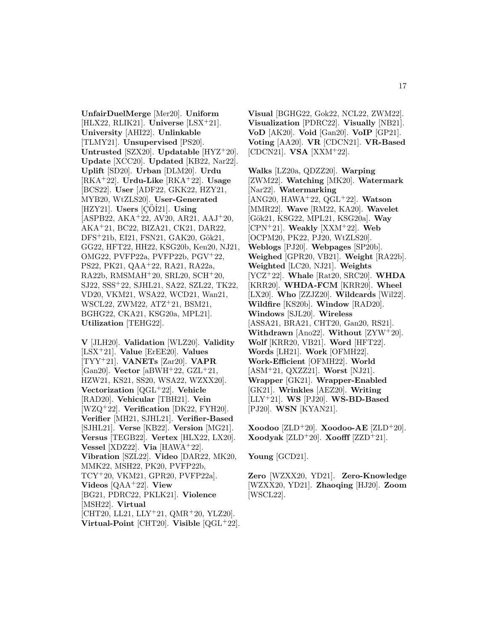**UnfairDuelMerge** [Mer20]. **Uniform** [HLX22, RLIK21]. **Universe** [LSX<sup>+</sup>21]. **University** [AHI22]. **Unlinkable** [TLMY21]. **Unsupervised** [PS20]. **Untrusted** [SZX20]. **Updatable** [HYZ<sup>+</sup>20]. **Update** [XCC20]. **Updated** [KB22, Nar22]. **Uplift** [SD20]. **Urban** [DLM20]. **Urdu** [RKA<sup>+</sup>22]. **Urdu-Like** [RKA<sup>+</sup>22]. **Usage** [BCS22]. **User** [ADF22, GKK22, HZY21, MYB20, WtZLS20]. **User-Generated** [HZY21]. **Users** [*C*Öİ21]. **Using** [ASPB22, AKA<sup>+</sup>22, AV20, AR21, AAJ<sup>+</sup>20, AKA<sup>+</sup>21, BC22, BIZA21, CK21, DAR22,  $DFS+21b, EI21, FSN21, GAK20, Gök21,$ GG22, HFT22, HH22, KSG20b, Ken20, NJ21, OMG22, PVFP22a, PVFP22b, PGV<sup>+</sup>22, PS22, PK21, QAA<sup>+</sup>22, RA21, RA22a, RA22b, RMSMAH<sup>+</sup>20, SRL20, SCH<sup>+</sup>20, SJ22, SSS<sup>+</sup>22, SJHL21, SA22, SZL22, TK22, VD20, VKM21, WSA22, WCD21, Wan21, WSCL22, ZWM22, ATZ<sup>+</sup>21, BSM21, BGHG22, CKA21, KSG20a, MPL21]. **Utilization** [TEHG22].

**V** [JLH20]. **Validation** [WLZ20]. **Validity** [LSX<sup>+</sup>21]. **Value** [ErEE20]. **Values** [TYY<sup>+</sup>21]. **VANETs** [Zar20]. **VAPR** [Gan20]. **Vector** [aBWH<sup>+</sup>22, GZL<sup>+</sup>21, HZW21, KS21, SS20, WSA22, WZXX20]. **Vectorization** [QGL<sup>+</sup>22]. **Vehicle** [RAD20]. **Vehicular** [TBH21]. **Vein** [WZQ<sup>+</sup>22]. **Verification** [DK22, FYH20]. **Verifier** [MH21, SJHL21]. **Verifier-Based** [SJHL21]. **Verse** [KB22]. **Version** [MG21]. **Versus** [TEGB22]. **Vertex** [HLX22, LX20]. **Vessel** [XDZ22]. **Via** [HAWA<sup>+</sup>22]. **Vibration** [SZL22]. **Video** [DAR22, MK20, MMK22, MSH22, PK20, PVFP22b, TCY<sup>+</sup>20, VKM21, GPR20, PVFP22a]. **Videos** [QAA<sup>+</sup>22]. **View** [BG21, PDRC22, PKLK21]. **Violence** [MSH22]. **Virtual** [CHT20, LL21, LLY<sup>+</sup>21, QMR<sup>+</sup>20, YLZ20]. **Virtual-Point** [CHT20]. **Visible** [QGL<sup>+</sup>22].

**Visual** [BGHG22, Gok22, NCL22, ZWM22]. **Visualization** [PDRC22]. **Visually** [NB21]. **VoD** [AK20]. **Void** [Gan20]. **VoIP** [GP21]. **Voting** [AA20]. **VR** [CDCN21]. **VR-Based** [CDCN21]. **VSA** [XXM<sup>+</sup>22].

**Walks** [LZ20a, QDZZ20]. **Warping** [ZWM22]. **Watching** [MK20]. **Watermark** [Nar22]. **Watermarking** [ANG20, HAWA<sup>+</sup>22, QGL<sup>+</sup>22]. **Watson** [MMR22]. **Wave** [RM22, KA20]. **Wavelet** [G¨ok21, KSG22, MPL21, KSG20a]. **Way** [CPN<sup>+</sup>21]. **Weakly** [XXM<sup>+</sup>22]. **Web** [OCPM20, PK22, PJ20, WtZLS20]. **Weblogs** [PJ20]. **Webpages** [SP20b]. **Weighed** [GPR20, VB21]. **Weight** [RA22b]. **Weighted** [LC20, NJ21]. **Weights** [YCZ<sup>+</sup>22]. **Whale** [Rat20, SRC20]. **WHDA** [KRR20]. **WHDA-FCM** [KRR20]. **Wheel** [LX20]. **Who** [ZZJZ20]. **Wildcards** [Wil22]. **Wildfire** [KS20b]. **Window** [RAD20]. **Windows** [SJL20]. **Wireless** [ASSA21, BRA21, CHT20, Gan20, RS21]. **Withdrawn** [Ano22]. **Without** [ZYW<sup>+</sup>20]. **Wolf** [KRR20, VB21]. **Word** [HFT22]. **Words** [LH21]. **Work** [OFMH22]. **Work-Efficient** [OFMH22]. **World** [ASM<sup>+</sup>21, QXZZ21]. **Worst** [NJ21]. **Wrapper** [GK21]. **Wrapper-Enabled** [GK21]. **Wrinkles** [AEZ20]. **Writing** [LLY<sup>+</sup>21]. **WS** [PJ20]. **WS-BD-Based** [PJ20]. **WSN** [KYAN21].

**Xoodoo**  $[ZLD+20]$ . **Xoodoo-AE**  $[ZLD+20]$ . **Xoodyak**  $[ZLD+20]$ . **Xoofff**  $[ZZD+21]$ .

**Young** [GCD21].

**Zero** [WZXX20, YD21]. **Zero-Knowledge** [WZXX20, YD21]. **Zhaoqing** [HJ20]. **Zoom** [WSCL22].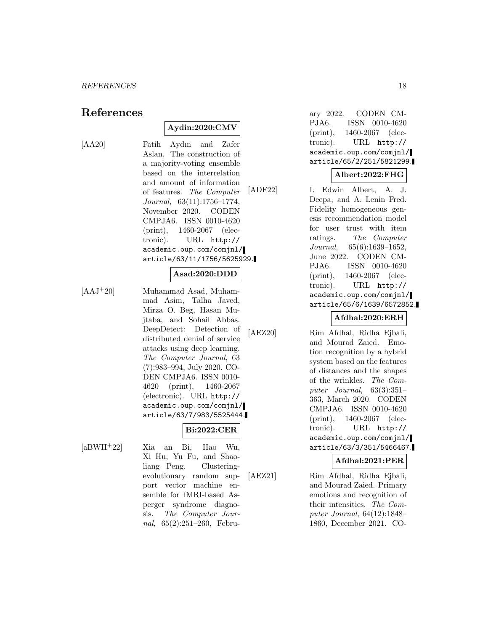# **References**

# **Aydin:2020:CMV**

[AA20] Fatih Aydın and Zafer Aslan. The construction of a majority-voting ensemble based on the interrelation and amount of information of features. The Computer Journal, 63(11):1756–1774, November 2020. CODEN CMPJA6. ISSN 0010-4620 (print), 1460-2067 (electronic). URL http:// academic.oup.com/comjnl/ article/63/11/1756/5625929.

#### **Asad:2020:DDD**

[AAJ<sup>+</sup>20] Muhammad Asad, Muhammad Asim, Talha Javed, Mirza O. Beg, Hasan Mujtaba, and Sohail Abbas. DeepDetect: Detection of distributed denial of service attacks using deep learning. The Computer Journal, 63 (7):983–994, July 2020. CO-DEN CMPJA6. ISSN 0010- 4620 (print), 1460-2067 (electronic). URL http:// academic.oup.com/comjnl/ article/63/7/983/5525444.

## **Bi:2022:CER**

nal, 65(2):251–260, Febru-

[aBWH<sup>+</sup>22] Xia an Bi, Hao Wu, Xi Hu, Yu Fu, and Shaoliang Peng. Clusteringevolutionary random support vector machine ensemble for fMRI-based Asperger syndrome diagnosis. The Computer Jourary 2022. CODEN CM-PJA6. ISSN 0010-4620 (print), 1460-2067 (electronic). URL http:// academic.oup.com/comjnl/ article/65/2/251/5821299.

## **Albert:2022:FHG**

[ADF22] I. Edwin Albert, A. J. Deepa, and A. Lenin Fred. Fidelity homogeneous genesis recommendation model for user trust with item ratings. The Computer Journal, 65(6):1639–1652, June 2022. CODEN CM-PJA6. ISSN 0010-4620 (print), 1460-2067 (electronic). URL http:// academic.oup.com/comjnl/ article/65/6/1639/6572852.

## **Afdhal:2020:ERH**

[AEZ20] Rim Afdhal, Ridha Ejbali, and Mourad Zaied. Emotion recognition by a hybrid system based on the features of distances and the shapes of the wrinkles. The Computer Journal, 63(3):351– 363, March 2020. CODEN CMPJA6. ISSN 0010-4620 (print), 1460-2067 (electronic). URL http:// academic.oup.com/comjnl/ article/63/3/351/5466467.

#### **Afdhal:2021:PER**

[AEZ21] Rim Afdhal, Ridha Ejbali, and Mourad Zaied. Primary emotions and recognition of their intensities. The Computer Journal, 64(12):1848– 1860, December 2021. CO-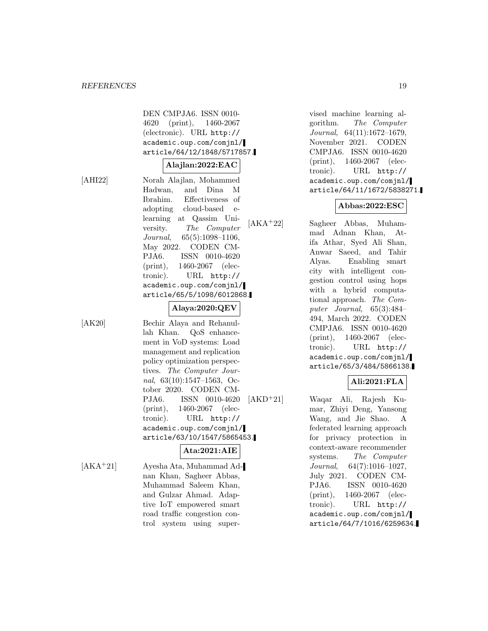DEN CMPJA6. ISSN 0010- 4620 (print), 1460-2067 (electronic). URL http:// academic.oup.com/comjnl/ article/64/12/1848/5717857.

#### **Alajlan:2022:EAC**

[AHI22] Norah Alajlan, Mohammed Hadwan, and Dina M Ibrahim. Effectiveness of adopting cloud-based elearning at Qassim University. The Computer Journal, 65(5):1098–1106, May 2022. CODEN CM-PJA6. ISSN 0010-4620 (print), 1460-2067 (electronic). URL http:// academic.oup.com/comjnl/ article/65/5/1098/6012868.

[AK20] Bechir Alaya and Rehanullah Khan. QoS enhancement in VoD systems: Load management and replication policy optimization perspectives. The Computer Journal, 63(10):1547–1563, October 2020. CODEN CM-PJA6. ISSN 0010-4620 (print), 1460-2067 (electronic). URL http:// academic.oup.com/comjnl/ article/63/10/1547/5865453.

**Alaya:2020:QEV**

## **Ata:2021:AIE**

[AKA<sup>+</sup>21] Ayesha Ata, Muhammad Adnan Khan, Sagheer Abbas, Muhammad Saleem Khan, and Gulzar Ahmad. Adaptive IoT empowered smart road traffic congestion control system using supervised machine learning algorithm. The Computer Journal, 64(11):1672–1679, November 2021. CODEN CMPJA6. ISSN 0010-4620 (print), 1460-2067 (electronic). URL http:// academic.oup.com/comjnl/ article/64/11/1672/5838271.

#### **Abbas:2022:ESC**

[AKA<sup>+</sup>22] Sagheer Abbas, Muhammad Adnan Khan, Atifa Athar, Syed Ali Shan, Anwar Saeed, and Tahir Alyas. Enabling smart city with intelligent congestion control using hops with a hybrid computational approach. The Computer Journal, 65(3):484– 494, March 2022. CODEN CMPJA6. ISSN 0010-4620 (print), 1460-2067 (electronic). URL http:// academic.oup.com/comjnl/ article/65/3/484/5866138.

# **Ali:2021:FLA**

[AKD<sup>+</sup>21] Waqar Ali, Rajesh Kumar, Zhiyi Deng, Yansong Wang, and Jie Shao. A federated learning approach for privacy protection in context-aware recommender systems. The Computer Journal, 64(7):1016–1027, July 2021. CODEN CM-PJA6. ISSN 0010-4620 (print), 1460-2067 (electronic). URL http:// academic.oup.com/comjnl/ article/64/7/1016/6259634.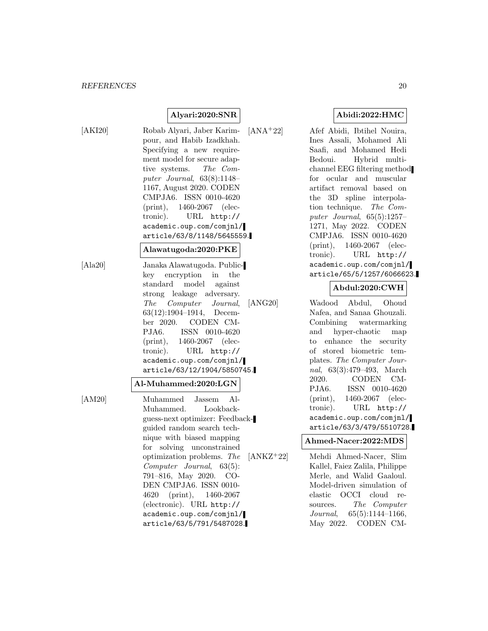# **Alyari:2020:SNR**

- [AKI20] Robab Alyari, Jaber Karimpour, and Habib Izadkhah. Specifying a new requirement model for secure adaptive systems. The Computer Journal, 63(8):1148– 1167, August 2020. CODEN CMPJA6. ISSN 0010-4620 (print), 1460-2067 (electronic). URL http:// academic.oup.com/comjnl/ article/63/8/1148/5645559. **Alawatugoda:2020:PKE** [Ala20] Janaka Alawatugoda. Publickey encryption in the standard model against strong leakage adversary. The Computer Journal, 63(12):1904–1914, December 2020. CODEN CM-PJA6. ISSN 0010-4620 (print), 1460-2067 (electronic). URL http:// academic.oup.com/comjnl/ article/63/12/1904/5850745. **Al-Muhammed:2020:LGN** [AM20] Muhammed Jassem Al-
	- Muhammed. Lookbackguess-next optimizer: Feedbackguided random search technique with biased mapping for solving unconstrained optimization problems. The Computer Journal, 63(5): 791–816, May 2020. CO-DEN CMPJA6. ISSN 0010- 4620 (print), 1460-2067 (electronic). URL http:// academic.oup.com/comjnl/ article/63/5/791/5487028.

## **Abidi:2022:HMC**

[ANA<sup>+</sup>22] Afef Abidi, Ibtihel Nouira, Ines Assali, Mohamed Ali Saafi, and Mohamed Hedi Bedoui. Hybrid multichannel EEG filtering method for ocular and muscular artifact removal based on the 3D spline interpolation technique. The Computer Journal,  $65(5):1257-$ 1271, May 2022. CODEN CMPJA6. ISSN 0010-4620 (print), 1460-2067 (electronic). URL http:// academic.oup.com/comjnl/ article/65/5/1257/6066623.

## **Abdul:2020:CWH**

[ANG20] Wadood Abdul, Ohoud Nafea, and Sanaa Ghouzali. Combining watermarking and hyper-chaotic map to enhance the security of stored biometric templates. The Computer Journal, 63(3):479–493, March 2020. CODEN CM-PJA6. ISSN 0010-4620 (print), 1460-2067 (electronic). URL http:// academic.oup.com/comjnl/ article/63/3/479/5510728.

#### **Ahmed-Nacer:2022:MDS**

[ANKZ<sup>+</sup>22] Mehdi Ahmed-Nacer, Slim Kallel, Faiez Zalila, Philippe Merle, and Walid Gaaloul. Model-driven simulation of elastic OCCI cloud resources. The Computer Journal, 65(5):1144–1166, May 2022. CODEN CM-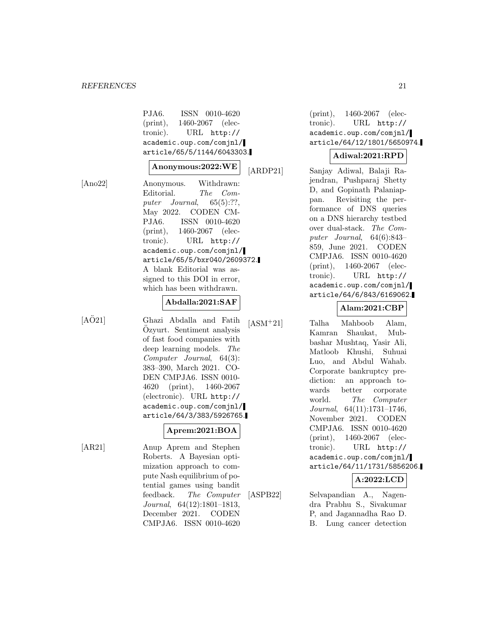| PJA6.<br>ISSN 0010-4620      |
|------------------------------|
| (print), $1460-2067$ (elec-  |
| tronic). URL http://         |
| academic.oup.com/comjnl/     |
| article/65/5/1144/6043303.   |
| Anonymous:2022:WE            |
| Anonymous. Withdrawn:        |
| Editorial. The Com-          |
| puter Journal, $65(5):??,$   |
| May 2022. CODEN CM-          |
| PJA6. ISSN 0010-4620         |
| (print), 1460-2067 (elec-    |
| tronic). URL http://         |
| academic.oup.com/comjnl/     |
| article/65/5/bxr040/2609372. |
| A blank Editorial was as-    |
| signed to this DOI in error, |
| which has been withdrawn.    |
|                              |

#### **Abdalla:2021:SAF**

 $[Ano22]$ 

[AÖ21] Ghazi Abdalla and Fatih Ozyurt. Sentiment analysis ¨ of fast food companies with deep learning models. The Computer Journal, 64(3): 383–390, March 2021. CO-DEN CMPJA6. ISSN 0010- 4620 (print), 1460-2067 (electronic). URL http:// academic.oup.com/comjnl/ article/64/3/383/5926765.

# **Aprem:2021:BOA**

[AR21] Anup Aprem and Stephen Roberts. A Bayesian optimization approach to compute Nash equilibrium of potential games using bandit feedback. The Computer Journal, 64(12):1801–1813, December 2021. CODEN CMPJA6. ISSN 0010-4620

(print), 1460-2067 (electronic). URL http:// academic.oup.com/comjnl/ article/64/12/1801/5650974.

# **Adiwal:2021:RPD**

DP21] Sanjay Adiwal, Balaji Rajendran, Pushparaj Shetty D, and Gopinath Palaniappan. Revisiting the performance of DNS queries on a DNS hierarchy testbed over dual-stack. The Computer Journal, 64(6):843– 859, June 2021. CODEN CMPJA6. ISSN 0010-4620 (print), 1460-2067 (electronic). URL http:// academic.oup.com/comjnl/ article/64/6/843/6169062.

# **Alam:2021:CBP**

[ASM<sup>+</sup>21] Talha Mahboob Alam, Kamran Shaukat, Mubbashar Mushtaq, Yasir Ali, Matloob Khushi, Suhuai Luo, and Abdul Wahab. Corporate bankruptcy prediction: an approach towards better corporate world. The Computer Journal, 64(11):1731–1746, November 2021. CODEN CMPJA6. ISSN 0010-4620 (print), 1460-2067 (electronic). URL http:// academic.oup.com/comjnl/ article/64/11/1731/5856206.

# **A:2022:LCD**

[ASPB22] Selvapandian A., Nagendra Prabhu S., Sivakumar P, and Jagannadha Rao D. B. Lung cancer detection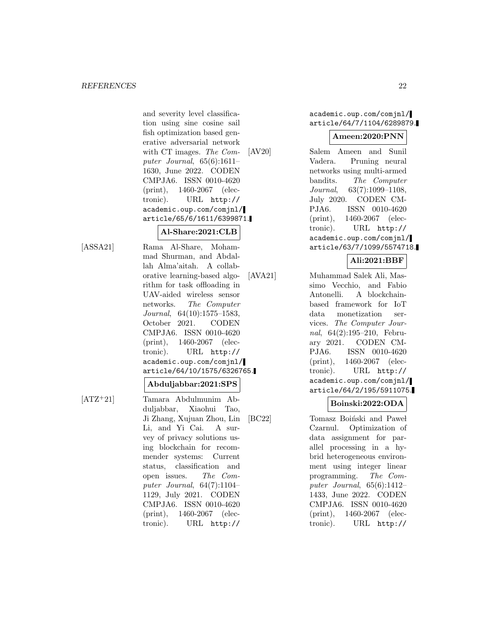and severity level classification using sine cosine sail fish optimization based generative adversarial network with CT images. The Computer Journal,  $65(6):1611-$ 1630, June 2022. CODEN CMPJA6. ISSN 0010-4620 (print), 1460-2067 (electronic). URL http:// academic.oup.com/comjnl/ article/65/6/1611/6399871.

#### **Al-Share:2021:CLB**

[ASSA21] Rama Al-Share, Mohammad Shurman, and Abdallah Alma'aitah. A collaborative learning-based algorithm for task offloading in UAV-aided wireless sensor networks. The Computer Journal, 64(10):1575–1583, October 2021. CODEN CMPJA6. ISSN 0010-4620 (print), 1460-2067 (electronic). URL http:// academic.oup.com/comjnl/ article/64/10/1575/6326765.

## **Abduljabbar:2021:SPS**

[ATZ<sup>+</sup>21] Tamara Abdulmunim Abduljabbar, Xiaohui Tao, Ji Zhang, Xujuan Zhou, Lin Li, and Yi Cai. A survey of privacy solutions using blockchain for recommender systems: Current status, classification and open issues. The Computer Journal, 64(7):1104– 1129, July 2021. CODEN CMPJA6. ISSN 0010-4620 (print), 1460-2067 (electronic). URL http://

academic.oup.com/comjnl/ article/64/7/1104/6289879.

#### **Ameen:2020:PNN**

[AV20] Salem Ameen and Sunil Vadera. Pruning neural networks using multi-armed bandits. The Computer Journal, 63(7):1099–1108, July 2020. CODEN CM-PJA6. ISSN 0010-4620 (print), 1460-2067 (electronic). URL http:// academic.oup.com/comjnl/ article/63/7/1099/5574718.

## **Ali:2021:BBF**

[AVA21] Muhammad Salek Ali, Massimo Vecchio, and Fabio Antonelli. A blockchainbased framework for IoT data monetization services. The Computer Journal, 64(2):195–210, February 2021. CODEN CM-PJA6. ISSN 0010-4620 (print), 1460-2067 (electronic). URL http:// academic.oup.com/comjnl/ article/64/2/195/5911075.

## **Boinski:2022:ODA**

[BC22] Tomasz Boiński and Pawel Czarnul. Optimization of data assignment for parallel processing in a hybrid heterogeneous environment using integer linear programming. The Computer Journal,  $65(6):1412-$ 1433, June 2022. CODEN CMPJA6. ISSN 0010-4620 (print), 1460-2067 (electronic). URL http://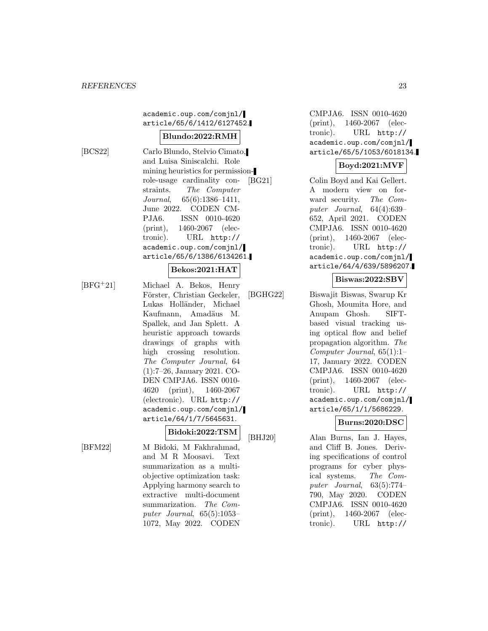# academic.oup.com/comjnl/ article/65/6/1412/6127452.

#### **Blundo:2022:RMH**

[BCS22] Carlo Blundo, Stelvio Cimato, and Luisa Siniscalchi. Role mining heuristics for permissionrole-usage cardinality constraints. The Computer Journal, 65(6):1386–1411, June 2022. CODEN CM-PJA6. ISSN 0010-4620 (print), 1460-2067 (electronic). URL http:// academic.oup.com/comjnl/ article/65/6/1386/6134261.

## **Bekos:2021:HAT**

[BFG<sup>+</sup>21] Michael A. Bekos, Henry Förster, Christian Geckeler, Lukas Holländer, Michael Kaufmann, Amadäus M. Spallek, and Jan Splett. A heuristic approach towards drawings of graphs with high crossing resolution. The Computer Journal, 64 (1):7–26, January 2021. CO-DEN CMPJA6. ISSN 0010- 4620 (print), 1460-2067 (electronic). URL http:// academic.oup.com/comjnl/ article/64/1/7/5645631.

**Bidoki:2022:TSM**

[BFM22] M Bidoki, M Fakhrahmad, and M R Moosavi. Text summarization as a multiobjective optimization task: Applying harmony search to extractive multi-document summarization. The Computer Journal, 65(5):1053– 1072, May 2022. CODEN

CMPJA6. ISSN 0010-4620 (print), 1460-2067 (electronic). URL http:// academic.oup.com/comjnl/ article/65/5/1053/6018134.

#### **Boyd:2021:MVF**

[BG21] Colin Boyd and Kai Gellert. A modern view on forward security. The Computer Journal, 64(4):639– 652, April 2021. CODEN CMPJA6. ISSN 0010-4620 (print), 1460-2067 (electronic). URL http:// academic.oup.com/comjnl/ article/64/4/639/5896207.

#### **Biswas:2022:SBV**

[BGHG22] Biswajit Biswas, Swarup Kr Ghosh, Moumita Hore, and Anupam Ghosh. SIFTbased visual tracking using optical flow and belief propagation algorithm. The Computer Journal, 65(1):1– 17, January 2022. CODEN CMPJA6. ISSN 0010-4620 (print), 1460-2067 (electronic). URL http:// academic.oup.com/comjnl/ article/65/1/1/5686229.

## **Burns:2020:DSC**

[BHJ20] Alan Burns, Ian J. Hayes, and Cliff B. Jones. Deriving specifications of control programs for cyber physical systems. The Computer Journal, 63(5):774– 790, May 2020. CODEN CMPJA6. ISSN 0010-4620 (print), 1460-2067 (electronic). URL http://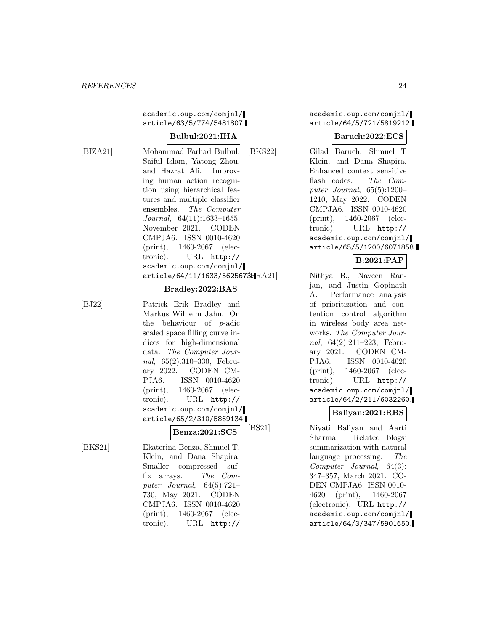# academic.oup.com/comjnl/ article/63/5/774/5481807.

#### **Bulbul:2021:IHA**

[BIZA21] Mohammad Farhad Bulbul, Saiful Islam, Yatong Zhou, and Hazrat Ali. Improving human action recognition using hierarchical features and multiple classifier ensembles. The Computer Journal, 64(11):1633–1655, November 2021. CODEN CMPJA6. ISSN 0010-4620 (print), 1460-2067 (electronic). URL http:// academic.oup.com/comjnl/ article/64/11/1633/562567\$HRA21

## **Bradley:2022:BAS**

[BJ22] Patrick Erik Bradley and Markus Wilhelm Jahn. On the behaviour of p-adic scaled space filling curve indices for high-dimensional data. The Computer Journal, 65(2):310–330, Febru-<br>ary 2022. CODEN CM-CODEN CM-PJA6. ISSN 0010-4620 (print), 1460-2067 (electronic). URL http:// academic.oup.com/comjnl/ article/65/2/310/5869134.

**Benza:2021:SCS**

[BKS21] Ekaterina Benza, Shmuel T. Klein, and Dana Shapira. Smaller compressed suffix arrays. The Computer Journal, 64(5):721– 730, May 2021. CODEN CMPJA6. ISSN 0010-4620 (print), 1460-2067 (electronic). URL http://

## academic.oup.com/comjnl/ article/64/5/721/5819212.

# **Baruch:2022:ECS**

[BKS22] Gilad Baruch, Shmuel T Klein, and Dana Shapira. Enhanced context sensitive flash codes. The Computer Journal,  $65(5):1200-$ 1210, May 2022. CODEN CMPJA6. ISSN 0010-4620 (print), 1460-2067 (electronic). URL http:// academic.oup.com/comjnl/ article/65/5/1200/6071858.

# **B:2021:PAP**

Nithya B., Naveen Ranjan, and Justin Gopinath A. Performance analysis of prioritization and contention control algorithm in wireless body area networks. The Computer Journal, 64(2):211–223, February 2021. CODEN CM-PJA6. ISSN 0010-4620 (print), 1460-2067 (electronic). URL http:// academic.oup.com/comjnl/ article/64/2/211/6032260.

#### **Baliyan:2021:RBS**

[BS21] Niyati Baliyan and Aarti Sharma. Related blogs' summarization with natural language processing. The Computer Journal, 64(3): 347–357, March 2021. CO-DEN CMPJA6. ISSN 0010- 4620 (print), 1460-2067 (electronic). URL http:// academic.oup.com/comjnl/ article/64/3/347/5901650.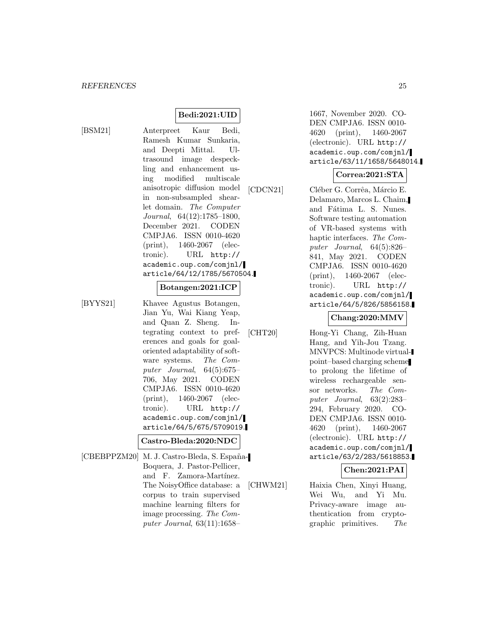[BSM21] Anterpreet Kaur Bedi, Ramesh Kumar Sunkaria, and Deepti Mittal. Ultrasound image despeckling and enhancement using modified multiscale anisotropic diffusion model in non-subsampled shearlet domain. The Computer Journal, 64(12):1785–1800, December 2021. CODEN CMPJA6. ISSN 0010-4620 (print), 1460-2067 (electronic). URL http:// academic.oup.com/comjnl/ article/64/12/1785/5670504.

**Bedi:2021:UID**

#### **Botangen:2021:ICP**

[BYYS21] Khavee Agustus Botangen,

Jian Yu, Wai Kiang Yeap, and Quan Z. Sheng. Integrating context to preferences and goals for goaloriented adaptability of software systems. The Computer Journal, 64(5):675– 706, May 2021. CODEN CMPJA6. ISSN 0010-4620 (print), 1460-2067 (electronic). URL http:// academic.oup.com/comjnl/ article/64/5/675/5709019.

#### **Castro-Bleda:2020:NDC**

[CBEBPPZM20] M. J. Castro-Bleda, S. España-Boquera, J. Pastor-Pellicer, and F. Zamora-Martínez. The NoisyOffice database: a corpus to train supervised machine learning filters for image processing. The Computer Journal, 63(11):1658–

1667, November 2020. CO-DEN CMPJA6. ISSN 0010- 4620 (print), 1460-2067 (electronic). URL http:// academic.oup.com/comjnl/ article/63/11/1658/5648014.

#### **Correa:2021:STA**

[CDCN21] Cléber G. Corrêa, Márcio E. Delamaro, Marcos L. Chaim, and Fátima L. S. Nunes. Software testing automation of VR-based systems with haptic interfaces. The Computer Journal, 64(5):826– 841, May 2021. CODEN CMPJA6. ISSN 0010-4620 (print), 1460-2067 (electronic). URL http:// academic.oup.com/comjnl/ article/64/5/826/5856158.

## **Chang:2020:MMV**

[CHT20] Hong-Yi Chang, Zih-Huan Hang, and Yih-Jou Tzang. MNVPCS: Multinode virtualpoint–based charging scheme to prolong the lifetime of wireless rechargeable sensor networks. The Computer Journal, 63(2):283– 294, February 2020. CO-DEN CMPJA6. ISSN 0010- 4620 (print), 1460-2067 (electronic). URL http:// academic.oup.com/comjnl/ article/63/2/283/5618853.

## **Chen:2021:PAI**

[CHWM21] Haixia Chen, Xinyi Huang, Wei Wu, and Yi Mu. Privacy-aware image authentication from cryptographic primitives. The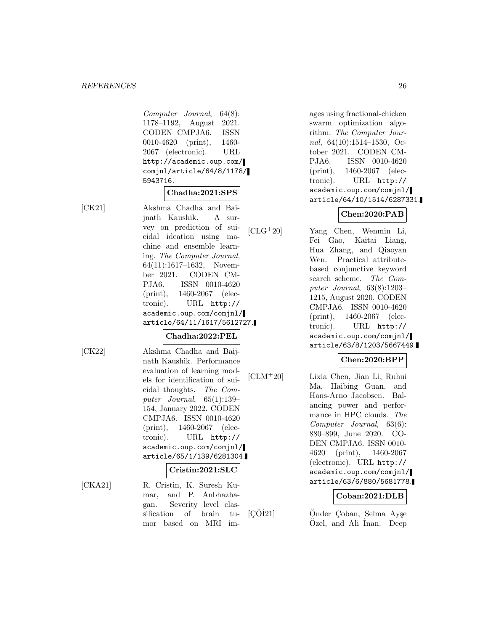Computer Journal, 64(8): 1178–1192, August 2021. CODEN CMPJA6. ISSN 0010-4620 (print), 1460- 2067 (electronic). URL http://academic.oup.com/ comjnl/article/64/8/1178/ 5943716.

## **Chadha:2021:SPS**

[CK21] Akshma Chadha and Baijnath Kaushik. A survey on prediction of suicidal ideation using machine and ensemble learning. The Computer Journal, 64(11):1617–1632, November 2021. CODEN CM-PJA6. ISSN 0010-4620 (print), 1460-2067 (electronic). URL http:// academic.oup.com/comjnl/ article/64/11/1617/5612727.

#### **Chadha:2022:PEL**

[CK22] Akshma Chadha and Baijnath Kaushik. Performance evaluation of learning models for identification of suicidal thoughts. The Computer Journal, 65(1):139– 154, January 2022. CODEN CMPJA6. ISSN 0010-4620 (print), 1460-2067 (electronic). URL http:// academic.oup.com/comjnl/ article/65/1/139/6281304.

#### **Cristin:2021:SLC**

[CKA21] R. Cristin, K. Suresh Kumar, and P. Anbhazhagan. Severity level classification of brain tumor based on MRI im- $[C\ddot{O}I21]$  ages using fractional-chicken swarm optimization algorithm. The Computer Journal, 64(10):1514–1530, October 2021. CODEN CM-PJA6. ISSN 0010-4620 (print), 1460-2067 (electronic). URL http:// academic.oup.com/comjnl/ article/64/10/1514/6287331.

## **Chen:2020:PAB**

[CLG<sup>+</sup>20] Yang Chen, Wenmin Li, Fei Gao, Kaitai Liang, Hua Zhang, and Qiaoyan Wen. Practical attributebased conjunctive keyword search scheme. The Computer Journal, 63(8):1203– 1215, August 2020. CODEN CMPJA6. ISSN 0010-4620 (print), 1460-2067 (electronic). URL http:// academic.oup.com/comjnl/ article/63/8/1203/5667449.

## **Chen:2020:BPP**

[CLM<sup>+</sup>20] Lixia Chen, Jian Li, Ruhui Ma, Haibing Guan, and Hans-Arno Jacobsen. Balancing power and performance in HPC clouds. The Computer Journal, 63(6): 880–899, June 2020. CO-DEN CMPJA6. ISSN 0010- 4620 (print), 1460-2067 (electronic). URL http:// academic.oup.com/comjnl/ article/63/6/880/5681778.

#### **Coban:2021:DLB**

Önder Çoban, Selma Ayşe Özel, and Ali İnan. Deep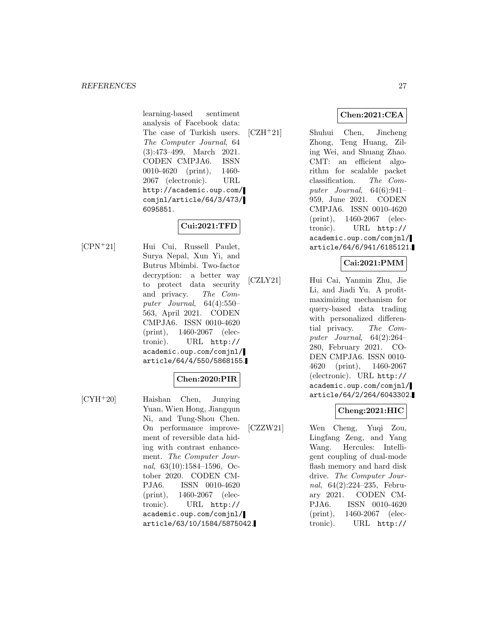learning-based sentiment analysis of Facebook data: The case of Turkish users. The Computer Journal, 64 (3):473–499, March 2021. CODEN CMPJA6. ISSN 0010-4620 (print), 1460- 2067 (electronic). URL http://academic.oup.com/ comjnl/article/64/3/473/ 6095851.

# **Cui:2021:TFD**

[CPN<sup>+</sup>21] Hui Cui, Russell Paulet, Surya Nepal, Xun Yi, and Butrus Mbimbi. Two-factor decryption: a better way to protect data security and privacy. The Computer Journal, 64(4):550– 563, April 2021. CODEN CMPJA6. ISSN 0010-4620 (print), 1460-2067 (electronic). URL http:// academic.oup.com/comjnl/ article/64/4/550/5868155.

## **Chen:2020:PIR**

[CYH<sup>+</sup>20] Haishan Chen, Junying Yuan, Wien Hong, Jiangqun Ni, and Tung-Shou Chen. On performance improvement of reversible data hiding with contrast enhancement. The Computer Journal, 63(10):1584–1596, October 2020. CODEN CM-PJA6. ISSN 0010-4620 (print), 1460-2067 (electronic). URL http:// academic.oup.com/comjnl/ article/63/10/1584/5875042. **Chen:2021:CEA**

[CZH<sup>+</sup>21] Shuhui Chen, Jincheng Zhong, Teng Huang, Ziling Wei, and Shuang Zhao. CMT: an efficient algorithm for scalable packet classification. The Computer Journal,  $64(6):941-$ 959, June 2021. CODEN CMPJA6. ISSN 0010-4620 (print), 1460-2067 (electronic). URL http:// academic.oup.com/comjnl/ article/64/6/941/6185121.

# **Cai:2021:PMM**

[CZLY21] Hui Cai, Yanmin Zhu, Jie Li, and Jiadi Yu. A profitmaximizing mechanism for query-based data trading with personalized differential privacy. The Computer Journal, 64(2):264– 280, February 2021. CO-DEN CMPJA6. ISSN 0010- 4620 (print), 1460-2067 (electronic). URL http:// academic.oup.com/comjnl/ article/64/2/264/6043302.

## **Cheng:2021:HIC**

[CZZW21] Wen Cheng, Yuqi Zou, Lingfang Zeng, and Yang Wang. Hercules: Intelligent coupling of dual-mode flash memory and hard disk drive. The Computer Journal, 64(2):224–235, February 2021. CODEN CM-PJA6. ISSN 0010-4620 (print), 1460-2067 (electronic). URL http://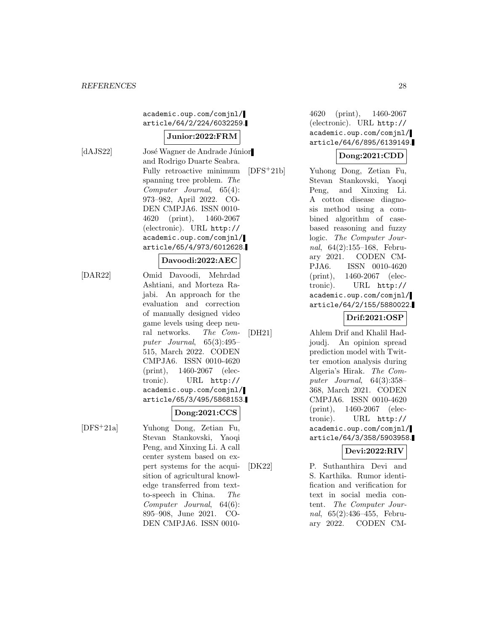# academic.oup.com/comjnl/ article/64/2/224/6032259.

#### **Junior:2022:FRM**

[dAJS22] José Wagner de Andrade Júnior and Rodrigo Duarte Seabra. Fully retroactive minimum spanning tree problem. The Computer Journal, 65(4): 973–982, April 2022. CO-DEN CMPJA6. ISSN 0010- 4620 (print), 1460-2067 (electronic). URL http:// academic.oup.com/comjnl/ article/65/4/973/6012628.

#### **Davoodi:2022:AEC**

[DAR22] Omid Davoodi, Mehrdad Ashtiani, and Morteza Rajabi. An approach for the evaluation and correction of manually designed video game levels using deep neural networks. The Computer Journal, 65(3):495– 515, March 2022. CODEN CMPJA6. ISSN 0010-4620 (print), 1460-2067 (electronic). URL http:// academic.oup.com/comjnl/ article/65/3/495/5868153.

#### **Dong:2021:CCS**

[DFS<sup>+</sup>21a] Yuhong Dong, Zetian Fu, Stevan Stankovski, Yaoqi Peng, and Xinxing Li. A call center system based on expert systems for the acquisition of agricultural knowledge transferred from textto-speech in China. The Computer Journal, 64(6): 895–908, June 2021. CO-DEN CMPJA6. ISSN 00104620 (print), 1460-2067 (electronic). URL http:// academic.oup.com/comjnl/ article/64/6/895/6139149.

## **Dong:2021:CDD**

[DFS<sup>+</sup>21b] Yuhong Dong, Zetian Fu, Stevan Stankovski, Yaoqi Peng, and Xinxing Li. A cotton disease diagnosis method using a combined algorithm of casebased reasoning and fuzzy logic. The Computer Journal, 64(2):155–168, February 2021. CODEN CM-PJA6. ISSN 0010-4620 (print), 1460-2067 (electronic). URL http:// academic.oup.com/comjnl/ article/64/2/155/5880022.

## **Drif:2021:OSP**

[DH21] Ahlem Drif and Khalil Hadjoudj. An opinion spread prediction model with Twitter emotion analysis during Algeria's Hirak. The Computer Journal, 64(3):358– 368, March 2021. CODEN CMPJA6. ISSN 0010-4620 (print), 1460-2067 (electronic). URL http:// academic.oup.com/comjnl/ article/64/3/358/5903958.

## **Devi:2022:RIV**

[DK22] P. Suthanthira Devi and S. Karthika. Rumor identification and verification for text in social media content. The Computer Journal, 65(2):436–455, February 2022. CODEN CM-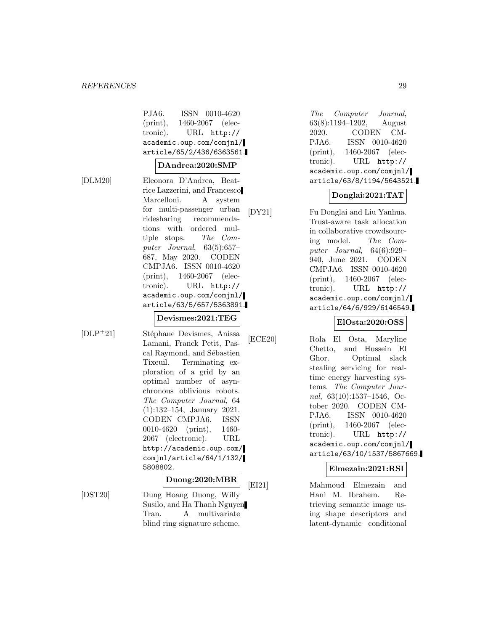PJA6. ISSN 0010-4620 (print), 1460-2067 (electronic). URL http:// academic.oup.com/comjnl/ article/65/2/436/6363561.

#### **DAndrea:2020:SMP**

[DLM20] Eleonora D'Andrea, Beatrice Lazzerini, and Francesco Marcelloni. A system for multi-passenger urban ridesharing recommendations with ordered multiple stops. The Computer Journal, 63(5):657– 687, May 2020. CODEN CMPJA6. ISSN 0010-4620 (print), 1460-2067 (electronic). URL http:// academic.oup.com/comjnl/ article/63/5/657/5363891.

## **Devismes:2021:TEG**

 $[DLP+21]$  Stéphane Devismes, Anissa Lamani, Franck Petit, Pascal Raymond, and Sébastien Tixeuil. Terminating exploration of a grid by an optimal number of asynchronous oblivious robots. The Computer Journal, 64 (1):132–154, January 2021. CODEN CMPJA6. ISSN 0010-4620 (print), 1460- 2067 (electronic). URL http://academic.oup.com/ comjnl/article/64/1/132/ 5808802.

## **Duong:2020:MBR**

[DST20] Dung Hoang Duong, Willy Susilo, and Ha Thanh Nguyen Tran. A multivariate blind ring signature scheme.

The Computer Journal, 63(8):1194–1202, August 2020. CODEN CM-PJA6. ISSN 0010-4620 (print), 1460-2067 (electronic). URL http:// academic.oup.com/comjnl/ article/63/8/1194/5643521.

## **Donglai:2021:TAT**

[DY21] Fu Donglai and Liu Yanhua. Trust-aware task allocation in collaborative crowdsourcing model. The Computer Journal, 64(6):929– 940, June 2021. CODEN CMPJA6. ISSN 0010-4620 (print), 1460-2067 (electronic). URL http:// academic.oup.com/comjnl/ article/64/6/929/6146549.

#### **ElOsta:2020:OSS**

[ECE20] Rola El Osta, Maryline Chetto, and Hussein El Ghor. Optimal slack stealing servicing for realtime energy harvesting systems. The Computer Journal, 63(10):1537–1546, October 2020. CODEN CM-PJA6. ISSN 0010-4620 (print), 1460-2067 (electronic). URL http:// academic.oup.com/comjnl/ article/63/10/1537/5867669.

#### **Elmezain:2021:RSI**

[EI21] Mahmoud Elmezain and Hani M. Ibrahem. Retrieving semantic image using shape descriptors and latent-dynamic conditional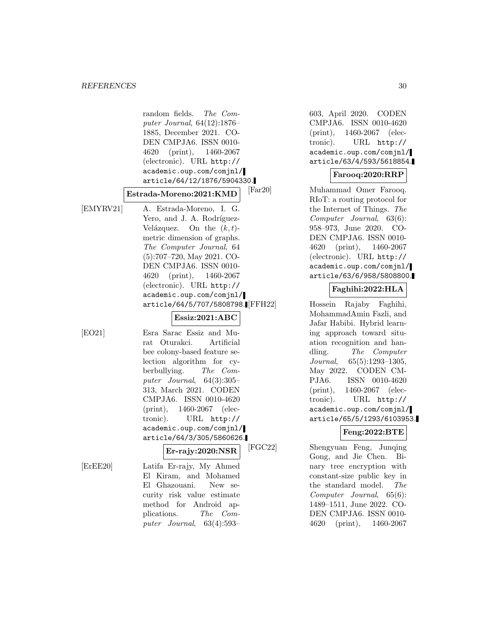random fields. The Computer Journal, 64(12):1876– 1885, December 2021. CO-DEN CMPJA6. ISSN 0010- 4620 (print), 1460-2067 (electronic). URL http:// academic.oup.com/comjnl/ article/64/12/1876/5904330. **Estrada-Moreno:2021:KMD** [EMYRV21] A. Estrada-Moreno, I. G. Yero, and J. A. Rodríguez-Velázquez. On the  $(k, t)$ metric dimension of graphs. The Computer Journal, 64 (5):707–720, May 2021. CO-DEN CMPJA6. ISSN 0010- 4620 (print), 1460-2067 (electronic). URL http:// academic.oup.com/comjnl/ article/64/5/707/5808798. FFH22 **Essiz:2021:ABC** [EO21] Esra Sarac Essiz and Murat Oturakci. Artificial bee colony-based feature selection algorithm for cyberbullying. The Computer Journal, 64(3):305– 313, March 2021. CODEN CMPJA6. ISSN 0010-4620 (print), 1460-2067 (electronic). URL http:// academic.oup.com/comjnl/ article/64/3/305/5860626. **Er-rajy:2020:NSR** [ErEE20] Latifa Er-rajy, My Ahmed El Kiram, and Mohamed El Ghazouani. New security risk value estimate method for Android applications. The Com-

puter Journal, 63(4):593–

603, April 2020. CODEN CMPJA6. ISSN 0010-4620 (print), 1460-2067 (electronic). URL http:// academic.oup.com/comjnl/ article/63/4/593/5618854.

## **Farooq:2020:RRP**

[Far20] Muhammad Omer Farooq. RIoT: a routing protocol for the Internet of Things. The Computer Journal, 63(6): 958–973, June 2020. CO-DEN CMPJA6. ISSN 0010- 4620 (print), 1460-2067 (electronic). URL http:// academic.oup.com/comjnl/ article/63/6/958/5808800.

# **Faghihi:2022:HLA**

Hossein Rajaby Faghihi, MohammadAmin Fazli, and Jafar Habibi. Hybrid learning approach toward situation recognition and handling. The Computer Journal, 65(5):1293–1305, May 2022. CODEN CM-PJA6. ISSN 0010-4620 (print), 1460-2067 (electronic). URL http:// academic.oup.com/comjnl/ article/65/5/1293/6103953.

## **Feng:2022:BTE**

[FGC22] Shengyuan Feng, Junqing Gong, and Jie Chen. Binary tree encryption with constant-size public key in the standard model. The Computer Journal, 65(6): 1489–1511, June 2022. CO-DEN CMPJA6. ISSN 0010- 4620 (print), 1460-2067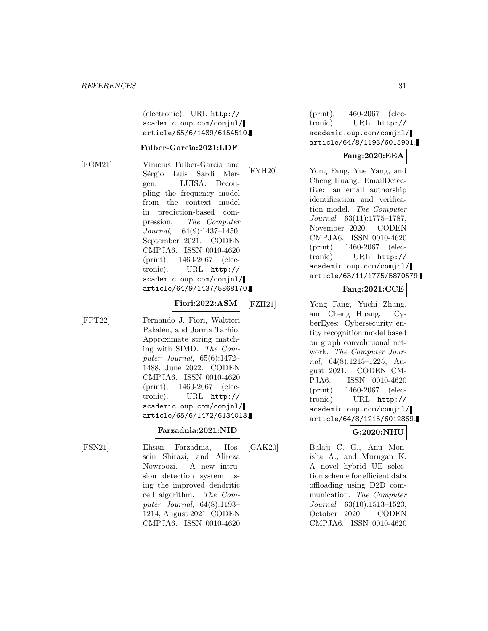(electronic). URL http:// academic.oup.com/comjnl/ article/65/6/1489/6154510.

#### **Fulber-Garcia:2021:LDF**

[FGM21] Vinicius Fulber-Garcia and Sérgio Luis Sardi Mergen. LUISA: Decoupling the frequency model from the context model in prediction-based compression. The Computer Journal, 64(9):1437–1450, September 2021. CODEN CMPJA6. ISSN 0010-4620 (print), 1460-2067 (electronic). URL http:// academic.oup.com/comjnl/ article/64/9/1437/5868170.

#### **Fiori:2022:ASM**

[FPT22] Fernando J. Fiori, Waltteri Pakalén, and Jorma Tarhio. Approximate string matching with SIMD. The Computer Journal, 65(6):1472– 1488, June 2022. CODEN CMPJA6. ISSN 0010-4620 (print), 1460-2067 (electronic). URL http:// academic.oup.com/comjnl/ article/65/6/1472/6134013.

#### **Farzadnia:2021:NID**

[FSN21] Ehsan Farzadnia, Hossein Shirazi, and Alireza Nowroozi. A new intrusion detection system using the improved dendritic cell algorithm. The Computer Journal, 64(8):1193– 1214, August 2021. CODEN CMPJA6. ISSN 0010-4620

(print), 1460-2067 (electronic). URL http:// academic.oup.com/comjnl/ article/64/8/1193/6015901.

## **Fang:2020:EEA**

[FYH20] Yong Fang, Yue Yang, and Cheng Huang. EmailDetective: an email authorship identification and verification model. The Computer Journal, 63(11):1775–1787, November 2020. CODEN CMPJA6. ISSN 0010-4620 (print), 1460-2067 (electronic). URL http:// academic.oup.com/comjnl/ article/63/11/1775/5870579.

# **Fang:2021:CCE**

[FZH21] Yong Fang, Yuchi Zhang, and Cheng Huang. CyberEyes: Cybersecurity entity recognition model based on graph convolutional network. The Computer Journal, 64(8):1215–1225, August 2021. CODEN CM-PJA6. ISSN 0010-4620 (print), 1460-2067 (electronic). URL http:// academic.oup.com/comjnl/ article/64/8/1215/6012869.

## **G:2020:NHU**

[GAK20] Balaji C. G., Anu Monisha A., and Murugan K. A novel hybrid UE selection scheme for efficient data offloading using D2D communication. The Computer Journal, 63(10):1513–1523, October 2020. CODEN CMPJA6. ISSN 0010-4620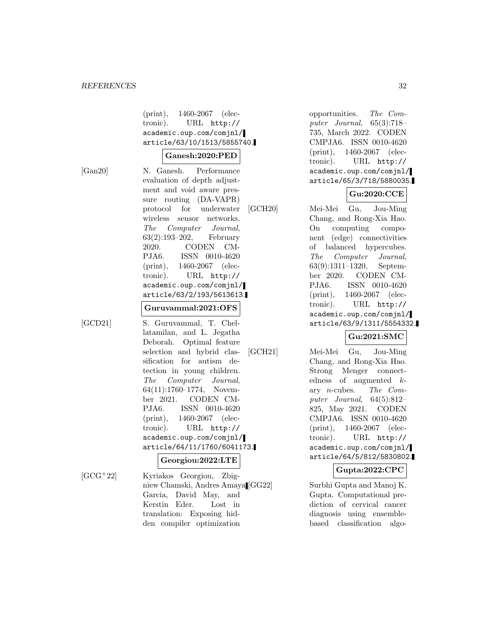(print), 1460-2067 (electronic). URL http:// academic.oup.com/comjnl/ article/63/10/1513/5855740.

#### **Ganesh:2020:PED**

[Gan20] N. Ganesh. Performance evaluation of depth adjustment and void aware pressure routing (DA-VAPR) protocol for underwater wireless sensor networks. The Computer Journal, 63(2):193–202, February 2020. CODEN CM-PJA6. ISSN 0010-4620 (print), 1460-2067 (electronic). URL http:// academic.oup.com/comjnl/ article/63/2/193/5613613.

#### **Guruvammal:2021:OFS**

[GCD21] S. Guruvammal, T. Chellatamilan, and L. Jegatha Deborah. Optimal feature selection and hybrid classification for autism detection in young children. The Computer Journal, 64(11):1760–1774, November 2021. CODEN CM-PJA6. ISSN 0010-4620 (print), 1460-2067 (electronic). URL http:// academic.oup.com/comjnl/ article/64/11/1760/6041173.

#### **Georgiou:2022:LTE**

[GCG<sup>+</sup>22] Kyriakos Georgiou, Zbigniew Chamski, Andres Amaya Garcia, David May, and Kerstin Eder. Lost in translation: Exposing hidden compiler optimization

opportunities. The Computer Journal, 65(3):718– 735, March 2022. CODEN CMPJA6. ISSN 0010-4620 (print), 1460-2067 (electronic). URL http:// academic.oup.com/comjnl/ article/65/3/718/5880035.

#### **Gu:2020:CCE**

[GCH20] Mei-Mei Gu, Jou-Ming Chang, and Rong-Xia Hao. On computing component (edge) connectivities of balanced hypercubes. The Computer Journal, 63(9):1311–1320, September 2020. CODEN CM-PJA6. ISSN 0010-4620 (print), 1460-2067 (electronic). URL http:// academic.oup.com/comjnl/ article/63/9/1311/5554332.

## **Gu:2021:SMC**

[GCH21] Mei-Mei Gu, Jou-Ming Chang, and Rong-Xia Hao. Strong Menger connectedness of augmented kary n-cubes. The Computer Journal, 64(5):812– 825, May 2021. CODEN CMPJA6. ISSN 0010-4620 (print), 1460-2067 (electronic). URL http:// academic.oup.com/comjnl/ article/64/5/812/5830802.

#### **Gupta:2022:CPC**

Surbhi Gupta and Manoj K. Gupta. Computational prediction of cervical cancer diagnosis using ensemblebased classification algo-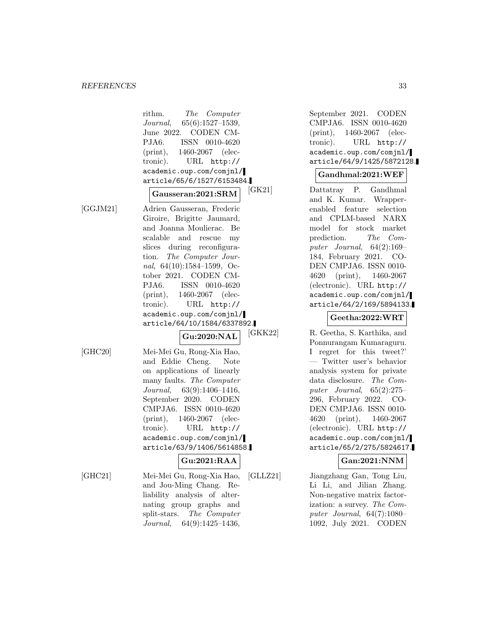|          | The Computer<br>rithm.<br>$Journal, 65(6):1527-1539,$<br>June 2022. CODEN CM-<br>PJA6.<br>ISSN<br>0010-4620<br>$(\text{print}),$<br>1460-2067<br>elec-<br>tronic).<br>URL<br>http://<br>academic.oup.com/comjnl/<br>article/65/6/1527/6153484.<br>[GK2                                                                                                                                             |
|----------|----------------------------------------------------------------------------------------------------------------------------------------------------------------------------------------------------------------------------------------------------------------------------------------------------------------------------------------------------------------------------------------------------|
|          | Gausseran:2021:SRM                                                                                                                                                                                                                                                                                                                                                                                 |
| [GGJM21] | Adrien Gausseran, Frederic<br>Giroire, Brigitte Jaumard,<br>and Joanna Moulierac. Be<br>scalable<br>and<br>rescue<br>my<br>during reconfigura-<br>slices<br>The Computer Jour-<br>tion.<br>nal, 64(10):1584-1599, Oc-<br>tober 2021. CODEN CM-<br>ISSN 0010-4620<br>P.JA6.<br>$(print), 1460-2067$ (elec-<br>URL<br>tronic).<br>http://<br>academic.oup.com/comjnl/<br>article/64/10/1584/6337892. |
|          | [GK]<br>Gu:2020:NAL                                                                                                                                                                                                                                                                                                                                                                                |
| [GHC20]  | Mei-Mei Gu, Rong-Xia Hao,<br>and Eddie Cheng.<br>Note<br>on applications of linearly<br>many faults. The Computer<br>$Journal, 63(9):1406-1416,$<br>September 2020. CODEN<br>CMPJA6.<br>ISSN 0010-4620<br>(print), 1460-2067 (elec-<br>tronic).<br>URL http://<br>academic.oup.com/comjnl/<br>article/63/9/1406/5614858.<br>Gu:2021:RAA                                                            |
|          |                                                                                                                                                                                                                                                                                                                                                                                                    |
| [GHC21]  | Mei-Mei Gu, Rong-Xia Hao,<br> GLI<br>and Jou-Ming Chang.<br>Re-                                                                                                                                                                                                                                                                                                                                    |

liability analysis of alternating group graphs and split-stars. The Computer Journal, 64(9):1425–1436,

September 2021. CODEN CMPJA6. ISSN 0010-4620 (print), 1460-2067 (electronic). URL http:// academic.oup.com/comjnl/ article/64/9/1425/5872128.

#### **Gandhmal:2021:WEF**

21] Dattatray P. Gandhmal and K. Kumar. Wrapperenabled feature selection and CPLM-based NARX model for stock market prediction. The Computer Journal, 64(2):169– 184, February 2021. CO-DEN CMPJA6. ISSN 0010- 4620 (print), 1460-2067 (electronic). URL http:// academic.oup.com/comjnl/ article/64/2/169/5894133.

# **Geetha:2022:WRT**

K22] R. Geetha, S. Karthika, and Ponnurangam Kumaraguru. I regret for this tweet?' — Twitter user's behavior analysis system for private data disclosure. The Computer Journal, 65(2):275– 296, February 2022. CO-DEN CMPJA6. ISSN 0010- 4620 (print), 1460-2067 (electronic). URL http:// academic.oup.com/comjnl/ article/65/2/275/5824617.

## **Gan:2021:NNM**

[GLLANGT] Jiangzhang Gan, Tong Liu, Li Li, and Jilian Zhang. Non-negative matrix factorization: a survey. The Computer Journal,  $64(7):1080-$ 1092, July 2021. CODEN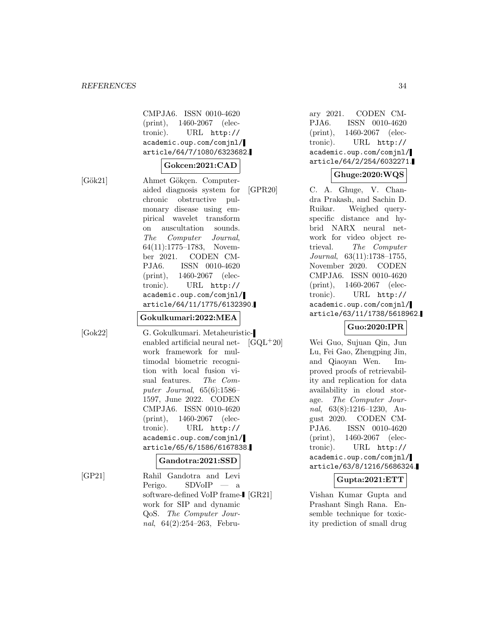CMPJA6. ISSN 0010-4620 (print), 1460-2067 (electronic). URL http:// academic.oup.com/comjnl/ article/64/7/1080/6323682.

#### **Gokcen:2021:CAD**

[Gök21] Ahmet Gökçen. Computeraided diagnosis system for chronic obstructive pulmonary disease using empirical wavelet transform on auscultation sounds. The Computer Journal, 64(11):1775–1783, November 2021. CODEN CM-PJA6. ISSN 0010-4620 (print), 1460-2067 (electronic). URL http:// academic.oup.com/comjnl/ article/64/11/1775/6132390.

# **Gokulkumari:2022:MEA**

- 
- [Gok22] G. Gokulkumari. Metaheuristicenabled artificial neural network framework for multimodal biometric recognition with local fusion visual features. The Computer Journal, 65(6):1586– 1597, June 2022. CODEN CMPJA6. ISSN 0010-4620 (print), 1460-2067 (electronic). URL http:// academic.oup.com/comjnl/ article/65/6/1586/6167838.

#### **Gandotra:2021:SSD**

[GP21] Rahil Gandotra and Levi Perigo. SDVoIP — a software-defined VoIP frame-I [GR21] work for SIP and dynamic QoS. The Computer Journal, 64(2):254–263, February 2021. CODEN CM-PJA6. ISSN 0010-4620 (print), 1460-2067 (electronic). URL http:// academic.oup.com/comjnl/ article/64/2/254/6032271.

## **Ghuge:2020:WQS**

[GPR20] C. A. Ghuge, V. Chandra Prakash, and Sachin D. Ruikar. Weighed queryspecific distance and hybrid NARX neural network for video object retrieval. The Computer Journal, 63(11):1738–1755, November 2020. CODEN CMPJA6. ISSN 0010-4620 (print), 1460-2067 (electronic). URL http:// academic.oup.com/comjnl/ article/63/11/1738/5618962.

## **Guo:2020:IPR**

[GQL<sup>+</sup>20] Wei Guo, Sujuan Qin, Jun Lu, Fei Gao, Zhengping Jin, and Qiaoyan Wen. Improved proofs of retrievability and replication for data availability in cloud storage. The Computer Journal, 63(8):1216–1230, August 2020. CODEN CM-PJA6. ISSN 0010-4620 (print), 1460-2067 (electronic). URL http:// academic.oup.com/comjnl/ article/63/8/1216/5686324.

#### **Gupta:2021:ETT**

Vishan Kumar Gupta and Prashant Singh Rana. Ensemble technique for toxicity prediction of small drug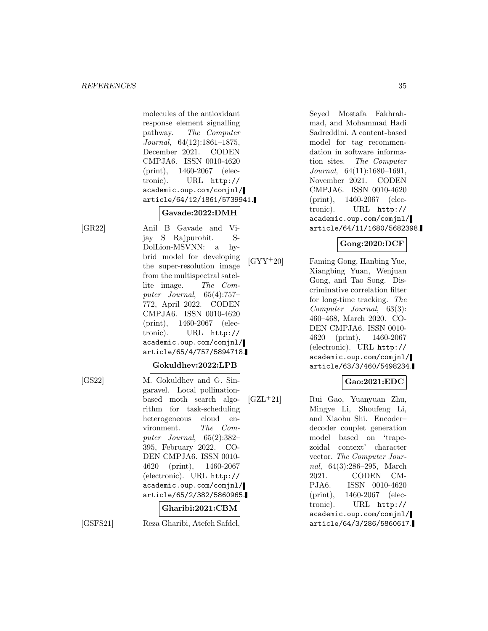molecules of the antioxidant response element signalling pathway. The Computer Journal, 64(12):1861–1875, December 2021. CODEN CMPJA6. ISSN 0010-4620 (print), 1460-2067 (electronic). URL http:// academic.oup.com/comjnl/ article/64/12/1861/5739941.

# **Gavade:2022:DMH**

[GR22] Anil B Gavade and Vijay S Rajpurohit. S-DolLion-MSVNN: a hybrid model for developing the super-resolution image from the multispectral satellite image. The Computer Journal, 65(4):757– 772, April 2022. CODEN CMPJA6. ISSN 0010-4620 (print), 1460-2067 (electronic). URL http:// academic.oup.com/comjnl/ article/65/4/757/5894718.

#### **Gokuldhev:2022:LPB**

[GS22] M. Gokuldhev and G. Singaravel. Local pollinationbased moth search algorithm for task-scheduling heterogeneous cloud environment. The Computer Journal, 65(2):382– 395, February 2022. CO-DEN CMPJA6. ISSN 0010- 4620 (print), 1460-2067 (electronic). URL http:// academic.oup.com/comjnl/ article/65/2/382/5860965.

## **Gharibi:2021:CBM**

[GSFS21] Reza Gharibi, Atefeh Safdel,

Seyed Mostafa Fakhrahmad, and Mohammad Hadi Sadreddini. A content-based model for tag recommendation in software information sites. The Computer Journal, 64(11):1680–1691, November 2021. CODEN CMPJA6. ISSN 0010-4620 (print), 1460-2067 (electronic). URL http:// academic.oup.com/comjnl/ article/64/11/1680/5682398.

## **Gong:2020:DCF**

[GYY<sup>+</sup>20] Faming Gong, Hanbing Yue, Xiangbing Yuan, Wenjuan Gong, and Tao Song. Discriminative correlation filter for long-time tracking. The Computer Journal, 63(3): 460–468, March 2020. CO-DEN CMPJA6. ISSN 0010- 4620 (print), 1460-2067 (electronic). URL http:// academic.oup.com/comjnl/ article/63/3/460/5498234.

# **Gao:2021:EDC**

[GZL<sup>+</sup>21] Rui Gao, Yuanyuan Zhu, Mingye Li, Shoufeng Li, and Xiaohu Shi. Encoder– decoder couplet generation model based on 'trapezoidal context' character vector. The Computer Journal, 64(3):286–295, March 2021. CODEN CM-PJA6. ISSN 0010-4620 (print), 1460-2067 (electronic). URL http:// academic.oup.com/comjnl/ article/64/3/286/5860617.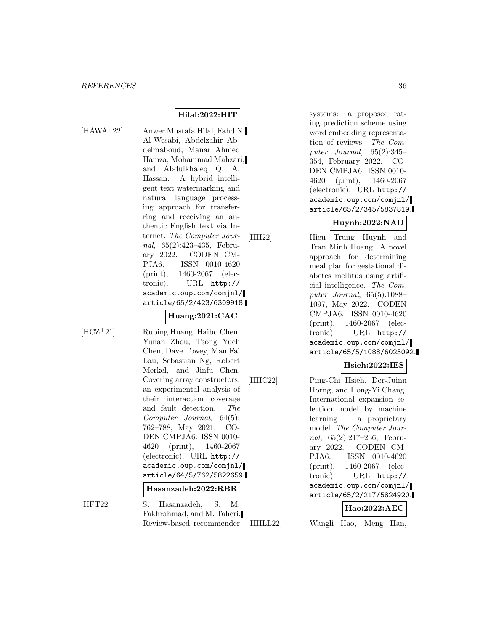[HAWA<sup>+</sup>22] Anwer Mustafa Hilal, Fahd N. Al-Wesabi, Abdelzahir Abdelmaboud, Manar Ahmed Hamza, Mohammad Mahzari, and Abdulkhaleq Q. A. Hassan. A hybrid intelligent text watermarking and natural language processing approach for transferring and receiving an authentic English text via Internet. The Computer Journal, 65(2):423–435, February 2022. CODEN CM-PJA6. ISSN 0010-4620 (print), 1460-2067 (electronic). URL http:// academic.oup.com/comjnl/ article/65/2/423/6309918.

**Hilal:2022:HIT**

**Huang:2021:CAC** [HCZ<sup>+</sup>21] Rubing Huang, Haibo Chen, Yunan Zhou, Tsong Yueh Chen, Dave Towey, Man Fai Lau, Sebastian Ng, Robert Merkel, and Jinfu Chen. Covering array constructors: an experimental analysis of their interaction coverage and fault detection. The Computer Journal, 64(5): 762–788, May 2021. CO-DEN CMPJA6. ISSN 0010- 4620 (print), 1460-2067 (electronic). URL http:// academic.oup.com/comjnl/ article/64/5/762/5822659. **Hasanzadeh:2022:RBR** [HFT22] S. Hasanzadeh, S. M. Fakhrahmad, and M. Taheri. Review-based recommender

systems: a proposed rating prediction scheme using word embedding representation of reviews. The Computer Journal, 65(2):345– 354, February 2022. CO-DEN CMPJA6. ISSN 0010- 4620 (print), 1460-2067 (electronic). URL http:// academic.oup.com/comjnl/ article/65/2/345/5837819.

## **Huynh:2022:NAD**

[HH22] Hieu Trung Huynh and Tran Minh Hoang. A novel approach for determining meal plan for gestational diabetes mellitus using artificial intelligence. The Computer Journal, 65(5):1088– 1097, May 2022. CODEN CMPJA6. ISSN 0010-4620 (print), 1460-2067 (electronic). URL http:// academic.oup.com/comjnl/ article/65/5/1088/6023092.

#### **Hsieh:2022:IES**

[HHC22] Ping-Chi Hsieh, Der-Juinn Horng, and Hong-Yi Chang. International expansion selection model by machine learning — a proprietary model. The Computer Journal, 65(2):217–236, February 2022. CODEN CM-PJA6. ISSN 0010-4620 (print), 1460-2067 (electronic). URL http:// academic.oup.com/comjnl/ article/65/2/217/5824920.

### **Hao:2022:AEC**

[HHLL22] Wangli Hao, Meng Han,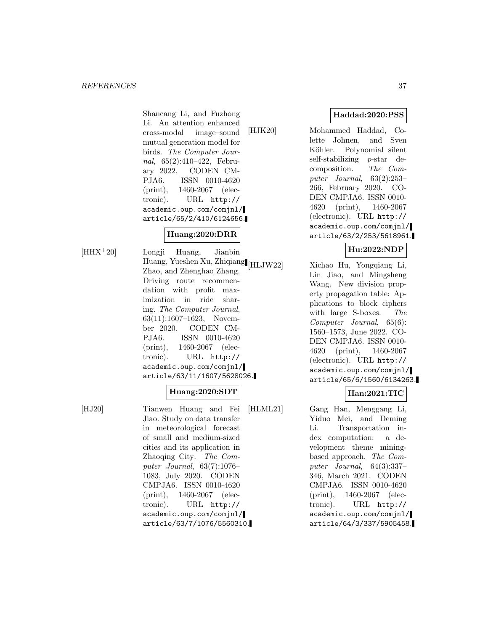Shancang Li, and Fuzhong Li. An attention enhanced cross-modal image–sound mutual generation model for birds. The Computer Journal, 65(2):410–422, February 2022. CODEN CM-PJA6. ISSN 0010-4620 (print), 1460-2067 (electronic). URL http:// academic.oup.com/comjnl/ article/65/2/410/6124656.

# **Huang:2020:DRR**

[HHX<sup>+</sup>20] Longji Huang, Jianbin Huang, Yueshen Xu, Zhiqiang Zhao, and Zhenghao Zhang. Driving route recommendation with profit maximization in ride sharing. The Computer Journal, 63(11):1607–1623, November 2020. CODEN CM-PJA6. ISSN 0010-4620 (print), 1460-2067 (electronic). URL http:// academic.oup.com/comjnl/ article/63/11/1607/5628026.

#### **Huang:2020:SDT**

[HJ20] Tianwen Huang and Fei Jiao. Study on data transfer in meteorological forecast of small and medium-sized cities and its application in Zhaoqing City. The Computer Journal, 63(7):1076– 1083, July 2020. CODEN CMPJA6. ISSN 0010-4620 (print), 1460-2067 (electronic). URL http:// academic.oup.com/comjnl/ article/63/7/1076/5560310.

[HJK20] Mohammed Haddad, Colette Johnen, and Sven Köhler. Polynomial silent self-stabilizing p-star decomposition. The Computer Journal, 63(2):253– 266, February 2020. CO-DEN CMPJA6. ISSN 0010- 4620 (print), 1460-2067 (electronic). URL http:// academic.oup.com/comjnl/ article/63/2/253/5618961.

# **Hu:2022:NDP**

Xichao Hu, Yongqiang Li, Lin Jiao, and Mingsheng Wang. New division property propagation table: Applications to block ciphers with large S-boxes. The Computer Journal, 65(6): 1560–1573, June 2022. CO-DEN CMPJA6. ISSN 0010- 4620 (print), 1460-2067 (electronic). URL http:// academic.oup.com/comjnl/ article/65/6/1560/6134263.

### **Han:2021:TIC**

[HLML21] Gang Han, Menggang Li, Yiduo Mei, and Deming Li. Transportation index computation: a development theme miningbased approach. The Computer Journal, 64(3):337– 346, March 2021. CODEN CMPJA6. ISSN 0010-4620 (print), 1460-2067 (electronic). URL http:// academic.oup.com/comjnl/ article/64/3/337/5905458.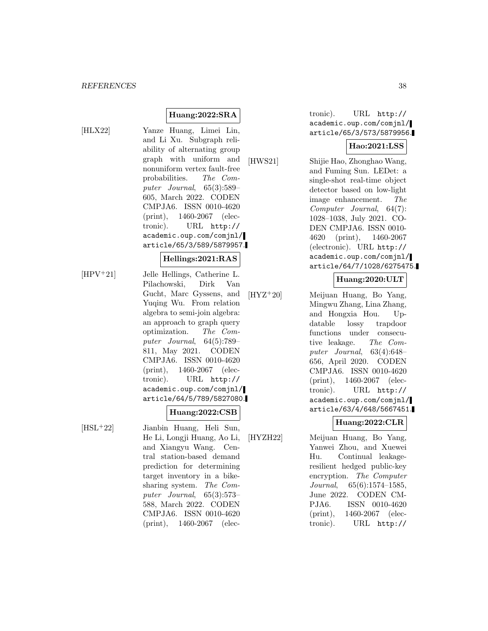# **Huang:2022:SRA**

[HLX22] Yanze Huang, Limei Lin, and Li Xu. Subgraph reliability of alternating group graph with uniform and nonuniform vertex fault-free probabilities. The Computer Journal, 65(3):589– 605, March 2022. CODEN CMPJA6. ISSN 0010-4620 (print), 1460-2067 (electronic). URL http:// academic.oup.com/comjnl/ article/65/3/589/5879957.

# **Hellings:2021:RAS**

[HPV<sup>+</sup>21] Jelle Hellings, Catherine L. Pilachowski, Dirk Van Gucht, Marc Gyssens, and Yuqing Wu. From relation algebra to semi-join algebra: an approach to graph query optimization. The Computer Journal, 64(5):789– 811, May 2021. CODEN CMPJA6. ISSN 0010-4620 (print), 1460-2067 (electronic). URL http:// academic.oup.com/comjnl/ article/64/5/789/5827080.

# **Huang:2022:CSB**

[HSL<sup>+</sup>22] Jianbin Huang, Heli Sun, He Li, Longji Huang, Ao Li, and Xiangyu Wang. Central station-based demand prediction for determining target inventory in a bikesharing system. The Computer Journal, 65(3):573– 588, March 2022. CODEN CMPJA6. ISSN 0010-4620 (print), 1460-2067 (electronic). URL http:// academic.oup.com/comjnl/ article/65/3/573/5879956.

# **Hao:2021:LSS**

[HWS21] Shijie Hao, Zhonghao Wang, and Fuming Sun. LEDet: a single-shot real-time object detector based on low-light image enhancement. The Computer Journal, 64(7): 1028–1038, July 2021. CO-DEN CMPJA6. ISSN 0010- 4620 (print), 1460-2067 (electronic). URL http:// academic.oup.com/comjnl/ article/64/7/1028/6275475.

# **Huang:2020:ULT**

[HYZ<sup>+</sup>20] Meijuan Huang, Bo Yang, Mingwu Zhang, Lina Zhang, and Hongxia Hou. Updatable lossy trapdoor functions under consecutive leakage. The Computer Journal, 63(4):648– 656, April 2020. CODEN CMPJA6. ISSN 0010-4620 (print), 1460-2067 (electronic). URL http:// academic.oup.com/comjnl/ article/63/4/648/5667451.

# **Huang:2022:CLR**

[HYZH22] Meijuan Huang, Bo Yang, Yanwei Zhou, and Xuewei Hu. Continual leakageresilient hedged public-key encryption. The Computer Journal, 65(6):1574–1585, June 2022. CODEN CM-PJA6. ISSN 0010-4620 (print), 1460-2067 (electronic). URL http://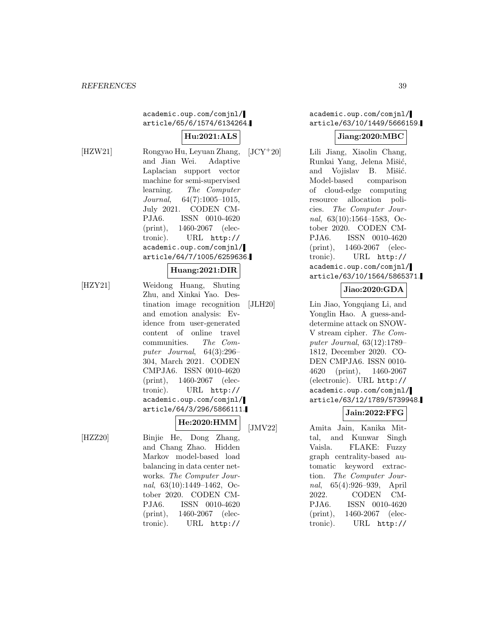# academic.oup.com/comjnl/ article/65/6/1574/6134264.

# **Hu:2021:ALS**

[HZW21] Rongyao Hu, Leyuan Zhang, and Jian Wei. Adaptive Laplacian support vector machine for semi-supervised learning. The Computer Journal, 64(7):1005–1015, July 2021. CODEN CM-PJA6. ISSN 0010-4620 (print), 1460-2067 (electronic). URL http:// academic.oup.com/comjnl/ article/64/7/1005/6259636.

# **Huang:2021:DIR**

[HZY21] Weidong Huang, Shuting Zhu, and Xinkai Yao. Destination image recognition and emotion analysis: Evidence from user-generated content of online travel communities. The Computer Journal, 64(3):296– 304, March 2021. CODEN CMPJA6. ISSN 0010-4620 (print), 1460-2067 (electronic). URL http:// academic.oup.com/comjnl/ article/64/3/296/5866111.

**He:2020:HMM**

[HZZ20] Binjie He, Dong Zhang, and Chang Zhao. Hidden Markov model-based load balancing in data center networks. The Computer Journal, 63(10):1449–1462, October 2020. CODEN CM-PJA6. ISSN 0010-4620 (print), 1460-2067 (electronic). URL http://

# academic.oup.com/comjnl/ article/63/10/1449/5666159.

#### **Jiang:2020:MBC**

[JCY<sup>+</sup>20] Lili Jiang, Xiaolin Chang, Runkai Yang, Jelena Mišić, and Vojislav B. Mišić. Model-based comparison of cloud-edge computing resource allocation policies. The Computer Journal, 63(10):1564–1583, October 2020. CODEN CM-PJA6. ISSN 0010-4620 (print), 1460-2067 (electronic). URL http:// academic.oup.com/comjnl/ article/63/10/1564/5865371.

# **Jiao:2020:GDA**

[JLH20] Lin Jiao, Yongqiang Li, and Yonglin Hao. A guess-anddetermine attack on SNOW-V stream cipher. The Computer Journal, 63(12):1789– 1812, December 2020. CO-DEN CMPJA6. ISSN 0010- 4620 (print), 1460-2067 (electronic). URL http:// academic.oup.com/comjnl/ article/63/12/1789/5739948.

# **Jain:2022:FFG**

[JMV22] Amita Jain, Kanika Mittal, and Kunwar Singh Vaisla. FLAKE: Fuzzy graph centrality-based automatic keyword extraction. The Computer Journal, 65(4):926–939, April 2022. CODEN CM-PJA6. ISSN 0010-4620 (print), 1460-2067 (electronic). URL http://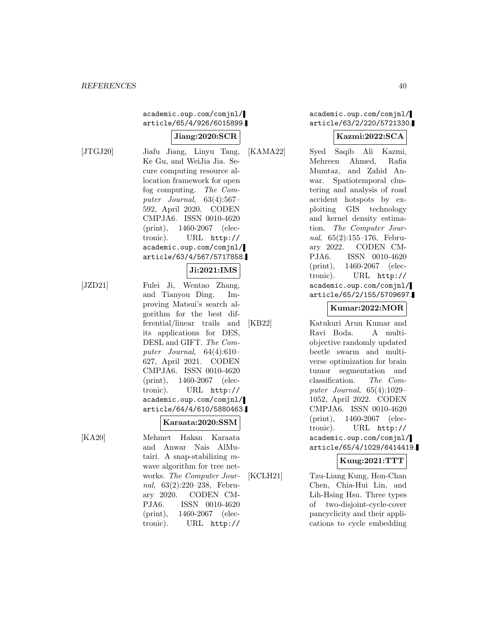# academic.oup.com/comjnl/ article/65/4/926/6015899.

### **Jiang:2020:SCR**

[JTGJ20] Jiafu Jiang, Linyu Tang, Ke Gu, and WeiJia Jia. Secure computing resource allocation framework for open fog computing. The Computer Journal, 63(4):567– 592, April 2020. CODEN CMPJA6. ISSN 0010-4620 (print), 1460-2067 (electronic). URL http:// academic.oup.com/comjnl/ article/63/4/567/5717858.

# **Ji:2021:IMS**

[JZD21] Fulei Ji, Wentao Zhang, and Tianyou Ding. Improving Matsui's search algorithm for the best differential/linear trails and its applications for DES, DESL and GIFT. The Computer Journal, 64(4):610– 627, April 2021. CODEN CMPJA6. ISSN 0010-4620 (print), 1460-2067 (electronic). URL http:// academic.oup.com/comjnl/ article/64/4/610/5880463.

# **Karaata:2020:SSM**

[KA20] Mehmet Hakan Karaata and Anwar Nais AlMutairi. A snap-stabilizing mwave algorithm for tree networks. The Computer Journal, 63(2):220–238, February 2020. CODEN CM-PJA6. ISSN 0010-4620 (print), 1460-2067 (electronic). URL http://

# academic.oup.com/comjnl/ article/63/2/220/5721330.

# **Kazmi:2022:SCA**

[KAMA22] Syed Saqib Ali Kazmi, Mehreen Ahmed, Rafia Mumtaz, and Zahid Anwar. Spatiotemporal clustering and analysis of road accident hotspots by exploiting GIS technology and kernel density estimation. The Computer Journal, 65(2):155–176, February 2022. CODEN CM-PJA6. ISSN 0010-4620 (print), 1460-2067 (electronic). URL http:// academic.oup.com/comjnl/ article/65/2/155/5709697.

# **Kumar:2022:MOR**

[KB22] Katukuri Arun Kumar and Ravi Boda. A multiobjective randomly updated beetle swarm and multiverse optimization for brain tumor segmentation and classification. The Computer Journal, 65(4):1029– 1052, April 2022. CODEN CMPJA6. ISSN 0010-4620 (print), 1460-2067 (electronic). URL http:// academic.oup.com/comjnl/ article/65/4/1029/6414419.

# **Kung:2021:TTT**

[KCLH21] Tzu-Liang Kung, Hon-Chan Chen, Chia-Hui Lin, and Lih-Hsing Hsu. Three types of two-disjoint-cycle-cover pancyclicity and their applications to cycle embedding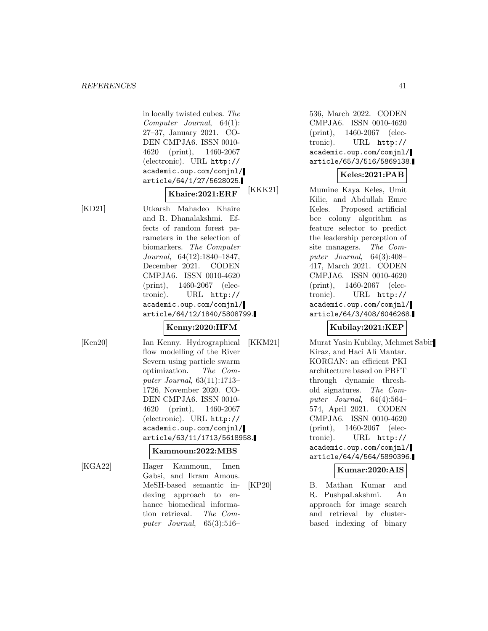in locally twisted cubes. The Computer Journal, 64(1): 27–37, January 2021. CO-DEN CMPJA6. ISSN 0010- 4620 (print), 1460-2067 (electronic). URL http:// academic.oup.com/comjnl/ article/64/1/27/5628025.

**Khaire:2021:ERF**

[KD21] Utkarsh Mahadeo Khaire and R. Dhanalakshmi. Effects of random forest parameters in the selection of biomarkers. The Computer Journal, 64(12):1840–1847, December 2021. CODEN CMPJA6. ISSN 0010-4620 (print), 1460-2067 (electronic). URL http:// academic.oup.com/comjnl/ article/64/12/1840/5808799.

#### **Kenny:2020:HFM**

[Ken20] Ian Kenny. Hydrographical flow modelling of the River Severn using particle swarm optimization. The Computer Journal, 63(11):1713– 1726, November 2020. CO-DEN CMPJA6. ISSN 0010- 4620 (print), 1460-2067 (electronic). URL http:// academic.oup.com/comjnl/ article/63/11/1713/5618958.

# **Kammoun:2022:MBS**

[KGA22] Hager Kammoun, Imen Gabsi, and Ikram Amous. MeSH-based semantic indexing approach to enhance biomedical information retrieval. The Computer Journal, 65(3):516–

536, March 2022. CODEN CMPJA6. ISSN 0010-4620 (print), 1460-2067 (electronic). URL http:// academic.oup.com/comjnl/ article/65/3/516/5869138.

# **Keles:2021:PAB**

[KKK21] Mumine Kaya Keles, Umit Kilic, and Abdullah Emre Keles. Proposed artificial bee colony algorithm as feature selector to predict the leadership perception of site managers. The Computer Journal, 64(3):408– 417, March 2021. CODEN CMPJA6. ISSN 0010-4620 (print), 1460-2067 (electronic). URL http:// academic.oup.com/comjnl/ article/64/3/408/6046268.

# **Kubilay:2021:KEP**

[KKM21] Murat Yasin Kubilay, Mehmet Sabir Kiraz, and Haci Ali Mantar. KORGAN: an efficient PKI architecture based on PBFT through dynamic threshold signatures. The Computer Journal, 64(4):564– 574, April 2021. CODEN CMPJA6. ISSN 0010-4620 (print), 1460-2067 (electronic). URL http:// academic.oup.com/comjnl/ article/64/4/564/5890396.

#### **Kumar:2020:AIS**

[KP20] B. Mathan Kumar and R. PushpaLakshmi. An approach for image search and retrieval by clusterbased indexing of binary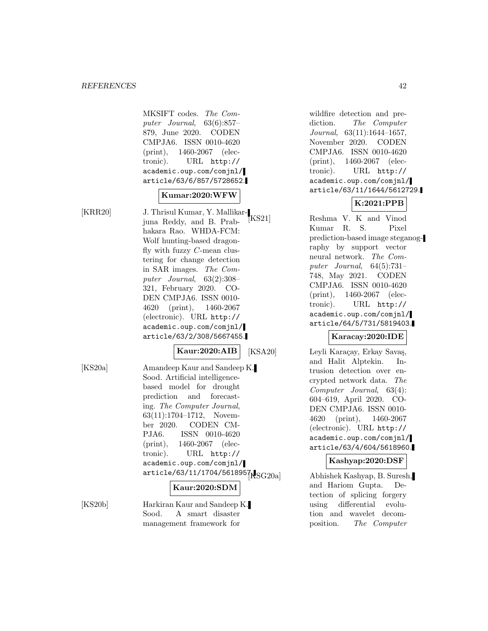MKSIFT codes. The Computer Journal, 63(6):857– 879, June 2020. CODEN CMPJA6. ISSN 0010-4620 (print), 1460-2067 (electronic). URL http:// academic.oup.com/comjnl/ article/63/6/857/5728652.

#### **Kumar:2020:WFW**

[KRR20] J. Thrisul Kumar, Y. Mallikarjuna Reddy, and B. Prabhakara Rao. WHDA-FCM: Wolf hunting-based dragonfly with fuzzy C-mean clustering for change detection in SAR images. The Computer Journal, 63(2):308– 321, February 2020. CO-DEN CMPJA6. ISSN 0010- 4620 (print), 1460-2067 (electronic). URL http:// academic.oup.com/comjnl/ article/63/2/308/5667455.

# **Kaur:2020:AIB**

[KS20a] Amandeep Kaur and Sandeep K. Sood. Artificial intelligencebased model for drought prediction and forecasting. The Computer Journal, 63(11):1704–1712, November 2020. CODEN CM-PJA6. ISSN 0010-4620 (print), 1460-2067 (electronic). URL http:// academic.oup.com/comjnl/  $\ar{ticle}/63/11/1704/5618957$ <sub>KSG20a</sub>

#### **Kaur:2020:SDM**

[KS20b] Harkiran Kaur and Sandeep K. Sood. A smart disaster management framework for

wildfire detection and prediction. The Computer Journal, 63(11):1644–1657, November 2020. CODEN CMPJA6. ISSN 0010-4620 (print), 1460-2067 (electronic). URL http:// academic.oup.com/comjnl/ article/63/11/1644/5612729.

# **K:2021:PPB**

[KS21] Reshma V. K and Vinod Kumar R. S. Pixel prediction-based image steganography by support vector neural network. The Computer Journal, 64(5):731– 748, May 2021. CODEN CMPJA6. ISSN 0010-4620 (print), 1460-2067 (electronic). URL http:// academic.oup.com/comjnl/ article/64/5/731/5819403.

# **Karacay:2020:IDE**

[KSA20] Leyli Karaçay, Erkay Savaş, and Halit Alptekin. Intrusion detection over encrypted network data. The Computer Journal, 63(4): 604–619, April 2020. CO-DEN CMPJA6. ISSN 0010- 4620 (print), 1460-2067 (electronic). URL http:// academic.oup.com/comjnl/ article/63/4/604/5618960.

#### **Kashyap:2020:DSF**

Abhishek Kashyap, B. Suresh, and Hariom Gupta. Detection of splicing forgery using differential evolution and wavelet decomposition. The Computer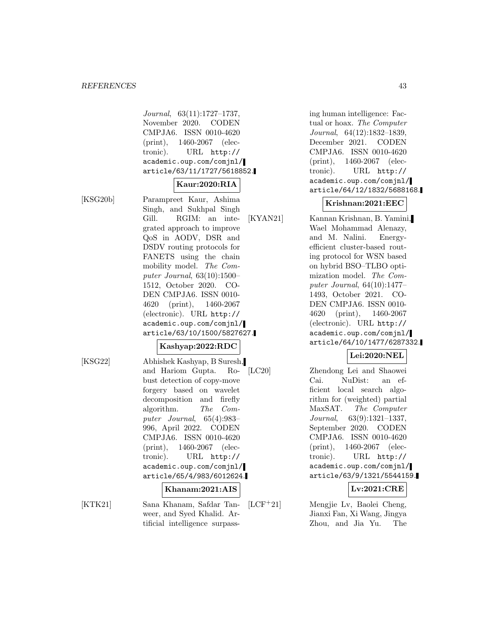Journal, 63(11):1727–1737, November 2020. CODEN CMPJA6. ISSN 0010-4620 (print), 1460-2067 (electronic). URL http:// academic.oup.com/comjnl/ article/63/11/1727/5618852.

### **Kaur:2020:RIA**

[KSG20b] Parampreet Kaur, Ashima Singh, and Sukhpal Singh Gill. RGIM: an integrated approach to improve QoS in AODV, DSR and DSDV routing protocols for FANETS using the chain mobility model. The Computer Journal, 63(10):1500– 1512, October 2020. CO-DEN CMPJA6. ISSN 0010- 4620 (print), 1460-2067 (electronic). URL http:// academic.oup.com/comjnl/ article/63/10/1500/5827627.

# **Kashyap:2022:RDC**

[KSG22] Abhishek Kashyap, B Suresh, and Hariom Gupta. Robust detection of copy-move forgery based on wavelet decomposition and firefly algorithm. The Computer Journal, 65(4):983– 996, April 2022. CODEN CMPJA6. ISSN 0010-4620 (print), 1460-2067 (electronic). URL http:// academic.oup.com/comjnl/ article/65/4/983/6012624.

#### **Khanam:2021:AIS**

[KTK21] Sana Khanam, Safdar Tan-

weer, and Syed Khalid. Artificial intelligence surpassing human intelligence: Factual or hoax. The Computer Journal, 64(12):1832–1839, December 2021. CODEN CMPJA6. ISSN 0010-4620 (print), 1460-2067 (electronic). URL http:// academic.oup.com/comjnl/ article/64/12/1832/5688168.

#### **Krishnan:2021:EEC**

[KYAN21] Kannan Krishnan, B. Yamini, Wael Mohammad Alenazy, and M. Nalini. Energyefficient cluster-based routing protocol for WSN based on hybrid BSO–TLBO optimization model. The Computer Journal, 64(10):1477– 1493, October 2021. CO-DEN CMPJA6. ISSN 0010- 4620 (print), 1460-2067 (electronic). URL http:// academic.oup.com/comjnl/ article/64/10/1477/6287332.

# **Lei:2020:NEL**

[LC20] Zhendong Lei and Shaowei Cai. NuDist: an efficient local search algorithm for (weighted) partial MaxSAT. The Computer Journal, 63(9):1321–1337, September 2020. CODEN CMPJA6. ISSN 0010-4620 (print), 1460-2067 (electronic). URL http:// academic.oup.com/comjnl/ article/63/9/1321/5544159.

# **Lv:2021:CRE**

[LCF<sup>+</sup>21] Mengjie Lv, Baolei Cheng, Jianxi Fan, Xi Wang, Jingya Zhou, and Jia Yu. The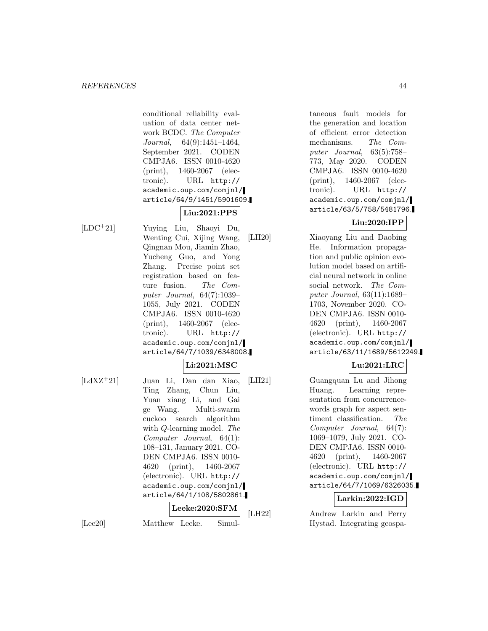conditional reliability evaluation of data center network BCDC. The Computer Journal, 64(9):1451–1464, September 2021. CODEN CMPJA6. ISSN 0010-4620 (print), 1460-2067 (electronic). URL http:// academic.oup.com/comjnl/ article/64/9/1451/5901609.

# **Liu:2021:PPS**

[LDC<sup>+</sup>21] Yuying Liu, Shaoyi Du, Wenting Cui, Xijing Wang, Qingnan Mou, Jiamin Zhao, Yucheng Guo, and Yong Zhang. Precise point set registration based on feature fusion. The Computer Journal, 64(7):1039– 1055, July 2021. CODEN CMPJA6. ISSN 0010-4620 (print), 1460-2067 (electronic). URL http:// academic.oup.com/comjnl/ article/64/7/1039/6348008.

# **Li:2021:MSC**

[LdXZ<sup>+</sup>21] Juan Li, Dan dan Xiao, Ting Zhang, Chun Liu, Yuan xiang Li, and Gai ge Wang. Multi-swarm cuckoo search algorithm with Q-learning model. The Computer Journal, 64(1): 108–131, January 2021. CO-DEN CMPJA6. ISSN 0010- 4620 (print), 1460-2067 (electronic). URL http:// academic.oup.com/comjnl/ article/64/1/108/5802861. **Leeke:2020:SFM**

[Lee20] Matthew Leeke. Simul-

taneous fault models for the generation and location of efficient error detection mechanisms. The Computer Journal, 63(5):758– 773, May 2020. CODEN CMPJA6. ISSN 0010-4620 (print), 1460-2067 (electronic). URL http:// academic.oup.com/comjnl/ article/63/5/758/5481796.

# **Liu:2020:IPP**

[LH20] Xiaoyang Liu and Daobing He. Information propagation and public opinion evolution model based on artificial neural network in online social network. The Computer Journal, 63(11):1689– 1703, November 2020. CO-DEN CMPJA6. ISSN 0010- 4620 (print), 1460-2067 (electronic). URL http:// academic.oup.com/comjnl/ article/63/11/1689/5612249.

# **Lu:2021:LRC**

[LH21] Guangquan Lu and Jihong Huang. Learning representation from concurrencewords graph for aspect sentiment classification. The Computer Journal, 64(7): 1069–1079, July 2021. CO-DEN CMPJA6. ISSN 0010- 4620 (print), 1460-2067 (electronic). URL http:// academic.oup.com/comjnl/ article/64/7/1069/6326035.

# **Larkin:2022:IGD**

[LH22] Andrew Larkin and Perry Hystad. Integrating geospa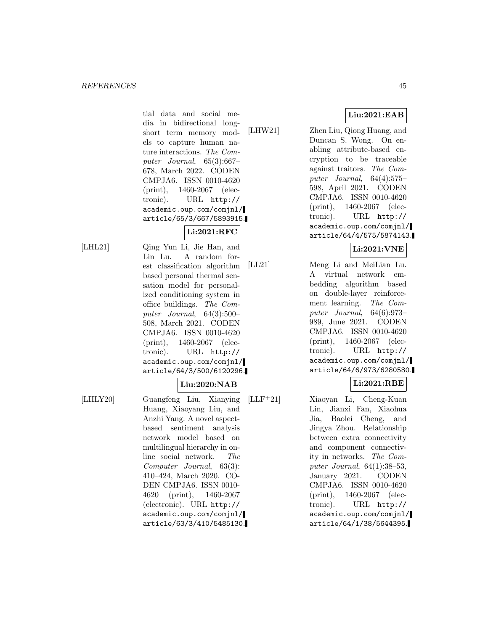tial data and social media in bidirectional longshort term memory models to capture human nature interactions. The Computer Journal, 65(3):667– 678, March 2022. CODEN CMPJA6. ISSN 0010-4620 (print), 1460-2067 (electronic). URL http:// academic.oup.com/comjnl/ article/65/3/667/5893915.

# **Li:2021:RFC**

[LHL21] Qing Yun Li, Jie Han, and Lin Lu. A random forest classification algorithm based personal thermal sensation model for personalized conditioning system in office buildings. The Computer Journal, 64(3):500– 508, March 2021. CODEN CMPJA6. ISSN 0010-4620 (print), 1460-2067 (electronic). URL http:// academic.oup.com/comjnl/ article/64/3/500/6120296.

**Liu:2020:NAB**

[LHLY20] Guangfeng Liu, Xianying Huang, Xiaoyang Liu, and Anzhi Yang. A novel aspectbased sentiment analysis network model based on multilingual hierarchy in online social network. The Computer Journal, 63(3): 410–424, March 2020. CO-DEN CMPJA6. ISSN 0010- 4620 (print), 1460-2067 (electronic). URL http:// academic.oup.com/comjnl/ article/63/3/410/5485130.

- [LHW21] Zhen Liu, Qiong Huang, and
	- Duncan S. Wong. On enabling attribute-based encryption to be traceable against traitors. The Computer Journal, 64(4):575– 598, April 2021. CODEN CMPJA6. ISSN 0010-4620 (print), 1460-2067 (electronic). URL http:// academic.oup.com/comjnl/ article/64/4/575/5874143.

# **Li:2021:VNE**

[LL21] Meng Li and MeiLian Lu. A virtual network embedding algorithm based on double-layer reinforcement learning. The Computer Journal, 64(6):973– 989, June 2021. CODEN CMPJA6. ISSN 0010-4620 (print), 1460-2067 (electronic). URL http:// academic.oup.com/comjnl/ article/64/6/973/6280580.

# **Li:2021:RBE**

[LLF<sup>+</sup>21] Xiaoyan Li, Cheng-Kuan Lin, Jianxi Fan, Xiaohua Jia, Baolei Cheng, and Jingya Zhou. Relationship between extra connectivity and component connectivity in networks. The Computer Journal,  $64(1):38-53$ , January 2021. CODEN CMPJA6. ISSN 0010-4620 (print), 1460-2067 (electronic). URL http:// academic.oup.com/comjnl/ article/64/1/38/5644395.

**Liu:2021:EAB**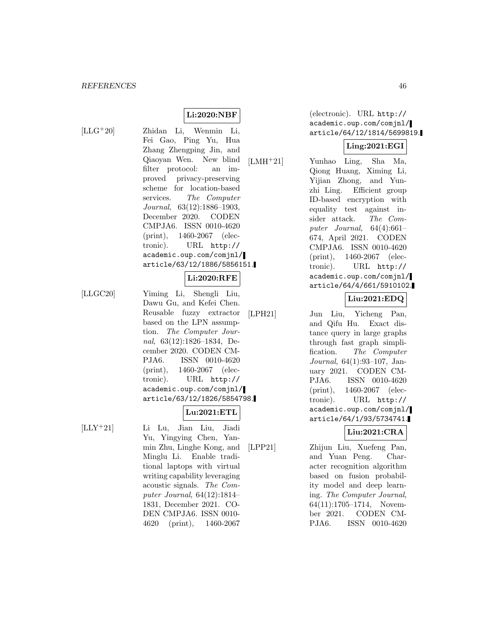[LLG<sup>+</sup>20] Zhidan Li, Wenmin Li, Fei Gao, Ping Yu, Hua Zhang Zhengping Jin, and Qiaoyan Wen. New blind filter protocol: an improved privacy-preserving scheme for location-based services. The Computer Journal, 63(12):1886–1903, December 2020. CODEN CMPJA6. ISSN 0010-4620 (print), 1460-2067 (electronic). URL http:// academic.oup.com/comjnl/ article/63/12/1886/5856151.

**Li:2020:NBF**

- **Li:2020:RFE**
- [LLGC20] Yiming Li, Shengli Liu, Dawu Gu, and Kefei Chen. Reusable fuzzy extractor based on the LPN assumption. The Computer Journal, 63(12):1826–1834, December 2020. CODEN CM-PJA6. ISSN 0010-4620 (print), 1460-2067 (electronic). URL http:// academic.oup.com/comjnl/ article/63/12/1826/5854798.

# **Lu:2021:ETL**

- 
- [LLY<sup>+</sup>21] Li Lu, Jian Liu, Jiadi Yu, Yingying Chen, Yanmin Zhu, Linghe Kong, and Minglu Li. Enable traditional laptops with virtual writing capability leveraging acoustic signals. The Computer Journal, 64(12):1814– 1831, December 2021. CO-DEN CMPJA6. ISSN 0010- 4620 (print), 1460-2067

(electronic). URL http:// academic.oup.com/comjnl/ article/64/12/1814/5699819.

#### **Ling:2021:EGI**

[LMH<sup>+</sup>21] Yunhao Ling, Sha Ma, Qiong Huang, Ximing Li, Yijian Zhong, and Yunzhi Ling. Efficient group ID-based encryption with equality test against insider attack. The Computer Journal, 64(4):661– 674, April 2021. CODEN CMPJA6. ISSN 0010-4620 (print), 1460-2067 (electronic). URL http:// academic.oup.com/comjnl/ article/64/4/661/5910102.

#### **Liu:2021:EDQ**

[LPH21] Jun Liu, Yicheng Pan, and Qifu Hu. Exact distance query in large graphs through fast graph simplification. The Computer Journal, 64(1):93–107, January 2021. CODEN CM-PJA6. ISSN 0010-4620 (print), 1460-2067 (electronic). URL http:// academic.oup.com/comjnl/ article/64/1/93/5734741.

### **Liu:2021:CRA**

[LPP21] Zhijun Liu, Xuefeng Pan, and Yuan Peng. Character recognition algorithm based on fusion probability model and deep learning. The Computer Journal, 64(11):1705–1714, November 2021. CODEN CM-PJA6. ISSN 0010-4620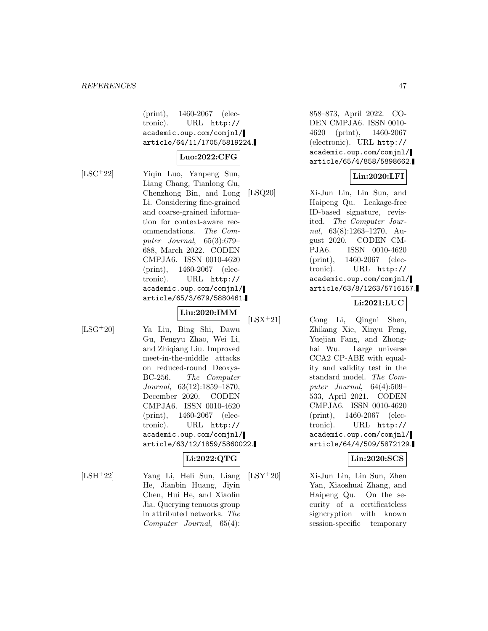(print), 1460-2067 (electronic). URL http:// academic.oup.com/comjnl/ article/64/11/1705/5819224.

### **Luo:2022:CFG**

[LSC<sup>+</sup>22] Yiqin Luo, Yanpeng Sun, Liang Chang, Tianlong Gu, Chenzhong Bin, and Long Li. Considering fine-grained and coarse-grained information for context-aware recommendations. The Computer Journal, 65(3):679– 688, March 2022. CODEN CMPJA6. ISSN 0010-4620 (print), 1460-2067 (electronic). URL http:// academic.oup.com/comjnl/ article/65/3/679/5880461.

**Liu:2020:IMM**

[LSG<sup>+</sup>20] Ya Liu, Bing Shi, Dawu Gu, Fengyu Zhao, Wei Li, and Zhiqiang Liu. Improved meet-in-the-middle attacks on reduced-round Deoxys-BC-256. The Computer Journal, 63(12):1859–1870, December 2020. CODEN CMPJA6. ISSN 0010-4620 (print), 1460-2067 (electronic). URL http:// academic.oup.com/comjnl/ article/63/12/1859/5860022.

# **Li:2022:QTG**

[LSH<sup>+</sup>22] Yang Li, Heli Sun, Liang He, Jianbin Huang, Jiyin Chen, Hui He, and Xiaolin Jia. Querying tenuous group in attributed networks. The Computer Journal, 65(4):

858–873, April 2022. CO-DEN CMPJA6. ISSN 0010- 4620 (print), 1460-2067 (electronic). URL http:// academic.oup.com/comjnl/ article/65/4/858/5898662.

# **Lin:2020:LFI**

[LSQ20] Xi-Jun Lin, Lin Sun, and Haipeng Qu. Leakage-free ID-based signature, revisited. The Computer Journal, 63(8):1263–1270, August 2020. CODEN CM-PJA6. ISSN 0010-4620 (print), 1460-2067 (electronic). URL http:// academic.oup.com/comjnl/ article/63/8/1263/5716157.

# **Li:2021:LUC**

[LSX<sup>+</sup>21] Cong Li, Qingni Shen, Zhikang Xie, Xinyu Feng, Yuejian Fang, and Zhonghai Wu. Large universe CCA2 CP-ABE with equality and validity test in the standard model. The Computer Journal, 64(4):509– 533, April 2021. CODEN CMPJA6. ISSN 0010-4620 (print), 1460-2067 (electronic). URL http:// academic.oup.com/comjnl/ article/64/4/509/5872129.

#### **Lin:2020:SCS**

 $[LSY^+20]$  Xi-Jun Lin, Lin Sun, Zhen Yan, Xiaoshuai Zhang, and Haipeng Qu. On the security of a certificateless signcryption with known session-specific temporary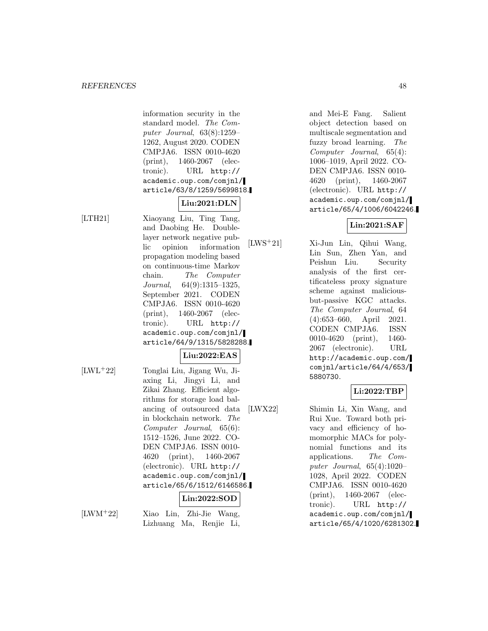information security in the standard model. The Computer Journal, 63(8):1259– 1262, August 2020. CODEN CMPJA6. ISSN 0010-4620 (print), 1460-2067 (electronic). URL http:// academic.oup.com/comjnl/ article/63/8/1259/5699818.

# **Liu:2021:DLN**

[LTH21] Xiaoyang Liu, Ting Tang, and Daobing He. Doublelayer network negative public opinion information propagation modeling based on continuous-time Markov chain. The Computer Journal, 64(9):1315–1325, September 2021. CODEN CMPJA6. ISSN 0010-4620 (print), 1460-2067 (electronic). URL http:// academic.oup.com/comjnl/ article/64/9/1315/5828288.

# **Liu:2022:EAS**

[LWL<sup>+</sup>22] Tonglai Liu, Jigang Wu, Jiaxing Li, Jingyi Li, and Zikai Zhang. Efficient algorithms for storage load balancing of outsourced data in blockchain network. The Computer Journal, 65(6): 1512–1526, June 2022. CO-DEN CMPJA6. ISSN 0010- 4620 (print), 1460-2067 (electronic). URL http:// academic.oup.com/comjnl/ article/65/6/1512/6146586.

#### **Lin:2022:SOD**

[LWM<sup>+</sup>22] Xiao Lin, Zhi-Jie Wang, Lizhuang Ma, Renjie Li, and Mei-E Fang. Salient object detection based on multiscale segmentation and fuzzy broad learning. The Computer Journal, 65(4): 1006–1019, April 2022. CO-DEN CMPJA6. ISSN 0010- 4620 (print), 1460-2067 (electronic). URL http:// academic.oup.com/comjnl/ article/65/4/1006/6042246.

# **Lin:2021:SAF**

[LWS<sup>+</sup>21] Xi-Jun Lin, Qihui Wang, Lin Sun, Zhen Yan, and Peishun Liu. Security analysis of the first certificateless proxy signature scheme against maliciousbut-passive KGC attacks. The Computer Journal, 64 (4):653–660, April 2021. CODEN CMPJA6. ISSN 0010-4620 (print), 1460- 2067 (electronic). URL http://academic.oup.com/ comjnl/article/64/4/653/ 5880730.

# **Li:2022:TBP**

[LWX22] Shimin Li, Xin Wang, and Rui Xue. Toward both privacy and efficiency of homomorphic MACs for polynomial functions and its applications. The Computer Journal, 65(4):1020– 1028, April 2022. CODEN CMPJA6. ISSN 0010-4620 (print), 1460-2067 (electronic). URL http:// academic.oup.com/comjnl/ article/65/4/1020/6281302.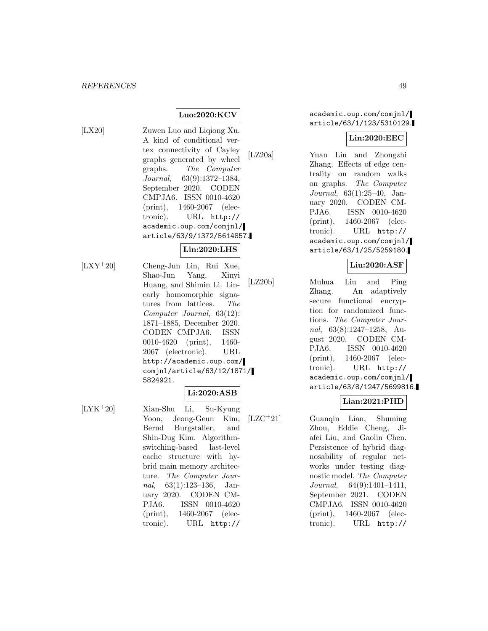# **Luo:2020:KCV**

[LX20] Zuwen Luo and Liqiong Xu. A kind of conditional vertex connectivity of Cayley graphs generated by wheel graphs. The Computer Journal, 63(9):1372–1384, September 2020. CODEN CMPJA6. ISSN 0010-4620 (print), 1460-2067 (electronic). URL http:// academic.oup.com/comjnl/ article/63/9/1372/5614857.

# **Lin:2020:LHS**

[LXY<sup>+</sup>20] Cheng-Jun Lin, Rui Xue, Shao-Jun Yang, Xinyi Huang, and Shimin Li. Linearly homomorphic signatures from lattices. The Computer Journal, 63(12): 1871–1885, December 2020. CODEN CMPJA6. ISSN 0010-4620 (print), 1460- 2067 (electronic). URL http://academic.oup.com/ comjnl/article/63/12/1871/ 5824921.

# **Li:2020:ASB**

[LYK<sup>+</sup>20] Xian-Shu Li, Su-Kyung Yoon, Jeong-Geun Kim, Bernd Burgstaller, and Shin-Dug Kim. Algorithmswitching-based last-level cache structure with hybrid main memory architecture. The Computer Journal, 63(1):123–136, January 2020. CODEN CM-PJA6. ISSN 0010-4620 (print), 1460-2067 (electronic). URL http://

academic.oup.com/comjnl/ article/63/1/123/5310129.

#### **Lin:2020:EEC**

[LZ20a] Yuan Lin and Zhongzhi Zhang. Effects of edge centrality on random walks on graphs. The Computer Journal, 63(1):25–40, January 2020. CODEN CM-PJA6. ISSN 0010-4620 (print), 1460-2067 (electronic). URL http:// academic.oup.com/comjnl/ article/63/1/25/5259180.

# **Liu:2020:ASF**

[LZ20b] Muhua Liu and Ping Zhang. An adaptively secure functional encryption for randomized functions. The Computer Journal, 63(8):1247–1258, August 2020. CODEN CM-PJA6. ISSN 0010-4620 (print), 1460-2067 (electronic). URL http:// academic.oup.com/comjnl/ article/63/8/1247/5699816.

# **Lian:2021:PHD**

[LZC<sup>+</sup>21] Guanqin Lian, Shuming Zhou, Eddie Cheng, Jiafei Liu, and Gaolin Chen. Persistence of hybrid diagnosability of regular networks under testing diagnostic model. The Computer Journal, 64(9):1401–1411, September 2021. CODEN CMPJA6. ISSN 0010-4620 (print), 1460-2067 (electronic). URL http://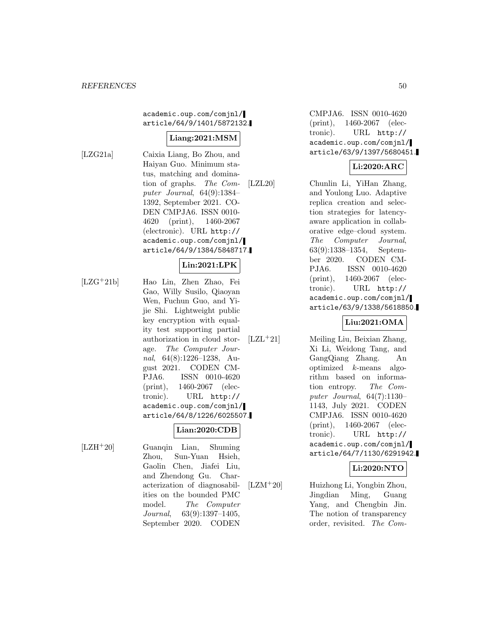academic.oup.com/comjnl/ article/64/9/1401/5872132.

# **Liang:2021:MSM**

[LZG21a] Caixia Liang, Bo Zhou, and Haiyan Guo. Minimum status, matching and domination of graphs. The Computer Journal, 64(9):1384– 1392, September 2021. CO-DEN CMPJA6. ISSN 0010- 4620 (print), 1460-2067 (electronic). URL http:// academic.oup.com/comjnl/ article/64/9/1384/5848717.

# **Lin:2021:LPK**

[LZG<sup>+</sup>21b] Hao Lin, Zhen Zhao, Fei Gao, Willy Susilo, Qiaoyan Wen, Fuchun Guo, and Yijie Shi. Lightweight public key encryption with equality test supporting partial authorization in cloud storage. The Computer Journal, 64(8):1226–1238, August 2021. CODEN CM-PJA6. ISSN 0010-4620 (print), 1460-2067 (electronic). URL http:// academic.oup.com/comjnl/ article/64/8/1226/6025507.

# **Lian:2020:CDB**

[LZH<sup>+</sup>20] Guanqin Lian, Shuming Zhou, Sun-Yuan Hsieh, Gaolin Chen, Jiafei Liu, and Zhendong Gu. Characterization of diagnosabilities on the bounded PMC model. The Computer Journal, 63(9):1397–1405, September 2020. CODEN

CMPJA6. ISSN 0010-4620 (print), 1460-2067 (electronic). URL http:// academic.oup.com/comjnl/ article/63/9/1397/5680451.

# **Li:2020:ARC**

[LZL20] Chunlin Li, YiHan Zhang, and Youlong Luo. Adaptive replica creation and selection strategies for latencyaware application in collaborative edge–cloud system. The Computer Journal, 63(9):1338–1354, September 2020. CODEN CM-PJA6. ISSN 0010-4620 (print), 1460-2067 (electronic). URL http:// academic.oup.com/comjnl/ article/63/9/1338/5618850.

#### **Liu:2021:OMA**

[LZL<sup>+</sup>21] Meiling Liu, Beixian Zhang, Xi Li, Weidong Tang, and GangQiang Zhang. An optimized k-means algorithm based on information entropy. The Computer Journal,  $64(7):1130-$ 1143, July 2021. CODEN CMPJA6. ISSN 0010-4620 (print), 1460-2067 (electronic). URL http:// academic.oup.com/comjnl/ article/64/7/1130/6291942.

# **Li:2020:NTO**

[LZM<sup>+</sup>20] Huizhong Li, Yongbin Zhou, Jingdian Ming, Guang Yang, and Chengbin Jin. The notion of transparency order, revisited. The Com-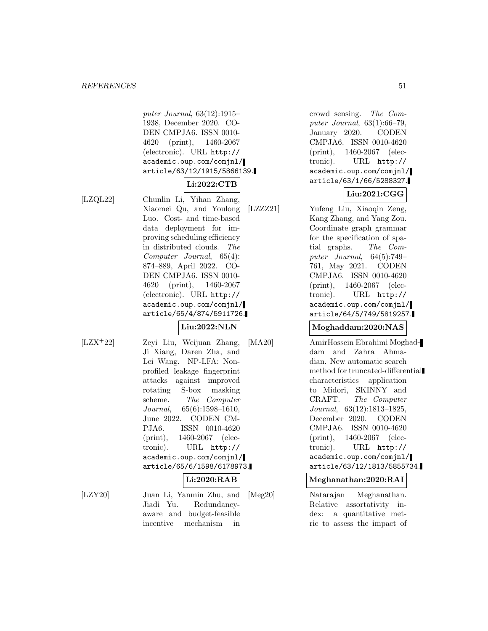puter Journal, 63(12):1915– 1938, December 2020. CO-DEN CMPJA6. ISSN 0010- 4620 (print), 1460-2067 (electronic). URL http:// academic.oup.com/comjnl/ article/63/12/1915/5866139.

# **Li:2022:CTB**

[LZQL22] Chunlin Li, Yihan Zhang, Xiaomei Qu, and Youlong Luo. Cost- and time-based data deployment for improving scheduling efficiency in distributed clouds. The Computer Journal, 65(4): 874–889, April 2022. CO-DEN CMPJA6. ISSN 0010- 4620 (print), 1460-2067 (electronic). URL http:// academic.oup.com/comjnl/ article/65/4/874/5911726.

# **Liu:2022:NLN**

[LZX<sup>+</sup>22] Zeyi Liu, Weijuan Zhang, Ji Xiang, Daren Zha, and Lei Wang. NP-LFA: Nonprofiled leakage fingerprint attacks against improved rotating S-box masking scheme. The Computer Journal, 65(6):1598–1610, June 2022. CODEN CM-PJA6. ISSN 0010-4620 (print), 1460-2067 (electronic). URL http:// academic.oup.com/comjnl/ article/65/6/1598/6178973.

# **Li:2020:RAB**

[LZY20] Juan Li, Yanmin Zhu, and Jiadi Yu. Redundancyaware and budget-feasible incentive mechanism in

crowd sensing. The Computer Journal, 63(1):66–79, January 2020. CODEN CMPJA6. ISSN 0010-4620 (print), 1460-2067 (electronic). URL http:// academic.oup.com/comjnl/ article/63/1/66/5288327.

# **Liu:2021:CGG**

[LZZZ21] Yufeng Liu, Xiaoqin Zeng, Kang Zhang, and Yang Zou. Coordinate graph grammar for the specification of spatial graphs. The Computer Journal, 64(5):749– 761, May 2021. CODEN CMPJA6. ISSN 0010-4620 (print), 1460-2067 (electronic). URL http:// academic.oup.com/comjnl/ article/64/5/749/5819257.

### **Moghaddam:2020:NAS**

[MA20] AmirHossein Ebrahimi Moghaddam and Zahra Ahmadian. New automatic search method for truncated-differential characteristics application to Midori, SKINNY and CRAFT. The Computer Journal, 63(12):1813–1825, December 2020. CODEN CMPJA6. ISSN 0010-4620 (print), 1460-2067 (electronic). URL http:// academic.oup.com/comjnl/ article/63/12/1813/5855734.

### **Meghanathan:2020:RAI**

[Meg20] Natarajan Meghanathan. Relative assortativity index: a quantitative metric to assess the impact of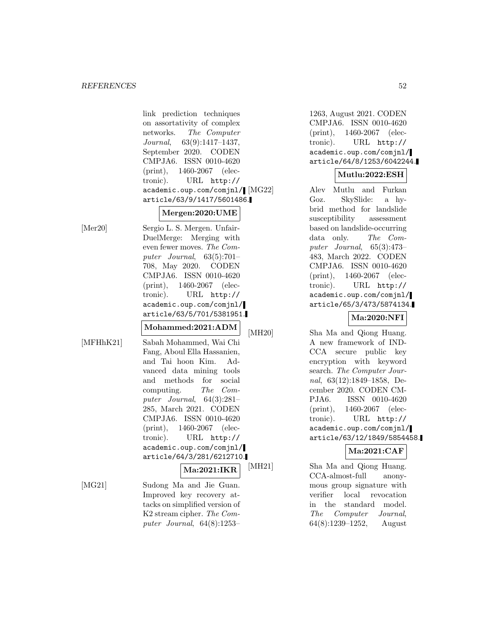link prediction techniques on assortativity of complex networks. The Computer Journal, 63(9):1417–1437, September 2020. CODEN CMPJA6. ISSN 0010-4620 (print), 1460-2067 (electronic). URL http:// academic.oup.com/comjnl/ [MG22] article/63/9/1417/5601486.

# **Mergen:2020:UME**

[Mer20] Sergio L. S. Mergen. Unfair-DuelMerge: Merging with even fewer moves. The Computer Journal, 63(5):701– 708, May 2020. CODEN CMPJA6. ISSN 0010-4620 (print), 1460-2067 (electronic). URL http:// academic.oup.com/comjnl/ article/63/5/701/5381951.

#### **Mohammed:2021:ADM**

[MFHhK21] Sabah Mohammed, Wai Chi Fang, Aboul Ella Hassanien, and Tai hoon Kim. Advanced data mining tools and methods for social computing. The Computer Journal, 64(3):281– 285, March 2021. CODEN CMPJA6. ISSN 0010-4620 (print), 1460-2067 (electronic). URL http:// academic.oup.com/comjnl/ article/64/3/281/6212710.

**Ma:2021:IKR**

[MG21] Sudong Ma and Jie Guan. Improved key recovery attacks on simplified version of K2 stream cipher. The Computer Journal, 64(8):1253–

1263, August 2021. CODEN CMPJA6. ISSN 0010-4620 (print), 1460-2067 (electronic). URL http:// academic.oup.com/comjnl/ article/64/8/1253/6042244.

#### **Mutlu:2022:ESH**

[MG22] Alev Mutlu and Furkan Goz. SkySlide: a hybrid method for landslide susceptibility assessment based on landslide-occurring data only. The Computer Journal, 65(3):473– 483, March 2022. CODEN CMPJA6. ISSN 0010-4620 (print), 1460-2067 (electronic). URL http:// academic.oup.com/comjnl/ article/65/3/473/5874134.

# **Ma:2020:NFI**

[MH20] Sha Ma and Qiong Huang. A new framework of IND-CCA secure public key encryption with keyword search. The Computer Journal, 63(12):1849–1858, December 2020. CODEN CM-PJA6. ISSN 0010-4620 (print), 1460-2067 (electronic). URL http:// academic.oup.com/comjnl/ article/63/12/1849/5854458.

# **Ma:2021:CAF**

[MH21] Sha Ma and Qiong Huang. CCA-almost-full anonymous group signature with verifier local revocation in the standard model. The Computer Journal, 64(8):1239–1252, August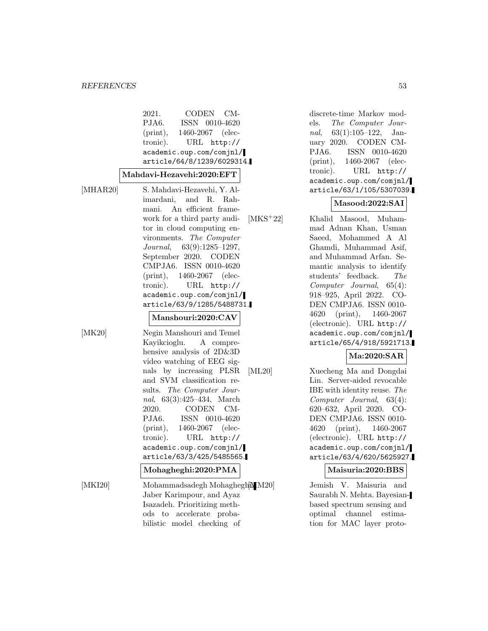#### *REFERENCES* 53

|          | <b>CODEN</b><br>2021.<br>CM-<br>ISSN<br>PJA6.<br>0010-4620<br>$(\text{print}),$<br>1460-2067<br>(elec-<br>tronic).<br>URL<br>http://<br>academic.oup.com/comjnl/<br>article/64/8/1239/6029314.<br>Mahdavi-Hezavehi:2020:EFT                                                                                                                                                                                                      |       |
|----------|----------------------------------------------------------------------------------------------------------------------------------------------------------------------------------------------------------------------------------------------------------------------------------------------------------------------------------------------------------------------------------------------------------------------------------|-------|
| [MHAR20] | S. Mahdavi-Hezavehi, Y. Al-<br>imardani, and<br>R. Rah-<br>An efficient frame-<br>mani.<br>work for a third party audi-<br>tor in cloud computing en-<br>vironments. The Computer<br>$63(9):1285-1297,$<br>Journal,<br>September 2020. CODEN<br>CMPJA6. ISSN 0010-4620<br>$(\text{print}),$<br>1460-2067<br>(elec-<br>tronic).<br>URL<br>http://<br>academic.oup.com/comjnl/<br>article/63/9/1285/5488731.<br>Manshouri:2020:CAV | [MK)  |
| [MK20]   | Negin Manshouri and Temel<br>Kayikcioglu.<br>A compre-<br>hensive analysis of 2D&3D<br>video watching of EEG sig-<br>nals by increasing PLSR<br>and SVM classification re-<br>sults. The Computer Jour-<br>nal, 63(3):425-434, March<br>2020.<br>$CM-$<br>CODEN<br>PJA6.<br>ISSN 0010-4620<br>1460-2067<br>$(\text{print}),$<br>(elec-<br>tronic).<br>URL<br>http://<br>academic.oup.com/comjnl/<br>article/63/3/425/5485565.    | [ML2] |
| [MKI20]  | Mohagheghi:2020:PMA<br>Mohammadsadegh Mohagheghiy M<br>Jaber Karimpour, and Ayaz<br>Isazadeh. Prioritizing meth-<br>accelerate proba-<br>$\rm{ods}$<br>$\mathop{\mathrm{to}}$<br>model checking of<br>bilistic                                                                                                                                                                                                                   |       |

discrete-time Markov models. The Computer Journal, 63(1):105–122, January 2020. CODEN CM-PJA6. ISSN 0010-4620 (print), 1460-2067 (electronic). URL http:// academic.oup.com/comjnl/ article/63/1/105/5307039.

### **Masood:2022:SAI**

 $[S^+22]$  Khalid Masood, Muhammad Adnan Khan, Usman Saeed, Mohammed A Al Ghamdi, Muhammad Asif, and Muhammad Arfan. Semantic analysis to identify students' feedback. The Computer Journal, 65(4): 918–925, April 2022. CO-DEN CMPJA6. ISSN 0010- 4620 (print), 1460-2067 (electronic). URL http:// academic.oup.com/comjnl/ article/65/4/918/5921713.

# **Ma:2020:SAR**

[ML20] Xuecheng Ma and Dongdai Lin. Server-aided revocable IBE with identity reuse. The Computer Journal, 63(4): 620–632, April 2020. CO-DEN CMPJA6. ISSN 0010- 4620 (print), 1460-2067 (electronic). URL http:// academic.oup.com/comjnl/ article/63/4/620/5625927.

#### **Maisuria:2020:BBS**

[M20] Jemish V. Maisuria and Saurabh N. Mehta. Bayesianbased spectrum sensing and optimal channel estimation for MAC layer proto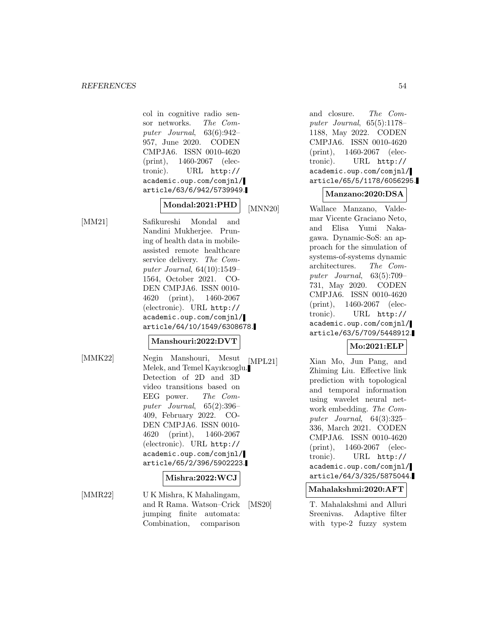col in cognitive radio sensor networks. The Computer Journal, 63(6):942– 957, June 2020. CODEN CMPJA6. ISSN 0010-4620 (print), 1460-2067 (electronic). URL http:// academic.oup.com/comjnl/ article/63/6/942/5739949.

**Mondal:2021:PHD**

[MM21] Safikureshi Mondal and Nandini Mukherjee. Pruning of health data in mobileassisted remote healthcare service delivery. The Computer Journal, 64(10):1549– 1564, October 2021. CO-DEN CMPJA6. ISSN 0010- 4620 (print), 1460-2067 (electronic). URL http:// academic.oup.com/comjnl/ article/64/10/1549/6308678.

# **Manshouri:2022:DVT**

[MMK22] Negin Manshouri, Mesut Negin Manshouri, Mesut [MPL21]<br>Melek, and Temel Kayıkcıoglu. Detection of 2D and 3D video transitions based on EEG power. The Computer Journal, 65(2):396– 409, February 2022. CO-DEN CMPJA6. ISSN 0010- 4620 (print), 1460-2067 (electronic). URL http:// academic.oup.com/comjnl/ article/65/2/396/5902223.

#### **Mishra:2022:WCJ**

[MMR22] U K Mishra, K Mahalingam, and R Rama. Watson–Crick jumping finite automata: Combination, comparison

and closure. The Computer Journal,  $65(5):1178-$ 1188, May 2022. CODEN CMPJA6. ISSN 0010-4620 (print), 1460-2067 (electronic). URL http:// academic.oup.com/comjnl/ article/65/5/1178/6056295.

#### **Manzano:2020:DSA**

[MNN20] Wallace Manzano, Valdemar Vicente Graciano Neto, and Elisa Yumi Nakagawa. Dynamic-SoS: an approach for the simulation of systems-of-systems dynamic architectures. The Computer Journal, 63(5):709– 731, May 2020. CODEN CMPJA6. ISSN 0010-4620 (print), 1460-2067 (electronic). URL http:// academic.oup.com/comjnl/ article/63/5/709/5448912.

# **Mo:2021:ELP**

Xian Mo, Jun Pang, and Zhiming Liu. Effective link prediction with topological and temporal information using wavelet neural network embedding. The Computer Journal, 64(3):325– 336, March 2021. CODEN CMPJA6. ISSN 0010-4620 (print), 1460-2067 (electronic). URL http:// academic.oup.com/comjnl/ article/64/3/325/5875044.

#### **Mahalakshmi:2020:AFT**

[MS20] T. Mahalakshmi and Alluri Sreenivas. Adaptive filter with type-2 fuzzy system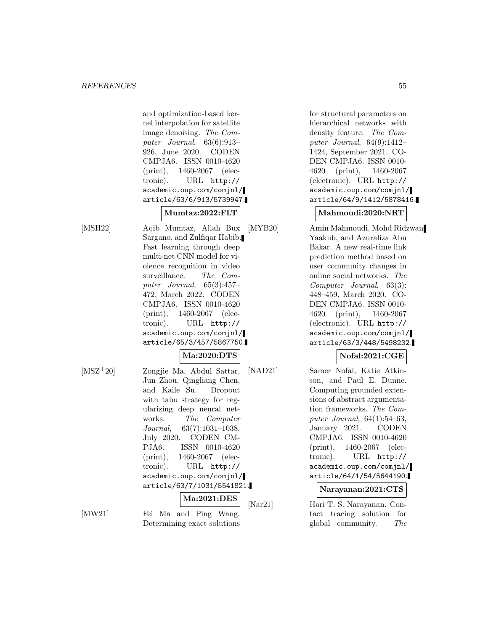and optimization-based kernel interpolation for satellite image denoising. The Computer Journal, 63(6):913– 926, June 2020. CODEN CMPJA6. ISSN 0010-4620 (print), 1460-2067 (electronic). URL http:// academic.oup.com/comjnl/ article/63/6/913/5739947. **Mumtaz:2022:FLT** [MSH22] Aqib Mumtaz, Allah Bux Sargano, and Zulfiqar Habib. Fast learning through deep multi-net CNN model for violence recognition in video surveillance. The Computer Journal, 65(3):457– 472, March 2022. CODEN CMPJA6. ISSN 0010-4620 (print), 1460-2067 (electronic). URL http://

academic.oup.com/comjnl/ article/65/3/457/5867750. **Ma:2020:DTS**

# [MSZ<sup>+</sup>20] Zongjie Ma, Abdul Sattar, Jun Zhou, Qingliang Chen, and Kaile Su. Dropout with tabu strategy for regularizing deep neural networks. The Computer Journal, 63(7):1031–1038, July 2020. CODEN CM-PJA6. ISSN 0010-4620 (print), 1460-2067 (electronic). URL http:// academic.oup.com/comjnl/

article/63/7/1031/5541821. **Ma:2021:DES**

[MW21] Fei Ma and Ping Wang. Determining exact solutions for structural parameters on hierarchical networks with density feature. The Computer Journal,  $64(9):1412-$ 1424, September 2021. CO-DEN CMPJA6. ISSN 0010- 4620 (print), 1460-2067 (electronic). URL http:// academic.oup.com/comjnl/ article/64/9/1412/5878416.

# **Mahmoudi:2020:NRT**

[MYB20] Amin Mahmoudi, Mohd Ridzwan Yaakub, and Azuraliza Abu Bakar. A new real-time link prediction method based on user community changes in online social networks. The Computer Journal, 63(3): 448–459, March 2020. CO-DEN CMPJA6. ISSN 0010- 4620 (print), 1460-2067 (electronic). URL http:// academic.oup.com/comjnl/ article/63/3/448/5498232.

# **Nofal:2021:CGE**

[NAD21] Samer Nofal, Katie Atkinson, and Paul E. Dunne. Computing grounded extensions of abstract argumentation frameworks. The Computer Journal,  $64(1):54-63$ , January 2021. CODEN CMPJA6. ISSN 0010-4620 (print), 1460-2067 (electronic). URL http:// academic.oup.com/comjnl/ article/64/1/54/5644190.

# **Narayanan:2021:CTS**

[Nar21] Hari T. S. Narayanan. Contact tracing solution for global community. The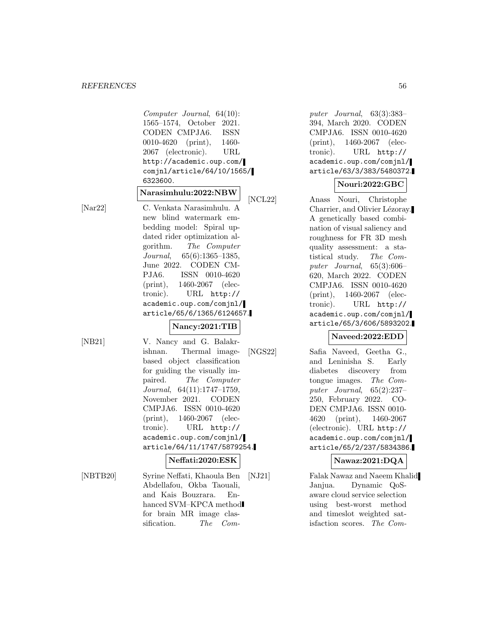Computer Journal, 64(10): 1565–1574, October 2021. CODEN CMPJA6. ISSN 0010-4620 (print), 1460- 2067 (electronic). URL http://academic.oup.com/ comjnl/article/64/10/1565/ 6323600.

#### **Narasimhulu:2022:NBW**

[Nar22] C. Venkata Narasimhulu. A new blind watermark embedding model: Spiral updated rider optimization algorithm. The Computer Journal, 65(6):1365–1385, June 2022. CODEN CM-PJA6. ISSN 0010-4620 (print), 1460-2067 (electronic). URL http:// academic.oup.com/comjnl/ article/65/6/1365/6124657.

#### **Nancy:2021:TIB**

[NB21] V. Nancy and G. Balakrishnan. Thermal imagebased object classification for guiding the visually impaired. The Computer Journal, 64(11):1747–1759, November 2021. CODEN CMPJA6. ISSN 0010-4620 (print), 1460-2067 (electronic). URL http:// academic.oup.com/comjnl/ article/64/11/1747/5879254.

#### **Neffati:2020:ESK**

[NBTB20] Syrine Neffati, Khaoula Ben Abdellafou, Okba Taouali, and Kais Bouzrara. Enhanced SVM–KPCA method for brain MR image classification. The Computer Journal, 63(3):383– 394, March 2020. CODEN CMPJA6. ISSN 0010-4620 (print), 1460-2067 (electronic). URL http:// academic.oup.com/comjnl/ article/63/3/383/5480372.

#### **Nouri:2022:GBC**

[NCL22] Anass Nouri, Christophe Charrier, and Olivier Lézoray. A genetically based combination of visual saliency and roughness for FR 3D mesh quality assessment: a statistical study. The Computer Journal, 65(3):606– 620, March 2022. CODEN CMPJA6. ISSN 0010-4620 (print), 1460-2067 (electronic). URL http:// academic.oup.com/comjnl/ article/65/3/606/5893202.

# **Naveed:2022:EDD**

[NGS22] Safia Naveed, Geetha G., and Leninisha S. Early diabetes discovery from tongue images. The Computer Journal, 65(2):237– 250, February 2022. CO-DEN CMPJA6. ISSN 0010- 4620 (print), 1460-2067 (electronic). URL http:// academic.oup.com/comjnl/ article/65/2/237/5834386.

#### **Nawaz:2021:DQA**

[NJ21] Falak Nawaz and Naeem Khalid Janjua. Dynamic QoSaware cloud service selection using best-worst method and timeslot weighted satisfaction scores. The Com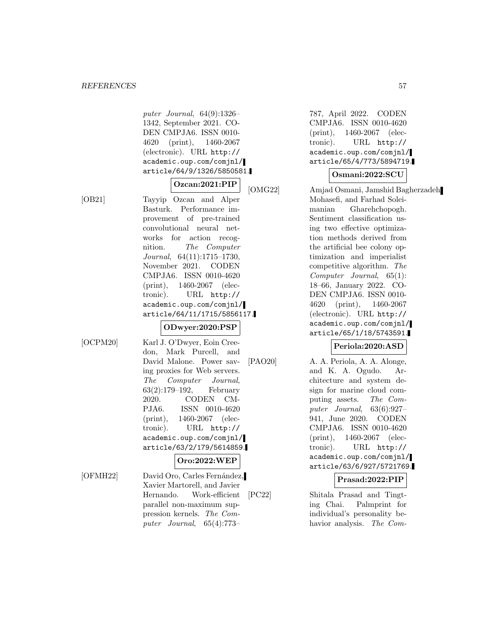puter Journal, 64(9):1326– 1342, September 2021. CO-DEN CMPJA6. ISSN 0010- 4620 (print), 1460-2067 (electronic). URL http:// academic.oup.com/comjnl/ article/64/9/1326/5850581.

#### **Ozcan:2021:PIP**

[OB21] Tayyip Ozcan and Alper Basturk. Performance improvement of pre-trained convolutional neural networks for action recognition. The Computer Journal, 64(11):1715–1730, November 2021. CODEN CMPJA6. ISSN 0010-4620 (print), 1460-2067 (electronic). URL http:// academic.oup.com/comjnl/ article/64/11/1715/5856117.

#### **ODwyer:2020:PSP**

[OCPM20] Karl J. O'Dwyer, Eoin Creedon, Mark Purcell, and David Malone. Power saving proxies for Web servers. The Computer Journal, 63(2):179–192, February 2020. CODEN CM-PJA6. ISSN 0010-4620 (print), 1460-2067 (electronic). URL http:// academic.oup.com/comjnl/ article/63/2/179/5614859.

# **Oro:2022:WEP**

[OFMH22] David Oro, Carles Fernández, Xavier Martorell, and Javier Hernando. Work-efficient parallel non-maximum suppression kernels. The Computer Journal, 65(4):773–

787, April 2022. CODEN CMPJA6. ISSN 0010-4620 (print), 1460-2067 (electronic). URL http:// academic.oup.com/comjnl/ article/65/4/773/5894719.

# **Osmani:2022:SCU**

[OMG22] Amjad Osmani, Jamshid Bagherzadeh Mohasefi, and Farhad Soleimanian Gharehchopogh. Sentiment classification using two effective optimization methods derived from the artificial bee colony optimization and imperialist competitive algorithm. The Computer Journal, 65(1): 18–66, January 2022. CO-DEN CMPJA6. ISSN 0010- 4620 (print), 1460-2067 (electronic). URL http:// academic.oup.com/comjnl/ article/65/1/18/5743591.

# **Periola:2020:ASD**

[PAO20] A. A. Periola, A. A. Alonge, and K. A. Ogudo. Architecture and system design for marine cloud computing assets. The Computer Journal, 63(6):927– 941, June 2020. CODEN CMPJA6. ISSN 0010-4620 (print), 1460-2067 (electronic). URL http:// academic.oup.com/comjnl/ article/63/6/927/5721769.

#### **Prasad:2022:PIP**

[PC22] Shitala Prasad and Tingting Chai. Palmprint for individual's personality behavior analysis. The Com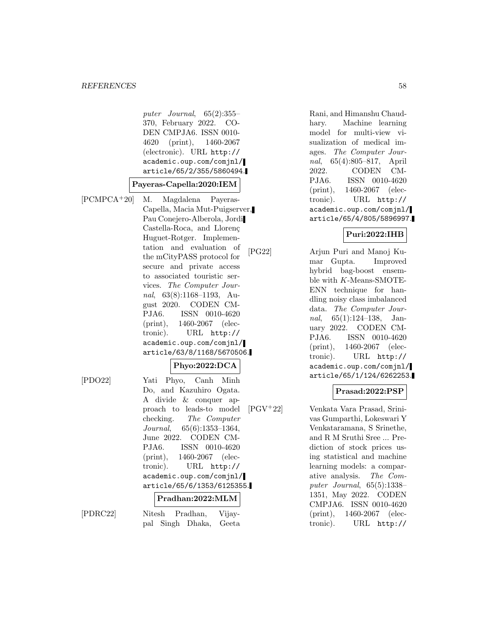puter Journal, 65(2):355– 370, February 2022. CO-DEN CMPJA6. ISSN 0010- 4620 (print), 1460-2067 (electronic). URL http:// academic.oup.com/comjnl/ article/65/2/355/5860494.

#### **Payeras-Capella:2020:IEM**

[PCMPCA<sup>+</sup>20] M. Magdalena Payeras-Capella, Macia Mut-Puigserver, Pau Conejero-Alberola, Jordi Castella-Roca, and Llorenç Huguet-Rotger. Implementation and evaluation of the mCityPASS protocol for secure and private access to associated touristic services. The Computer Journal, 63(8):1168–1193, August 2020. CODEN CM-PJA6. ISSN 0010-4620 (print), 1460-2067 (electronic). URL http:// academic.oup.com/comjnl/ article/63/8/1168/5670506.

### **Phyo:2022:DCA**

[PDO22] Yati Phyo, Canh Minh Do, and Kazuhiro Ogata. A divide & conquer approach to leads-to model checking. The Computer Journal, 65(6):1353–1364, June 2022. CODEN CM-PJA6. ISSN 0010-4620 (print), 1460-2067 (electronic). URL http:// academic.oup.com/comjnl/ article/65/6/1353/6125355.

#### **Pradhan:2022:MLM**

[PDRC22] Nitesh Pradhan, Vijaypal Singh Dhaka, Geeta Rani, and Himanshu Chaudhary. Machine learning model for multi-view visualization of medical images. The Computer Journal, 65(4):805–817, April 2022. CODEN CM-PJA6. ISSN 0010-4620 (print), 1460-2067 (electronic). URL http:// academic.oup.com/comjnl/ article/65/4/805/5896997.

### **Puri:2022:IHB**

[PG22] Arjun Puri and Manoj Kumar Gupta. Improved hybrid bag-boost ensemble with K-Means-SMOTE-ENN technique for handling noisy class imbalanced data. The Computer Journal, 65(1):124–138, January 2022. CODEN CM-PJA6. ISSN 0010-4620 (print), 1460-2067 (electronic). URL http:// academic.oup.com/comjnl/ article/65/1/124/6262253.

#### **Prasad:2022:PSP**

[PGV<sup>+</sup>22] Venkata Vara Prasad, Srinivas Gumparthi, Lokeswari Y Venkataramana, S Srinethe, and R M Sruthi Sree ... Prediction of stock prices using statistical and machine learning models: a comparative analysis. The Computer Journal, 65(5):1338– 1351, May 2022. CODEN CMPJA6. ISSN 0010-4620 (print), 1460-2067 (electronic). URL http://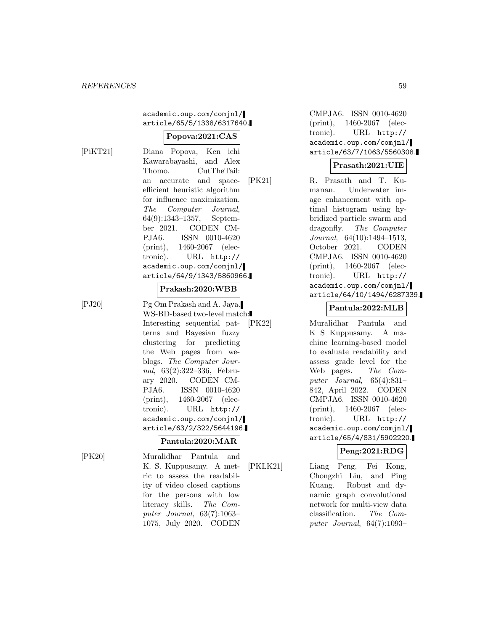# academic.oup.com/comjnl/ article/65/5/1338/6317640.

#### **Popova:2021:CAS**

[PiKT21] Diana Popova, Ken ichi Kawarabayashi, and Alex Thomo. CutTheTail: an accurate and spaceefficient heuristic algorithm for influence maximization. The Computer Journal, 64(9):1343–1357, September 2021. CODEN CM-PJA6. ISSN 0010-4620 (print), 1460-2067 (electronic). URL http:// academic.oup.com/comjnl/ article/64/9/1343/5860966.

### **Prakash:2020:WBB**

[PJ20] Pg Om Prakash and A. Jaya. WS-BD-based two-level match: Interesting sequential patterns and Bayesian fuzzy clustering for predicting the Web pages from weblogs. The Computer Journal, 63(2):322–336, February 2020. CODEN CM-PJA6. ISSN 0010-4620 (print), 1460-2067 (electronic). URL http:// academic.oup.com/comjnl/ article/63/2/322/5644196.

### **Pantula:2020:MAR**

[PK20] Muralidhar Pantula and K. S. Kuppusamy. A metric to assess the readability of video closed captions for the persons with low literacy skills. The Computer Journal, 63(7):1063– 1075, July 2020. CODEN

CMPJA6. ISSN 0010-4620 (print), 1460-2067 (electronic). URL http:// academic.oup.com/comjnl/ article/63/7/1063/5560308.

#### **Prasath:2021:UIE**

[PK21] R. Prasath and T. Kumanan. Underwater image enhancement with optimal histogram using hybridized particle swarm and dragonfly. The Computer Journal, 64(10):1494–1513, October 2021. CODEN CMPJA6. ISSN 0010-4620 (print), 1460-2067 (electronic). URL http:// academic.oup.com/comjnl/ article/64/10/1494/6287339.

#### **Pantula:2022:MLB**

[PK22] Muralidhar Pantula and K S Kuppusamy. A machine learning-based model to evaluate readability and assess grade level for the Web pages. The Computer Journal, 65(4):831– 842, April 2022. CODEN CMPJA6. ISSN 0010-4620 (print), 1460-2067 (electronic). URL http:// academic.oup.com/comjnl/ article/65/4/831/5902220.

# **Peng:2021:RDG**

[PKLK21] Liang Peng, Fei Kong, Chongzhi Liu, and Ping Kuang. Robust and dynamic graph convolutional network for multi-view data classification. The Computer Journal, 64(7):1093–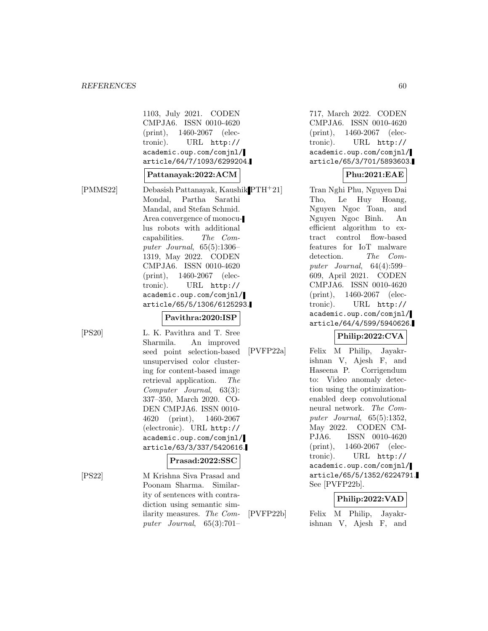#### *REFERENCES* 60

1103, July 2021. CODEN CMPJA6. ISSN 0010-4620 (print), 1460-2067 (electronic). URL http:// academic.oup.com/comjnl/ article/64/7/1093/6299204.

### **Pattanayak:2022:ACM**

[PMMS22] Debasish Pattanayak, Kaushik Mondal, Partha Sarathi Mandal, and Stefan Schmid. Area convergence of monoculus robots with additional capabilities. The Computer Journal,  $65(5):1306-$ 1319, May 2022. CODEN CMPJA6. ISSN 0010-4620 (print), 1460-2067 (electronic). URL http:// academic.oup.com/comjnl/ article/65/5/1306/6125293.

#### **Pavithra:2020:ISP**

[PS20] L. K. Pavithra and T. Sree Sharmila. An improved seed point selection-based unsupervised color clustering for content-based image retrieval application. The Computer Journal, 63(3): 337–350, March 2020. CO-DEN CMPJA6. ISSN 0010- 4620 (print), 1460-2067 (electronic). URL http:// academic.oup.com/comjnl/ article/63/3/337/5420616.

#### **Prasad:2022:SSC**

[PS22] M Krishna Siva Prasad and Poonam Sharma. Similarity of sentences with contradiction using semantic similarity measures. The Computer Journal, 65(3):701–

717, March 2022. CODEN CMPJA6. ISSN 0010-4620 (print), 1460-2067 (electronic). URL http:// academic.oup.com/comjnl/ article/65/3/701/5893603.

### **Phu:2021:EAE**

Tran Nghi Phu, Nguyen Dai Tho, Le Huy Hoang, Nguyen Ngoc Toan, and Nguyen Ngoc Binh. An efficient algorithm to extract control flow-based features for IoT malware detection. The Computer Journal, 64(4):599– 609, April 2021. CODEN CMPJA6. ISSN 0010-4620 (print), 1460-2067 (electronic). URL http:// academic.oup.com/comjnl/ article/64/4/599/5940626.

### **Philip:2022:CVA**

[PVFP22a] Felix M Philip, Jayakrishnan V, Ajesh F, and Haseena P. Corrigendum to: Video anomaly detection using the optimizationenabled deep convolutional neural network. The Computer Journal, 65(5):1352, May 2022. CODEN CM-PJA6. ISSN 0010-4620 (print), 1460-2067 (electronic). URL http:// academic.oup.com/comjnl/ article/65/5/1352/6224791. See [PVFP22b].

# **Philip:2022:VAD**

[PVFP22b] Felix M Philip, Jayakrishnan V, Ajesh F, and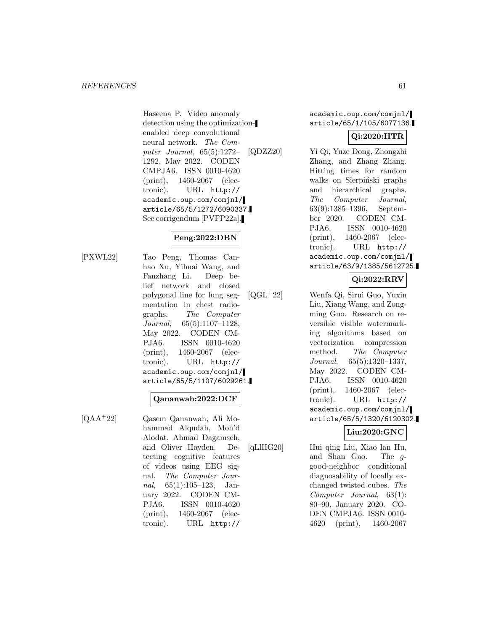Haseena P. Video anomaly detection using the optimizationenabled deep convolutional neural network. The Computer Journal, 65(5):1272– 1292, May 2022. CODEN CMPJA6. ISSN 0010-4620 (print), 1460-2067 (electronic). URL http:// academic.oup.com/comjnl/ article/65/5/1272/6090337. See corrigendum [PVFP22a].

# **Peng:2022:DBN**

[PXWL22] Tao Peng, Thomas Canhao Xu, Yihuai Wang, and Fanzhang Li. Deep belief network and closed polygonal line for lung segmentation in chest radiographs. The Computer Journal, 65(5):1107–1128, May 2022. CODEN CM-PJA6. ISSN 0010-4620 (print), 1460-2067 (electronic). URL http:// academic.oup.com/comjnl/ article/65/5/1107/6029261.

# **Qananwah:2022:DCF**

[QAA<sup>+</sup>22] Qasem Qananwah, Ali Mohammad Alqudah, Moh'd Alodat, Ahmad Dagamseh, and Oliver Hayden. Detecting cognitive features of videos using EEG signal. The Computer Journal, 65(1):105–123, January 2022. CODEN CM-PJA6. ISSN 0010-4620 (print), 1460-2067 (electronic). URL http://

# academic.oup.com/comjnl/ article/65/1/105/6077136.

# **Qi:2020:HTR**

[QDZZ20] Yi Qi, Yuze Dong, Zhongzhi Zhang, and Zhang Zhang. Hitting times for random walks on Sierpiński graphs and hierarchical graphs. The Computer Journal, 63(9):1385–1396, September 2020. CODEN CM-PJA6. ISSN 0010-4620 (print), 1460-2067 (electronic). URL http:// academic.oup.com/comjnl/ article/63/9/1385/5612725.

# **Qi:2022:RRV**

[QGL<sup>+</sup>22] Wenfa Qi, Sirui Guo, Yuxin Liu, Xiang Wang, and Zongming Guo. Research on reversible visible watermarking algorithms based on vectorization compression method. The Computer Journal, 65(5):1320–1337, May 2022. CODEN CM-PJA6. ISSN 0010-4620 (print), 1460-2067 (electronic). URL http:// academic.oup.com/comjnl/ article/65/5/1320/6120302.

# **Liu:2020:GNC**

[qLlHG20] Hui qing Liu, Xiao lan Hu, and Shan Gao. The ggood-neighbor conditional diagnosability of locally exchanged twisted cubes. The Computer Journal, 63(1): 80–90, January 2020. CO-DEN CMPJA6. ISSN 0010- 4620 (print), 1460-2067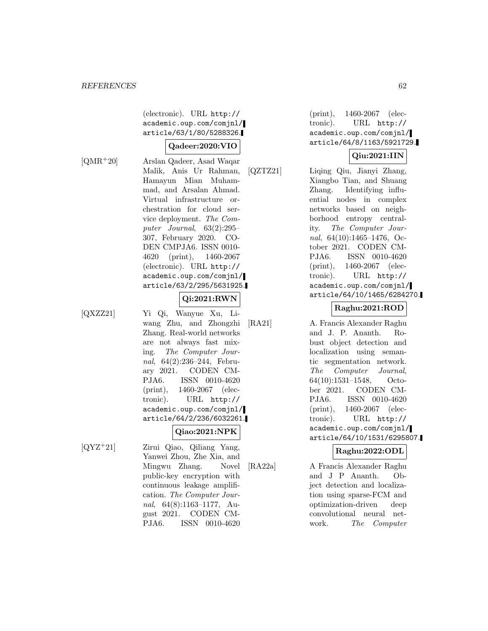(electronic). URL http:// academic.oup.com/comjnl/ article/63/1/80/5288326.

### **Qadeer:2020:VIO**

[QMR<sup>+</sup>20] Arslan Qadeer, Asad Waqar Malik, Anis Ur Rahman, Hamayun Mian Muhammad, and Arsalan Ahmad. Virtual infrastructure orchestration for cloud service deployment. The Computer Journal, 63(2):295– 307, February 2020. CO-DEN CMPJA6. ISSN 0010- 4620 (print), 1460-2067 (electronic). URL http:// academic.oup.com/comjnl/ article/63/2/295/5631925.

### **Qi:2021:RWN**

[QXZZ21] Yi Qi, Wanyue Xu, Liwang Zhu, and Zhongzhi Zhang. Real-world networks are not always fast mixing. The Computer Journal, 64(2):236–244, February 2021. CODEN CM-PJA6. ISSN 0010-4620 (print), 1460-2067 (electronic). URL http:// academic.oup.com/comjnl/ article/64/2/236/6032261.

# **Qiao:2021:NPK**

[QYZ<sup>+</sup>21] Zirui Qiao, Qiliang Yang, Yanwei Zhou, Zhe Xia, and Mingwu Zhang. Novel public-key encryption with continuous leakage amplification. The Computer Journal, 64(8):1163–1177, August 2021. CODEN CM-PJA6. ISSN 0010-4620

(print), 1460-2067 (electronic). URL http:// academic.oup.com/comjnl/ article/64/8/1163/5921729.

# **Qiu:2021:IIN**

[QZTZ21] Liqing Qiu, Jianyi Zhang, Xiangbo Tian, and Shuang Zhang. Identifying influential nodes in complex networks based on neighborhood entropy centrality. The Computer Journal, 64(10):1465–1476, October 2021. CODEN CM-PJA6. ISSN 0010-4620 (print), 1460-2067 (electronic). URL http:// academic.oup.com/comjnl/ article/64/10/1465/6284270.

# **Raghu:2021:ROD**

[RA21] A. Francis Alexander Raghu and J. P. Ananth. Robust object detection and localization using semantic segmentation network. The Computer Journal, 64(10):1531–1548, October 2021. CODEN CM-PJA6. ISSN 0010-4620 (print), 1460-2067 (electronic). URL http:// academic.oup.com/comjnl/ article/64/10/1531/6295807.

# **Raghu:2022:ODL**

[RA22a] A Francis Alexander Raghu and J P Ananth. Object detection and localization using sparse-FCM and optimization-driven deep convolutional neural network. The Computer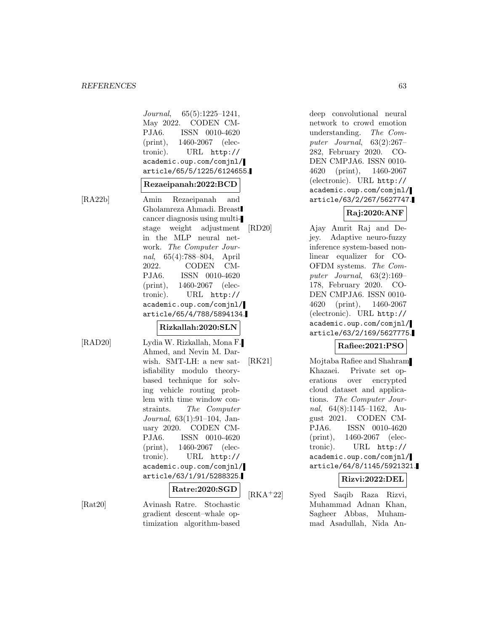Journal, 65(5):1225–1241, May 2022. CODEN CM-PJA6. ISSN 0010-4620 (print), 1460-2067 (electronic). URL http:// academic.oup.com/comjnl/ article/65/5/1225/6124655.

#### **Rezaeipanah:2022:BCD**

[RA22b] Amin Rezaeipanah and Gholamreza Ahmadi. Breast cancer diagnosis using multistage weight adjustment in the MLP neural network. The Computer Journal, 65(4):788–804, April 2022. CODEN CM-PJA6. ISSN 0010-4620 (print), 1460-2067 (electronic). URL http:// academic.oup.com/comjnl/ article/65/4/788/5894134.

# **Rizkallah:2020:SLN**

[RAD20] Lydia W. Rizkallah, Mona F. Ahmed, and Nevin M. Darwish. SMT-LH: a new satisfiability modulo theorybased technique for solving vehicle routing problem with time window constraints. The Computer Journal, 63(1):91–104, January 2020. CODEN CM-PJA6. ISSN 0010-4620 (print), 1460-2067 (electronic). URL http:// academic.oup.com/comjnl/ article/63/1/91/5288325.

### **Ratre:2020:SGD**

[Rat20] Avinash Ratre. Stochastic

gradient descent–whale optimization algorithm-based deep convolutional neural network to crowd emotion understanding. The Computer Journal, 63(2):267– 282, February 2020. CO-DEN CMPJA6. ISSN 0010- 4620 (print), 1460-2067 (electronic). URL http:// academic.oup.com/comjnl/ article/63/2/267/5627747.

# **Raj:2020:ANF**

[RD20] Ajay Amrit Raj and Dejey. Adaptive neuro-fuzzy inference system-based nonlinear equalizer for CO-OFDM systems. The Computer Journal, 63(2):169– 178, February 2020. CO-DEN CMPJA6. ISSN 0010- 4620 (print), 1460-2067 (electronic). URL http:// academic.oup.com/comjnl/ article/63/2/169/5627775.

#### **Rafiee:2021:PSO**

[RK21] Mojtaba Rafiee and Shahram Khazaei. Private set operations over encrypted cloud dataset and applications. The Computer Journal, 64(8):1145–1162, August 2021. CODEN CM-PJA6. ISSN 0010-4620 (print), 1460-2067 (electronic). URL http:// academic.oup.com/comjnl/ article/64/8/1145/5921321.

#### **Rizvi:2022:DEL**

[RKA<sup>+</sup>22] Syed Saqib Raza Rizvi, Muhammad Adnan Khan, Sagheer Abbas, Muhammad Asadullah, Nida An-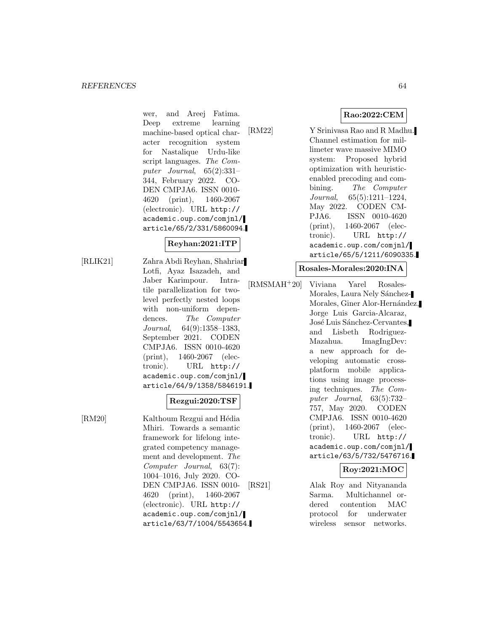wer, and Areej Fatima. Deep extreme learning machine-based optical character recognition system for Nastalique Urdu-like script languages. The Computer Journal, 65(2):331– 344, February 2022. CO-DEN CMPJA6. ISSN 0010- 4620 (print), 1460-2067 (electronic). URL http:// academic.oup.com/comjnl/ article/65/2/331/5860094.

# **Reyhan:2021:ITP**

[RLIK21] Zahra Abdi Reyhan, Shahriar Lotfi, Ayaz Isazadeh, and Jaber Karimpour. Intratile parallelization for twolevel perfectly nested loops with non-uniform dependences. The Computer Journal, 64(9):1358–1383, September 2021. CODEN CMPJA6. ISSN 0010-4620 (print), 1460-2067 (electronic). URL http:// academic.oup.com/comjnl/ article/64/9/1358/5846191.

#### **Rezgui:2020:TSF**

[RM20] Kalthoum Rezgui and Hédia Mhiri. Towards a semantic framework for lifelong integrated competency management and development. The Computer Journal, 63(7): 1004–1016, July 2020. CO-DEN CMPJA6. ISSN 0010- 4620 (print), 1460-2067 (electronic). URL http:// academic.oup.com/comjnl/ article/63/7/1004/5543654.

[RM22] Y Srinivasa Rao and R Madhu. Channel estimation for millimeter wave massive MIMO system: Proposed hybrid optimization with heuristicenabled precoding and combining. The Computer Journal, 65(5):1211–1224, May 2022. CODEN CM-PJA6. ISSN 0010-4620 (print), 1460-2067 (electronic). URL http:// academic.oup.com/comjnl/ article/65/5/1211/6090335.

**Rosales-Morales:2020:INA**

[RMSMAH<sup>+</sup>20] Viviana Yarel Rosales-Morales, Laura Nely Sánchez-Morales, Giner Alor-Hernández, Jorge Luis Garcia-Alcaraz, José Luis Sánchez-Cervantes, and Lisbeth Rodriguez-Mazahua. ImagIngDev: a new approach for developing automatic crossplatform mobile applications using image processing techniques. The Computer Journal, 63(5):732– 757, May 2020. CODEN CMPJA6. ISSN 0010-4620 (print), 1460-2067 (electronic). URL http:// academic.oup.com/comjnl/ article/63/5/732/5476716.

# **Roy:2021:MOC**

[RS21] Alak Roy and Nityananda Sarma. Multichannel ordered contention MAC protocol for underwater wireless sensor networks.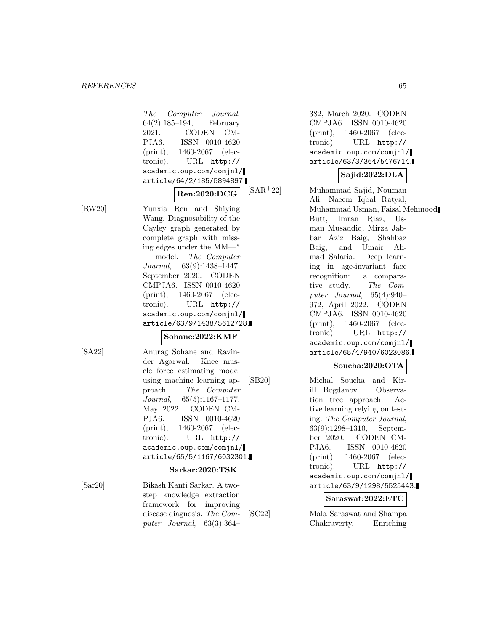The Computer Journal, 64(2):185–194, February 2021. CODEN CM-PJA6. ISSN 0010-4620 (print), 1460-2067 (electronic). URL http:// academic.oup.com/comjnl/ article/64/2/185/5894897.

**Ren:2020:DCG**

[RW20] Yunxia Ren and Shiying Wang. Diagnosability of the Cayley graph generated by complete graph with missing edges under the MM—<sup>∗</sup> — model. The Computer Journal, 63(9):1438–1447, September 2020. CODEN CMPJA6. ISSN 0010-4620 (print), 1460-2067 (electronic). URL http:// academic.oup.com/comjnl/ article/63/9/1438/5612728.

#### **Sohane:2022:KMF**

[SA22] Anurag Sohane and Ravinder Agarwal. Knee muscle force estimating model using machine learning approach. The Computer Journal, 65(5):1167–1177, May 2022. CODEN CM-PJA6. ISSN 0010-4620 (print), 1460-2067 (electronic). URL http:// academic.oup.com/comjnl/ article/65/5/1167/6032301.

### **Sarkar:2020:TSK**

[Sar20] Bikash Kanti Sarkar. A twostep knowledge extraction framework for improving disease diagnosis. The Computer Journal, 63(3):364–

382, March 2020. CODEN CMPJA6. ISSN 0010-4620 (print), 1460-2067 (electronic). URL http:// academic.oup.com/comjnl/ article/63/3/364/5476714.

# **Sajid:2022:DLA**

[SAR<sup>+</sup>22] Muhammad Sajid, Nouman Ali, Naeem Iqbal Ratyal, Muhammad Usman, Faisal Mehmood Butt, Imran Riaz, Usman Musaddiq, Mirza Jabbar Aziz Baig, Shahbaz Baig, and Umair Ahmad Salaria. Deep learning in age-invariant face recognition: a comparative study. The Computer Journal, 65(4):940– 972, April 2022. CODEN CMPJA6. ISSN 0010-4620 (print), 1460-2067 (electronic). URL http:// academic.oup.com/comjnl/ article/65/4/940/6023086.

#### **Soucha:2020:OTA**

[SB20] Michal Soucha and Kirill Bogdanov. Observation tree approach: Active learning relying on testing. The Computer Journal, 63(9):1298–1310, September 2020. CODEN CM-PJA6. ISSN 0010-4620 (print), 1460-2067 (electronic). URL http:// academic.oup.com/comjnl/ article/63/9/1298/5525443.

### **Saraswat:2022:ETC**

[SC22] Mala Saraswat and Shampa Chakraverty. Enriching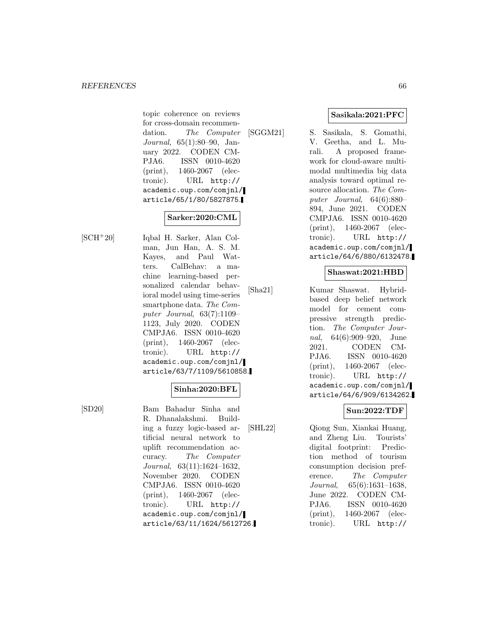topic coherence on reviews for cross-domain recommendation. The Computer Journal, 65(1):80–90, January 2022. CODEN CM-PJA6. ISSN 0010-4620 (print), 1460-2067 (electronic). URL http:// academic.oup.com/comjnl/ article/65/1/80/5827875.

# **Sarker:2020:CML**

[SCH<sup>+</sup>20] Iqbal H. Sarker, Alan Colman, Jun Han, A. S. M. Kayes, and Paul Watters. CalBehav: a machine learning-based personalized calendar behavioral model using time-series smartphone data. The Computer Journal, 63(7):1109– 1123, July 2020. CODEN CMPJA6. ISSN 0010-4620 (print), 1460-2067 (electronic). URL http:// academic.oup.com/comjnl/ article/63/7/1109/5610858.

#### **Sinha:2020:BFL**

[SD20] Bam Bahadur Sinha and R. Dhanalakshmi. Building a fuzzy logic-based artificial neural network to uplift recommendation accuracy. The Computer Journal, 63(11):1624–1632, November 2020. CODEN CMPJA6. ISSN 0010-4620 (print), 1460-2067 (electronic). URL http:// academic.oup.com/comjnl/ article/63/11/1624/5612726. **Sasikala:2021:PFC**

[SGGM21] S. Sasikala, S. Gomathi, V. Geetha, and L. Murali. A proposed framework for cloud-aware multimodal multimedia big data analysis toward optimal resource allocation. The Computer Journal, 64(6):880– 894, June 2021. CODEN CMPJA6. ISSN 0010-4620 (print), 1460-2067 (electronic). URL http:// academic.oup.com/comjnl/ article/64/6/880/6132478.

### **Shaswat:2021:HBD**

[Sha21] Kumar Shaswat. Hybridbased deep belief network model for cement compressive strength prediction. The Computer Journal, 64(6):909–920, June 2021. CODEN CM-PJA6. ISSN 0010-4620 (print), 1460-2067 (electronic). URL http:// academic.oup.com/comjnl/ article/64/6/909/6134262.

### **Sun:2022:TDF**

[SHL22] Qiong Sun, Xiankai Huang, and Zheng Liu. Tourists' digital footprint: Prediction method of tourism consumption decision preference. The Computer Journal, 65(6):1631–1638, June 2022. CODEN CM-PJA6. ISSN 0010-4620 (print), 1460-2067 (electronic). URL http://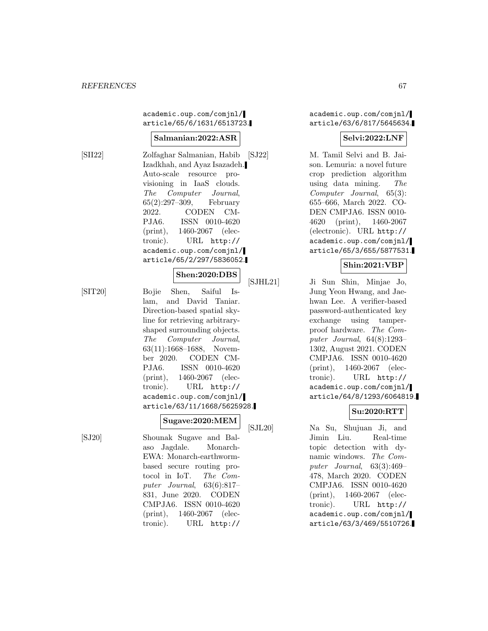academic.oup.com/comjnl/ article/65/6/1631/6513723.

#### **Salmanian:2022:ASR**

[SII22] Zolfaghar Salmanian, Habib Izadkhah, and Ayaz Isazadeh. Auto-scale resource provisioning in IaaS clouds. The Computer Journal, 65(2):297–309, February 2022. CODEN CM-PJA6. ISSN 0010-4620 (print), 1460-2067 (electronic). URL http:// academic.oup.com/comjnl/ article/65/2/297/5836052.

#### **Shen:2020:DBS**

[SIT20] Bojie Shen, Saiful Islam, and David Taniar. Direction-based spatial skyline for retrieving arbitraryshaped surrounding objects. The Computer Journal, 63(11):1668–1688, November 2020. CODEN CM-PJA6. ISSN 0010-4620 (print), 1460-2067 (electronic). URL http:// academic.oup.com/comjnl/ article/63/11/1668/5625928.

#### **Sugave:2020:MEM**

[SJ20] Shounak Sugave and Balaso Jagdale. Monarch-EWA: Monarch-earthwormbased secure routing protocol in IoT. The Computer Journal, 63(6):817– 831, June 2020. CODEN CMPJA6. ISSN 0010-4620 (print), 1460-2067 (electronic). URL http://

academic.oup.com/comjnl/ article/63/6/817/5645634.

#### **Selvi:2022:LNF**

[SJ22] M. Tamil Selvi and B. Jaison. Lemuria: a novel future crop prediction algorithm using data mining. The Computer Journal, 65(3): 655–666, March 2022. CO-DEN CMPJA6. ISSN 0010- 4620 (print), 1460-2067 (electronic). URL http:// academic.oup.com/comjnl/ article/65/3/655/5877531.

# **Shin:2021:VBP**

[SJHL21] Ji Sun Shin, Minjae Jo, Jung Yeon Hwang, and Jaehwan Lee. A verifier-based password-authenticated key exchange using tamperproof hardware. The Computer Journal, 64(8):1293– 1302, August 2021. CODEN CMPJA6. ISSN 0010-4620 (print), 1460-2067 (electronic). URL http:// academic.oup.com/comjnl/ article/64/8/1293/6064819.

#### **Su:2020:RTT**

[SJL20] Na Su, Shujuan Ji, and Jimin Liu. Real-time topic detection with dynamic windows. The Computer Journal, 63(3):469– 478, March 2020. CODEN CMPJA6. ISSN 0010-4620 (print), 1460-2067 (electronic). URL http:// academic.oup.com/comjnl/ article/63/3/469/5510726.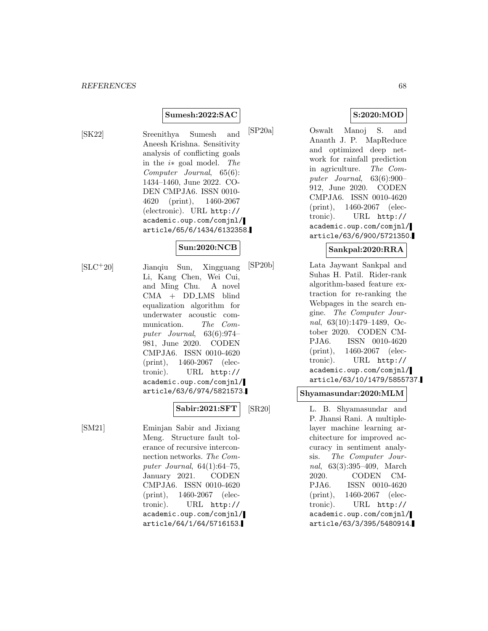#### **Sumesh:2022:SAC**

[SK22] Sreenithya Sumesh and Aneesh Krishna. Sensitivity analysis of conflicting goals in the  $i*$  goal model. The Computer Journal, 65(6): 1434–1460, June 2022. CO-DEN CMPJA6. ISSN 0010- 4620 (print), 1460-2067 (electronic). URL http:// academic.oup.com/comjnl/ article/65/6/1434/6132358.

# **Sun:2020:NCB**

[SLC<sup>+</sup>20] Jianqiu Sun, Xingguang Li, Kang Chen, Wei Cui, and Ming Chu. A novel CMA + DD LMS blind equalization algorithm for underwater acoustic communication. The Computer Journal, 63(6):974– 981, June 2020. CODEN CMPJA6. ISSN 0010-4620 (print), 1460-2067 (electronic). URL http:// academic.oup.com/comjnl/ article/63/6/974/5821573.

#### **Sabir:2021:SFT**

[SM21] Eminjan Sabir and Jixiang Meng. Structure fault tolerance of recursive interconnection networks. The Computer Journal,  $64(1):64-75$ , January 2021. CODEN CMPJA6. ISSN 0010-4620 (print), 1460-2067 (electronic). URL http:// academic.oup.com/comjnl/ article/64/1/64/5716153.

**S:2020:MOD**

[SP20a] Oswalt Manoj S. and Ananth J. P. MapReduce and optimized deep network for rainfall prediction in agriculture. The Computer Journal, 63(6):900– 912, June 2020. CODEN CMPJA6. ISSN 0010-4620 (print), 1460-2067 (electronic). URL http:// academic.oup.com/comjnl/ article/63/6/900/5721350.

# **Sankpal:2020:RRA**

[SP20b] Lata Jaywant Sankpal and Suhas H. Patil. Rider-rank algorithm-based feature extraction for re-ranking the Webpages in the search engine. The Computer Journal, 63(10):1479–1489, October 2020. CODEN CM-PJA6. ISSN 0010-4620 (print), 1460-2067 (electronic). URL http:// academic.oup.com/comjnl/ article/63/10/1479/5855737.

# **Shyamasundar:2020:MLM**

[SR20] L. B. Shyamasundar and P. Jhansi Rani. A multiplelayer machine learning architecture for improved accuracy in sentiment analysis. The Computer Journal, 63(3):395–409, March 2020. CODEN CM-PJA6. ISSN 0010-4620 (print), 1460-2067 (electronic). URL http:// academic.oup.com/comjnl/ article/63/3/395/5480914.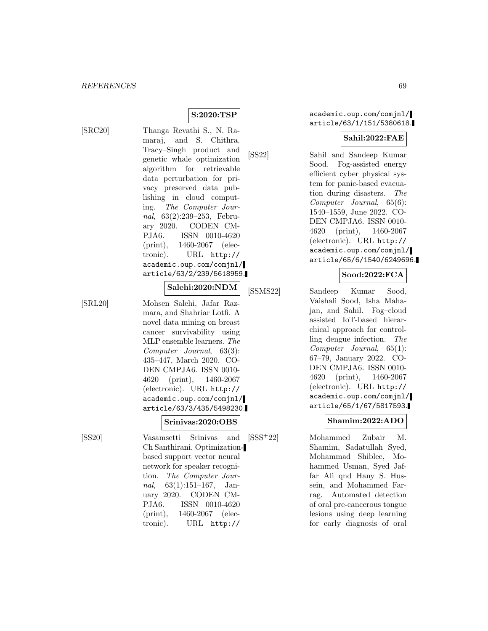$[SRC20]$ 

| Thanga Revathi S., N. Ra-  |  |  |
|----------------------------|--|--|
| maraj, and S. Chithra.     |  |  |
| Tracy-Singh product and    |  |  |
| genetic whale optimization |  |  |
| algorithm for retrievable  |  |  |
| data perturbation for pri- |  |  |
| vacy preserved data pub-   |  |  |
| lishing in cloud comput-   |  |  |
| ing. The Computer Jour-    |  |  |
| nal, 63(2):239-253, Febru- |  |  |
| ary 2020. CODEN CM-        |  |  |
| PJA6. ISSN 0010-4620       |  |  |
| (print), 1460-2067 (elec-  |  |  |
| tronic).<br>URL http://    |  |  |
| academic.oup.com/comjnl/   |  |  |
| article/63/2/239/5618959.  |  |  |
|                            |  |  |

**S:2020:TSP**

### **Salehi:2020:NDM**

[SRL20] Mohsen Salehi, Jafar Razmara, and Shahriar Lotfi. A novel data mining on breast cancer survivability using MLP ensemble learners. The Computer Journal, 63(3): 435–447, March 2020. CO-DEN CMPJA6. ISSN 0010- 4620 (print), 1460-2067 (electronic). URL http:// academic.oup.com/comjnl/ article/63/3/435/5498230.

#### **Srinivas:2020:OBS**

[SS20] Vasamsetti Srinivas and Ch Santhirani. Optimizationbased support vector neural network for speaker recognition. The Computer Journal, 63(1):151–167, January 2020. CODEN CM-PJA6. ISSN 0010-4620 (print), 1460-2067 (electronic). URL http://

academic.oup.com/comjnl/ article/63/1/151/5380618.

#### **Sahil:2022:FAE**

[SS22] Sahil and Sandeep Kumar Sood. Fog-assisted energy efficient cyber physical system for panic-based evacuation during disasters. The Computer Journal, 65(6): 1540–1559, June 2022. CO-DEN CMPJA6. ISSN 0010- 4620 (print), 1460-2067 (electronic). URL http:// academic.oup.com/comjnl/ article/65/6/1540/6249696.

# **Sood:2022:FCA**

[SSMS22] Sandeep Kumar Sood, Vaishali Sood, Isha Mahajan, and Sahil. Fog–cloud assisted IoT-based hierarchical approach for controlling dengue infection. The Computer Journal, 65(1): 67–79, January 2022. CO-DEN CMPJA6. ISSN 0010- 4620 (print), 1460-2067 (electronic). URL http:// academic.oup.com/comjnl/ article/65/1/67/5817593.

# **Shamim:2022:ADO**

[SSS<sup>+</sup>22] Mohammed Zubair M. Shamim, Sadatullah Syed, Mohammad Shiblee, Mohammed Usman, Syed Jaffar Ali qnd Hany S. Hussein, and Mohammed Farrag. Automated detection of oral pre-cancerous tongue lesions using deep learning for early diagnosis of oral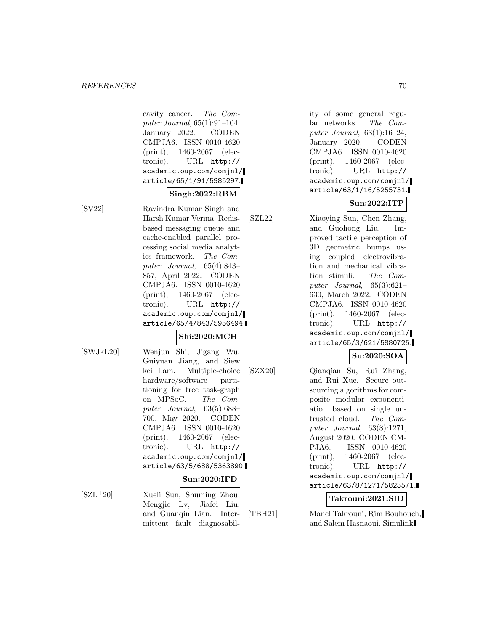cavity cancer. The Computer Journal, 65(1):91–104, January 2022. CODEN CMPJA6. ISSN 0010-4620 (print), 1460-2067 (electronic). URL http:// academic.oup.com/comjnl/ article/65/1/91/5985297.

# **Singh:2022:RBM**

[SV22] Ravindra Kumar Singh and Harsh Kumar Verma. Redisbased messaging queue and cache-enabled parallel processing social media analytics framework. The Computer Journal, 65(4):843– 857, April 2022. CODEN CMPJA6. ISSN 0010-4620 (print), 1460-2067 (electronic). URL http:// academic.oup.com/comjnl/ article/65/4/843/5956494.

# **Shi:2020:MCH**

[SWJkL20] Wenjun Shi, Jigang Wu, Guiyuan Jiang, and Siew kei Lam. Multiple-choice hardware/software partitioning for tree task-graph on MPSoC. The Computer Journal, 63(5):688– 700, May 2020. CODEN CMPJA6. ISSN 0010-4620 (print), 1460-2067 (electronic). URL http:// academic.oup.com/comjnl/ article/63/5/688/5363890.

#### **Sun:2020:IFD**

[SZL<sup>+</sup>20] Xueli Sun, Shuming Zhou, Mengjie Lv, Jiafei Liu, and Guanqin Lian. Intermittent fault diagnosability of some general regular networks. The Computer Journal, 63(1):16–24, January 2020. CODEN CMPJA6. ISSN 0010-4620 (print), 1460-2067 (electronic). URL http:// academic.oup.com/comjnl/ article/63/1/16/5255731.

# **Sun:2022:ITP**

[SZL22] Xiaoying Sun, Chen Zhang, and Guohong Liu. Improved tactile perception of 3D geometric bumps using coupled electrovibration and mechanical vibration stimuli. The Computer Journal, 65(3):621– 630, March 2022. CODEN CMPJA6. ISSN 0010-4620 (print), 1460-2067 (electronic). URL http:// academic.oup.com/comjnl/ article/65/3/621/5880725.

# **Su:2020:SOA**

[SZX20] Qianqian Su, Rui Zhang, and Rui Xue. Secure outsourcing algorithms for composite modular exponentiation based on single untrusted cloud. The Computer Journal, 63(8):1271, August 2020. CODEN CM-PJA6. ISSN 0010-4620 (print), 1460-2067 (electronic). URL http:// academic.oup.com/comjnl/ article/63/8/1271/5823571.

# **Takrouni:2021:SID**

[TBH21] Manel Takrouni, Rim Bouhouch, and Salem Hasnaoui. Simulink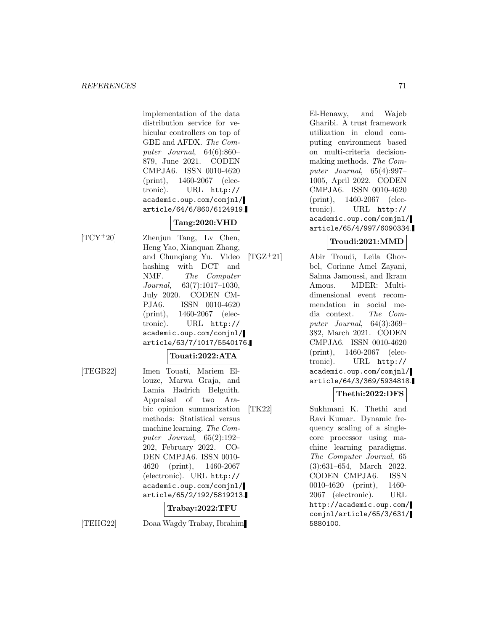implementation of the data distribution service for vehicular controllers on top of GBE and AFDX. The Computer Journal, 64(6):860– 879, June 2021. CODEN CMPJA6. ISSN 0010-4620 (print), 1460-2067 (electronic). URL http:// academic.oup.com/comjnl/ article/64/6/860/6124919.

# **Tang:2020:VHD**

 $[TCY^+20]$  Zhenjun Tang, Ly Chen, Heng Yao, Xianquan Zhang, and Chunqiang Yu. Video hashing with DCT and NMF. The Computer Journal, 63(7):1017–1030, July 2020. CODEN CM-PJA6. ISSN 0010-4620 (print), 1460-2067 (electronic). URL http:// academic.oup.com/comjnl/ article/63/7/1017/5540176.

# **Touati:2022:ATA**

[TEGB22] Imen Touati, Mariem Ellouze, Marwa Graja, and Lamia Hadrich Belguith. Appraisal of two Arabic opinion summarization methods: Statistical versus machine learning. The Computer Journal, 65(2):192– 202, February 2022. CO-DEN CMPJA6. ISSN 0010- 4620 (print), 1460-2067 (electronic). URL http:// academic.oup.com/comjnl/ article/65/2/192/5819213. **Trabay:2022:TFU**

[TEHG22] Doaa Wagdy Trabay, Ibrahim

El-Henawy, and Wajeb Gharibi. A trust framework utilization in cloud computing environment based on multi-criteria decisionmaking methods. The Computer Journal, 65(4):997– 1005, April 2022. CODEN CMPJA6. ISSN 0010-4620 (print), 1460-2067 (electronic). URL http:// academic.oup.com/comjnl/ article/65/4/997/6090334.

# **Troudi:2021:MMD**

[TGZ<sup>+</sup>21] Abir Troudi, Leila Ghorbel, Corinne Amel Zayani, Salma Jamoussi, and Ikram Amous. MDER: Multidimensional event recommendation in social media context. The Computer Journal, 64(3):369– 382, March 2021. CODEN CMPJA6. ISSN 0010-4620 (print), 1460-2067 (electronic). URL http:// academic.oup.com/comjnl/ article/64/3/369/5934818.

# **Thethi:2022:DFS**

[TK22] Sukhmani K. Thethi and Ravi Kumar. Dynamic frequency scaling of a singlecore processor using machine learning paradigms. The Computer Journal, 65 (3):631–654, March 2022. CODEN CMPJA6. ISSN 0010-4620 (print), 1460- 2067 (electronic). URL http://academic.oup.com/ comjnl/article/65/3/631/ 5880100.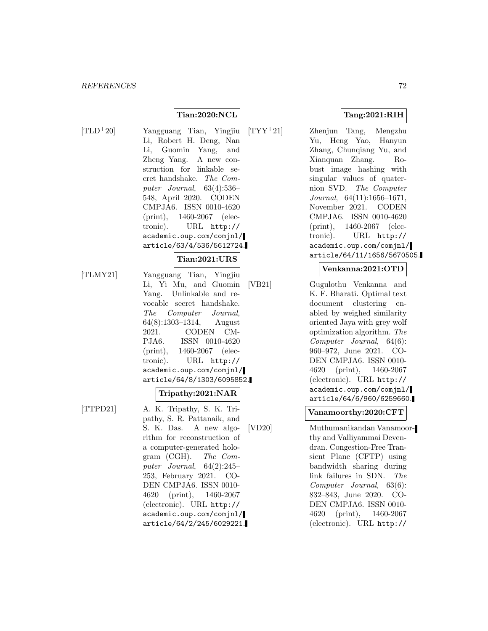**Tian:2020:NCL** [TLD<sup>+</sup>20] Yangguang Tian, Yingjiu Li, Robert H. Deng, Nan Li, Guomin Yang, and Zheng Yang. A new construction for linkable secret handshake. The Computer Journal, 63(4):536– 548, April 2020. CODEN CMPJA6. ISSN 0010-4620 (print), 1460-2067 (electronic). URL http:// academic.oup.com/comjnl/ article/63/4/536/5612724.

# **Tian:2021:URS**

[TLMY21] Yangguang Tian, Yingjiu Li, Yi Mu, and Guomin Yang. Unlinkable and revocable secret handshake. The Computer Journal, 64(8):1303–1314, August 2021. CODEN CM-PJA6. ISSN 0010-4620 (print), 1460-2067 (electronic). URL http:// academic.oup.com/comjnl/ article/64/8/1303/6095852.

### **Tripathy:2021:NAR**

[TTPD21] A. K. Tripathy, S. K. Tripathy, S. R. Pattanaik, and S. K. Das. A new algorithm for reconstruction of a computer-generated hologram (CGH). The Computer Journal, 64(2):245– 253, February 2021. CO-DEN CMPJA6. ISSN 0010- 4620 (print), 1460-2067 (electronic). URL http:// academic.oup.com/comjnl/ article/64/2/245/6029221.

# **Tang:2021:RIH**

[TYY<sup>+</sup>21] Zhenjun Tang, Mengzhu Yu, Heng Yao, Hanyun Zhang, Chunqiang Yu, and Xianquan Zhang. Robust image hashing with singular values of quaternion SVD. The Computer Journal, 64(11):1656–1671, November 2021. CODEN CMPJA6. ISSN 0010-4620 (print), 1460-2067 (electronic). URL http:// academic.oup.com/comjnl/ article/64/11/1656/5670505.

#### **Venkanna:2021:OTD**

[VB21] Gugulothu Venkanna and K. F. Bharati. Optimal text document clustering enabled by weighed similarity oriented Jaya with grey wolf optimization algorithm. The Computer Journal, 64(6): 960–972, June 2021. CO-DEN CMPJA6. ISSN 0010- 4620 (print), 1460-2067 (electronic). URL http:// academic.oup.com/comjnl/ article/64/6/960/6259660.

### **Vanamoorthy:2020:CFT**

[VD20] Muthumanikandan Vanamoorthy and Valliyammai Devendran. Congestion-Free Transient Plane (CFTP) using bandwidth sharing during link failures in SDN. The Computer Journal, 63(6): 832–843, June 2020. CO-DEN CMPJA6. ISSN 0010- 4620 (print), 1460-2067 (electronic). URL http://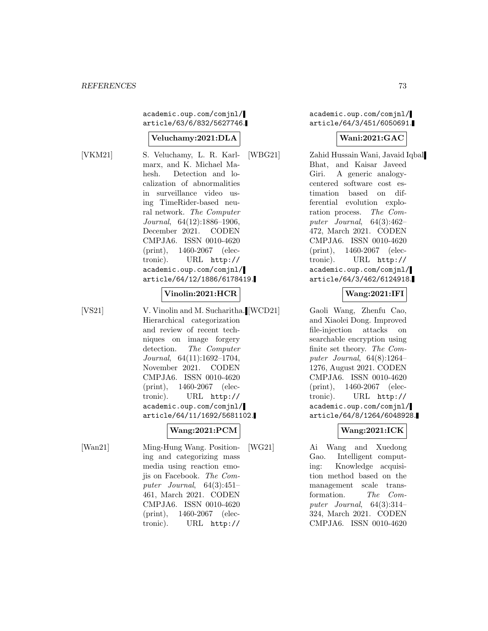academic.oup.com/comjnl/ article/63/6/832/5627746.

#### **Veluchamy:2021:DLA**

[VKM21] S. Veluchamy, L. R. Karlmarx, and K. Michael Mahesh. Detection and localization of abnormalities in surveillance video using TimeRider-based neural network. The Computer Journal, 64(12):1886–1906, December 2021. CODEN CMPJA6. ISSN 0010-4620 (print), 1460-2067 (electronic). URL http:// academic.oup.com/comjnl/ article/64/12/1886/6178419.

#### **Vinolin:2021:HCR**

[VS21] V. Vinolin and M. Sucharitha. [WCD21] Hierarchical categorization and review of recent techniques on image forgery detection. The Computer Journal, 64(11):1692–1704, November 2021. CODEN CMPJA6. ISSN 0010-4620 (print), 1460-2067 (electronic). URL http:// academic.oup.com/comjnl/ article/64/11/1692/5681102.

## **Wang:2021:PCM**

[Wan21] Ming-Hung Wang. Positioning and categorizing mass media using reaction emojis on Facebook. The Computer Journal, 64(3):451– 461, March 2021. CODEN CMPJA6. ISSN 0010-4620 (print), 1460-2067 (electronic). URL http://

academic.oup.com/comjnl/ article/64/3/451/6050691.

#### **Wani:2021:GAC**

[WBG21] Zahid Hussain Wani, Javaid Iqbal Bhat, and Kaisar Javeed Giri. A generic analogycentered software cost estimation based on differential evolution exploration process. The Computer Journal, 64(3):462– 472, March 2021. CODEN CMPJA6. ISSN 0010-4620 (print), 1460-2067 (electronic). URL http:// academic.oup.com/comjnl/ article/64/3/462/6124918.

#### **Wang:2021:IFI**

Gaoli Wang, Zhenfu Cao, and Xiaolei Dong. Improved file-injection attacks on searchable encryption using finite set theory. The Computer Journal, 64(8):1264– 1276, August 2021. CODEN CMPJA6. ISSN 0010-4620 (print), 1460-2067 (electronic). URL http:// academic.oup.com/comjnl/ article/64/8/1264/6048928.

## **Wang:2021:ICK**

[WG21] Ai Wang and Xuedong Gao. Intelligent computing: Knowledge acquisition method based on the management scale transformation. The Computer Journal,  $64(3):314-$ 324, March 2021. CODEN CMPJA6. ISSN 0010-4620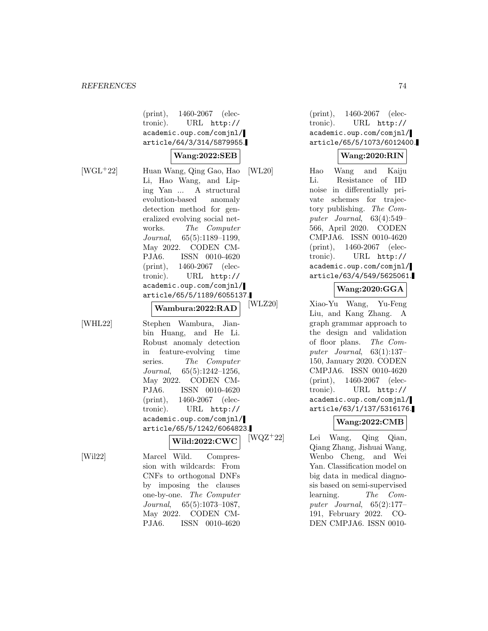(print), 1460-2067 (electronic). URL http:// academic.oup.com/comjnl/ article/64/3/314/5879955.

#### **Wang:2022:SEB**

[WGL<sup>+</sup>22] Huan Wang, Qing Gao, Hao Li, Hao Wang, and Liping Yan ... A structural evolution-based anomaly detection method for generalized evolving social networks. The Computer Journal, 65(5):1189–1199, May 2022. CODEN CM-PJA6. ISSN 0010-4620 (print), 1460-2067 (electronic). URL http:// academic.oup.com/comjnl/ article/65/5/1189/6055137.

[WHL22] Stephen Wambura, Jianbin Huang, and He Li. Robust anomaly detection in feature-evolving time series. The Computer Journal, 65(5):1242–1256, May 2022. CODEN CM-PJA6. ISSN 0010-4620 (print), 1460-2067 (electronic). URL http:// academic.oup.com/comjnl/ article/65/5/1242/6064823.

**Wambura:2022:RAD**

**Wild:2022:CWC**

[Wil22] Marcel Wild. Compression with wildcards: From CNFs to orthogonal DNFs by imposing the clauses one-by-one. The Computer Journal, 65(5):1073–1087, May 2022. CODEN CM-PJA6. ISSN 0010-4620

(print), 1460-2067 (electronic). URL http:// academic.oup.com/comjnl/ article/65/5/1073/6012400.

#### **Wang:2020:RIN**

[WL20] Hao Wang and Kaiju Li. Resistance of IID noise in differentially private schemes for trajectory publishing. The Computer Journal, 63(4):549– 566, April 2020. CODEN CMPJA6. ISSN 0010-4620 (print), 1460-2067 (electronic). URL http:// academic.oup.com/comjnl/ article/63/4/549/5625061.

## **Wang:2020:GGA**

[WLZ20] Xiao-Yu Wang, Yu-Feng Liu, and Kang Zhang. A graph grammar approach to the design and validation of floor plans. The Computer Journal, 63(1):137– 150, January 2020. CODEN CMPJA6. ISSN 0010-4620 (print), 1460-2067 (electronic). URL http:// academic.oup.com/comjnl/ article/63/1/137/5316176.

### **Wang:2022:CMB**

[WQZ<sup>+</sup>22] Lei Wang, Qing Qian, Qiang Zhang, Jishuai Wang, Wenbo Cheng, and Wei Yan. Classification model on big data in medical diagnosis based on semi-supervised learning. The Computer Journal, 65(2):177– 191, February 2022. CO-DEN CMPJA6. ISSN 0010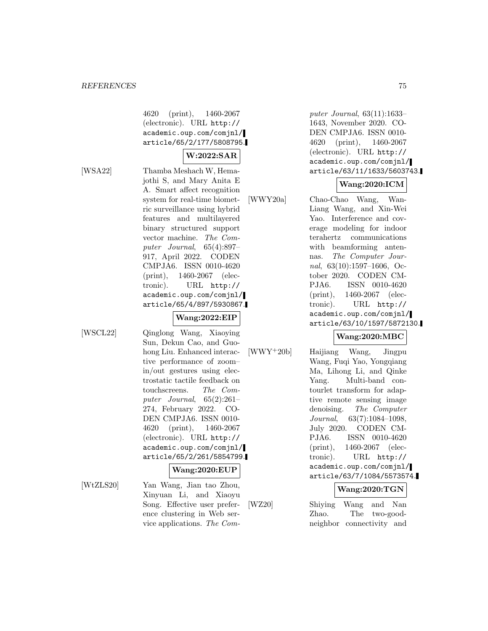4620 (print), 1460-2067 (electronic). URL http:// academic.oup.com/comjnl/ article/65/2/177/5808795.

### **W:2022:SAR**

[WSA22] Thamba Meshach W, Hemajothi S, and Mary Anita E A. Smart affect recognition system for real-time biometric surveillance using hybrid features and multilayered binary structured support vector machine. The Computer Journal, 65(4):897– 917, April 2022. CODEN CMPJA6. ISSN 0010-4620 (print), 1460-2067 (electronic). URL http:// academic.oup.com/comjnl/ article/65/4/897/5930867. **Wang:2022:EIP**

[WSCL22] Qinglong Wang, Xiaoying Sun, Dekun Cao, and Guohong Liu. Enhanced interactive performance of zoom– in/out gestures using electrostatic tactile feedback on touchscreens. The Computer Journal, 65(2):261– 274, February 2022. CO-DEN CMPJA6. ISSN 0010- 4620 (print), 1460-2067 (electronic). URL http:// academic.oup.com/comjnl/ article/65/2/261/5854799.

#### **Wang:2020:EUP**

[WtZLS20] Yan Wang, Jian tao Zhou, Xinyuan Li, and Xiaoyu Song. Effective user preference clustering in Web service applications. The Computer Journal, 63(11):1633– 1643, November 2020. CO-DEN CMPJA6. ISSN 0010- 4620 (print), 1460-2067 (electronic). URL http:// academic.oup.com/comjnl/ article/63/11/1633/5603743.

## **Wang:2020:ICM**

[WWY20a] Chao-Chao Wang, Wan-Liang Wang, and Xin-Wei Yao. Interference and coverage modeling for indoor terahertz communications with beamforming antennas. The Computer Journal, 63(10):1597–1606, October 2020. CODEN CM-PJA6. ISSN 0010-4620 (print), 1460-2067 (electronic). URL http:// academic.oup.com/comjnl/ article/63/10/1597/5872130.

### **Wang:2020:MBC**

[WWY<sup>+</sup>20b] Haijiang Wang, Jingpu Wang, Fuqi Yao, Yongqiang Ma, Lihong Li, and Qinke Yang. Multi-band contourlet transform for adaptive remote sensing image denoising. The Computer Journal, 63(7):1084–1098, July 2020. CODEN CM-PJA6. ISSN 0010-4620 (print), 1460-2067 (electronic). URL http:// academic.oup.com/comjnl/ article/63/7/1084/5573574.

### **Wang:2020:TGN**

[WZ20] Shiying Wang and Nan Zhao. The two-goodneighbor connectivity and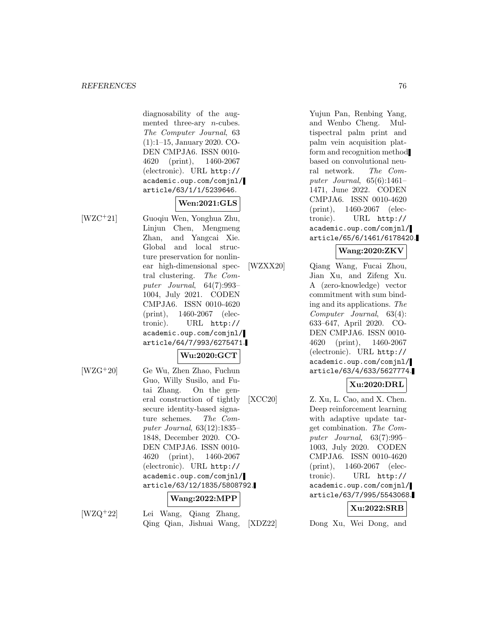#### **REFERENCES** 76

diagnosability of the augmented three-ary  $n$ -cubes. The Computer Journal, 63 (1):1–15, January 2020. CO-DEN CMPJA6. ISSN 0010- 4620 (print), 1460-2067 (electronic). URL http:// academic.oup.com/comjnl/ article/63/1/1/5239646.

### **Wen:2021:GLS**

[WZC<sup>+</sup>21] Guoqiu Wen, Yonghua Zhu, Linjun Chen, Mengmeng Zhan, and Yangcai Xie. Global and local structure preservation for nonlinear high-dimensional spectral clustering. The Computer Journal, 64(7):993– 1004, July 2021. CODEN CMPJA6. ISSN 0010-4620 (print), 1460-2067 (electronic). URL http:// academic.oup.com/comjnl/ article/64/7/993/6275471.

#### **Wu:2020:GCT**

[WZG<sup>+</sup>20] Ge Wu, Zhen Zhao, Fuchun Guo, Willy Susilo, and Futai Zhang. On the general construction of tightly secure identity-based signature schemes. The Computer Journal, 63(12):1835– 1848, December 2020. CO-DEN CMPJA6. ISSN 0010- 4620 (print), 1460-2067 (electronic). URL http:// academic.oup.com/comjnl/ article/63/12/1835/5808792.

#### **Wang:2022:MPP**

[WZQ<sup>+</sup>22] Lei Wang, Qiang Zhang, Qing Qian, Jishuai Wang, Yujun Pan, Renbing Yang, and Wenbo Cheng. Multispectral palm print and palm vein acquisition platform and recognition method based on convolutional neural network. The Computer Journal,  $65(6):1461-$ 1471, June 2022. CODEN CMPJA6. ISSN 0010-4620 (print), 1460-2067 (electronic). URL http:// academic.oup.com/comjnl/ article/65/6/1461/6178420.

# **Wang:2020:ZKV**

[WZXX20] Qiang Wang, Fucai Zhou, Jian Xu, and Zifeng Xu. A (zero-knowledge) vector commitment with sum binding and its applications. The Computer Journal, 63(4): 633–647, April 2020. CO-DEN CMPJA6. ISSN 0010- 4620 (print), 1460-2067 (electronic). URL http:// academic.oup.com/comjnl/ article/63/4/633/5627774.

## **Xu:2020:DRL**

[XCC20] Z. Xu, L. Cao, and X. Chen. Deep reinforcement learning with adaptive update target combination. The Computer Journal, 63(7):995– 1003, July 2020. CODEN CMPJA6. ISSN 0010-4620 (print), 1460-2067 (electronic). URL http:// academic.oup.com/comjnl/ article/63/7/995/5543068.

### **Xu:2022:SRB**

[XDZ22] Dong Xu, Wei Dong, and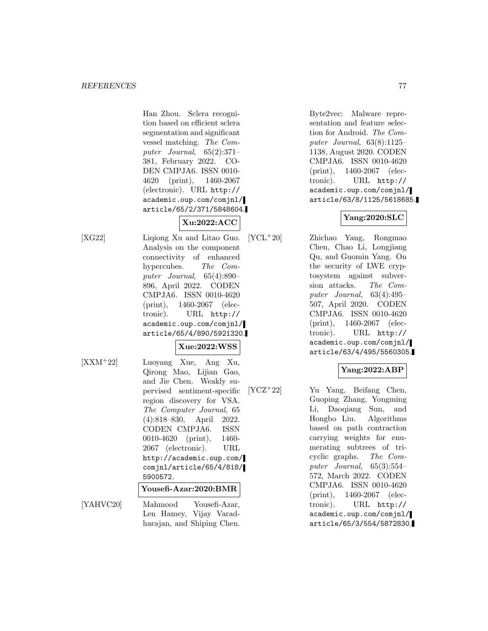Han Zhou. Sclera recognition based on efficient sclera segmentation and significant vessel matching. The Computer Journal, 65(2):371– 381, February 2022. CO-DEN CMPJA6. ISSN 0010- 4620 (print), 1460-2067 (electronic). URL http:// academic.oup.com/comjnl/ article/65/2/371/5848604.

## **Xu:2022:ACC**

[XG22] Liqiong Xu and Litao Guo. Analysis on the component connectivity of enhanced hypercubes. The Computer Journal, 65(4):890– 896, April 2022. CODEN CMPJA6. ISSN 0010-4620 (print), 1460-2067 (electronic). URL http:// academic.oup.com/comjnl/ article/65/4/890/5921320.

# **Xue:2022:WSS**

[XXM<sup>+</sup>22] Luoyang Xue, Ang Xu, Qirong Mao, Lijian Gao, and Jie Chen. Weakly supervised sentiment-specific region discovery for VSA. The Computer Journal, 65 (4):818–830, April 2022. CODEN CMPJA6. ISSN 0010-4620 (print), 1460- 2067 (electronic). URL http://academic.oup.com/ comjnl/article/65/4/818/ 5900572. **Yousefi-Azar:2020:BMR**

[YAHVC20] Mahmood Yousefi-Azar, Len Hamey, Vijay Varadharajan, and Shiping Chen.

Byte2vec: Malware representation and feature selection for Android. The Computer Journal, 63(8):1125– 1138, August 2020. CODEN CMPJA6. ISSN 0010-4620 (print), 1460-2067 (electronic). URL http:// academic.oup.com/comjnl/ article/63/8/1125/5618685.

### **Yang:2020:SLC**

[YCL<sup>+</sup>20] Zhichao Yang, Rongmao Chen, Chao Li, Longjiang Qu, and Guomin Yang. On the security of LWE cryptosystem against subversion attacks. The Computer Journal, 63(4):495– 507, April 2020. CODEN CMPJA6. ISSN 0010-4620 (print), 1460-2067 (electronic). URL http:// academic.oup.com/comjnl/ article/63/4/495/5560305.

## **Yang:2022:ABP**

[YCZ<sup>+</sup>22] Yu Yang, Beifang Chen, Guoping Zhang, Yongming Li, Daoqiang Sun, and Hongbo Liu. Algorithms based on path contraction carrying weights for enumerating subtrees of tricyclic graphs. The Computer Journal, 65(3):554– 572, March 2022. CODEN CMPJA6. ISSN 0010-4620 (print), 1460-2067 (electronic). URL http:// academic.oup.com/comjnl/ article/65/3/554/5872830.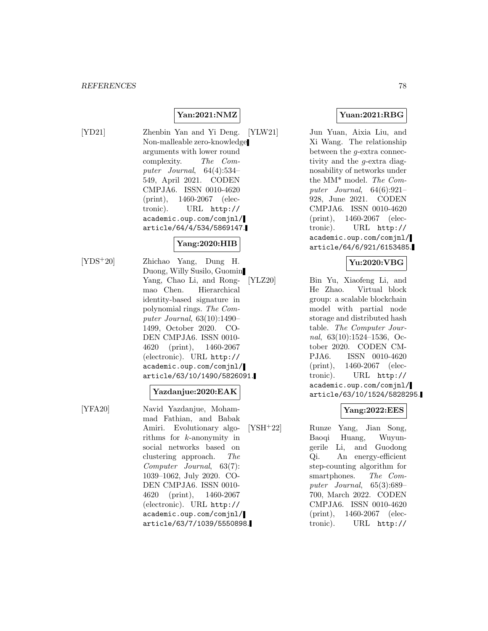### **Yan:2021:NMZ**

- 
- [YD21] Zhenbin Yan and Yi Deng. Non-malleable zero-knowledge arguments with lower round complexity. The Computer Journal, 64(4):534– 549, April 2021. CODEN CMPJA6. ISSN 0010-4620 (print), 1460-2067 (electronic). URL http:// academic.oup.com/comjnl/ article/64/4/534/5869147.

### **Yang:2020:HIB**

[YDS<sup>+</sup>20] Zhichao Yang, Dung H. Duong, Willy Susilo, Guomin Yang, Chao Li, and Rongmao Chen. Hierarchical identity-based signature in polynomial rings. The Computer Journal, 63(10):1490– 1499, October 2020. CO-DEN CMPJA6. ISSN 0010- 4620 (print), 1460-2067 (electronic). URL http:// academic.oup.com/comjnl/ article/63/10/1490/5826091.

#### **Yazdanjue:2020:EAK**

[YFA20] Navid Yazdanjue, Mohammad Fathian, and Babak Amiri. Evolutionary algorithms for k-anonymity in social networks based on clustering approach. The Computer Journal, 63(7): 1039–1062, July 2020. CO-DEN CMPJA6. ISSN 0010- 4620 (print), 1460-2067 (electronic). URL http:// academic.oup.com/comjnl/ article/63/7/1039/5550898.

### **Yuan:2021:RBG**

[YLW21] Jun Yuan, Aixia Liu, and Xi Wang. The relationship between the g-extra connectivity and the g-extra diagnosability of networks under the MM\* model. The Computer Journal, 64(6):921– 928, June 2021. CODEN CMPJA6. ISSN 0010-4620 (print), 1460-2067 (electronic). URL http:// academic.oup.com/comjnl/ article/64/6/921/6153485.

## **Yu:2020:VBG**

[YLZ20] Bin Yu, Xiaofeng Li, and He Zhao. Virtual block group: a scalable blockchain model with partial node storage and distributed hash table. The Computer Journal, 63(10):1524–1536, October 2020. CODEN CM-PJA6. ISSN 0010-4620 (print), 1460-2067 (electronic). URL http:// academic.oup.com/comjnl/ article/63/10/1524/5828295.

### **Yang:2022:EES**

[YSH<sup>+</sup>22] Runze Yang, Jian Song, Baoqi Huang, Wuyungerile Li, and Guodong Qi. An energy-efficient step-counting algorithm for smartphones. The Computer Journal, 65(3):689– 700, March 2022. CODEN CMPJA6. ISSN 0010-4620 (print), 1460-2067 (electronic). URL http://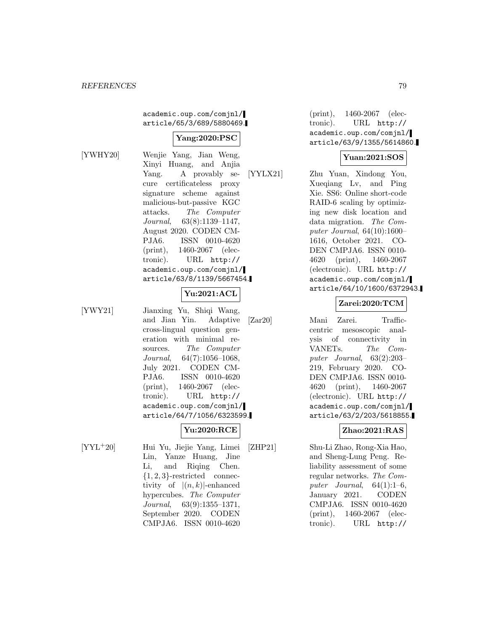academic.oup.com/comjnl/ article/65/3/689/5880469.

### **Yang:2020:PSC**

[YWHY20] Wenjie Yang, Jian Weng, Xinyi Huang, and Anjia Yang. A provably secure certificateless proxy signature scheme against malicious-but-passive KGC attacks. The Computer Journal, 63(8):1139–1147, August 2020. CODEN CM-PJA6. ISSN 0010-4620 (print), 1460-2067 (electronic). URL http:// academic.oup.com/comjnl/ article/63/8/1139/5667454.

#### **Yu:2021:ACL**

[YWY21] Jianxing Yu, Shiqi Wang, and Jian Yin. Adaptive cross-lingual question generation with minimal resources. The Computer Journal, 64(7):1056–1068, July 2021. CODEN CM-PJA6. ISSN 0010-4620 (print), 1460-2067 (electronic). URL http:// academic.oup.com/comjnl/ article/64/7/1056/6323599.

# **Yu:2020:RCE**

[YYL<sup>+</sup>20] Hui Yu, Jiejie Yang, Limei Lin, Yanze Huang, Jine Li, and Riqing Chen.  ${1, 2, 3}$ -restricted connectivity of  $|(n, k)|$ -enhanced hypercubes. The Computer Journal, 63(9):1355–1371, September 2020. CODEN CMPJA6. ISSN 0010-4620

(print), 1460-2067 (electronic). URL http:// academic.oup.com/comjnl/ article/63/9/1355/5614860.

#### **Yuan:2021:SOS**

[YYLX21] Zhu Yuan, Xindong You, Xueqiang Lv, and Ping Xie. SS6: Online short-code RAID-6 scaling by optimizing new disk location and data migration. The Computer Journal, 64(10):1600– 1616, October 2021. CO-DEN CMPJA6. ISSN 0010- 4620 (print), 1460-2067 (electronic). URL http:// academic.oup.com/comjnl/ article/64/10/1600/6372943.

### **Zarei:2020:TCM**

[Zar20] Mani Zarei. Trafficcentric mesoscopic analysis of connectivity in VANETs. The Computer Journal, 63(2):203– 219, February 2020. CO-DEN CMPJA6. ISSN 0010- 4620 (print), 1460-2067 (electronic). URL http:// academic.oup.com/comjnl/ article/63/2/203/5618855.

#### **Zhao:2021:RAS**

[ZHP21] Shu-Li Zhao, Rong-Xia Hao, and Sheng-Lung Peng. Reliability assessment of some regular networks. The Computer Journal,  $64(1):1-6$ , January 2021. CODEN CMPJA6. ISSN 0010-4620 (print), 1460-2067 (electronic). URL http://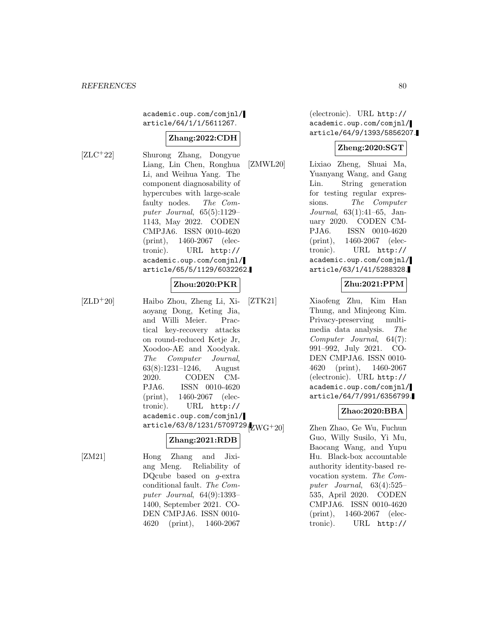academic.oup.com/comjnl/ article/64/1/1/5611267.

#### **Zhang:2022:CDH**

[ZLC<sup>+</sup>22] Shurong Zhang, Dongyue Liang, Lin Chen, Ronghua Li, and Weihua Yang. The component diagnosability of hypercubes with large-scale faulty nodes. The Computer Journal, 65(5):1129– 1143, May 2022. CODEN CMPJA6. ISSN 0010-4620 (print), 1460-2067 (electronic). URL http:// academic.oup.com/comjnl/ article/65/5/1129/6032262.

### **Zhou:2020:PKR**

[ZLD<sup>+</sup>20] Haibo Zhou, Zheng Li, Xiaoyang Dong, Keting Jia, and Willi Meier. Practical key-recovery attacks on round-reduced Ketje Jr, Xoodoo-AE and Xoodyak. The Computer Journal, 63(8):1231–1246, August 2020. CODEN CM-PJA6. ISSN 0010-4620 (print), 1460-2067 (electronic). URL http:// academic.oup.com/comjnl/  $\ar{ticle}/63/8/1231/5709729.$ <br> $\sqrt{W}$ 

### **Zhang:2021:RDB**

[ZM21] Hong Zhang and Jixiang Meng. Reliability of DQcube based on g-extra conditional fault. The Computer Journal, 64(9):1393– 1400, September 2021. CO-DEN CMPJA6. ISSN 0010- 4620 (print), 1460-2067

(electronic). URL http:// academic.oup.com/comjnl/ article/64/9/1393/5856207.

#### **Zheng:2020:SGT**

[ZMWL20] Lixiao Zheng, Shuai Ma, Yuanyang Wang, and Gang Lin. String generation for testing regular expressions. The Computer Journal, 63(1):41–65, January 2020. CODEN CM-PJA6. ISSN 0010-4620 (print), 1460-2067 (electronic). URL http:// academic.oup.com/comjnl/ article/63/1/41/5288328.

### **Zhu:2021:PPM**

[ZTK21] Xiaofeng Zhu, Kim Han Thung, and Minjeong Kim. Privacy-preserving multimedia data analysis. The Computer Journal, 64(7): 991–992, July 2021. CO-DEN CMPJA6. ISSN 0010- 4620 (print), 1460-2067 (electronic). URL http:// academic.oup.com/comjnl/ article/64/7/991/6356799.

#### **Zhao:2020:BBA**

Zhen Zhao, Ge Wu, Fuchun Guo, Willy Susilo, Yi Mu, Baocang Wang, and Yupu Hu. Black-box accountable authority identity-based revocation system. The Computer Journal, 63(4):525– 535, April 2020. CODEN CMPJA6. ISSN 0010-4620 (print), 1460-2067 (electronic). URL http://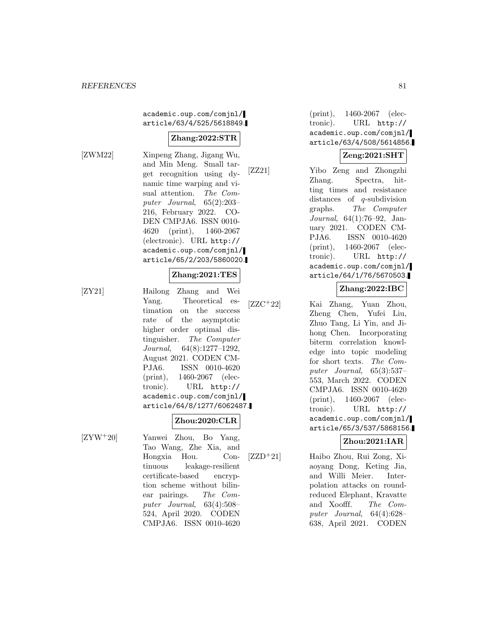academic.oup.com/comjnl/ article/63/4/525/5618849.

### **Zhang:2022:STR**

[ZWM22] Xinpeng Zhang, Jigang Wu, and Min Meng. Small target recognition using dynamic time warping and visual attention. The Computer Journal, 65(2):203– 216, February 2022. CO-DEN CMPJA6. ISSN 0010- 4620 (print), 1460-2067 (electronic). URL http:// academic.oup.com/comjnl/ article/65/2/203/5860020.

### **Zhang:2021:TES**

[ZY21] Hailong Zhang and Wei Yang. Theoretical estimation on the success rate of the asymptotic higher order optimal distinguisher. The Computer Journal, 64(8):1277–1292, August 2021. CODEN CM-PJA6. ISSN 0010-4620 (print), 1460-2067 (electronic). URL http:// academic.oup.com/comjnl/ article/64/8/1277/6062487.

### **Zhou:2020:CLR**

[ZYW<sup>+</sup>20] Yanwei Zhou, Bo Yang, Tao Wang, Zhe Xia, and Hongxia Hou. Continuous leakage-resilient certificate-based encryption scheme without bilinear pairings. The Computer Journal, 63(4):508– 524, April 2020. CODEN CMPJA6. ISSN 0010-4620

(print), 1460-2067 (electronic). URL http:// academic.oup.com/comjnl/ article/63/4/508/5614856.

### **Zeng:2021:SHT**

[ZZ21] Yibo Zeng and Zhongzhi Zhang. Spectra, hitting times and resistance distances of q-subdivision graphs. The Computer Journal, 64(1):76–92, January 2021. CODEN CM-PJA6. ISSN 0010-4620 (print), 1460-2067 (electronic). URL http:// academic.oup.com/comjnl/ article/64/1/76/5670503.

# **Zhang:2022:IBC**

[ZZC<sup>+</sup>22] Kai Zhang, Yuan Zhou, Zheng Chen, Yufei Liu, Zhuo Tang, Li Yin, and Jihong Chen. Incorporating biterm correlation knowledge into topic modeling for short texts. The Computer Journal, 65(3):537– 553, March 2022. CODEN CMPJA6. ISSN 0010-4620 (print), 1460-2067 (electronic). URL http:// academic.oup.com/comjnl/ article/65/3/537/5868156.

## **Zhou:2021:IAR**

[ZZD<sup>+</sup>21] Haibo Zhou, Rui Zong, Xiaoyang Dong, Keting Jia, and Willi Meier. Interpolation attacks on roundreduced Elephant, Kravatte and Xoofff. The Computer Journal, 64(4):628– 638, April 2021. CODEN